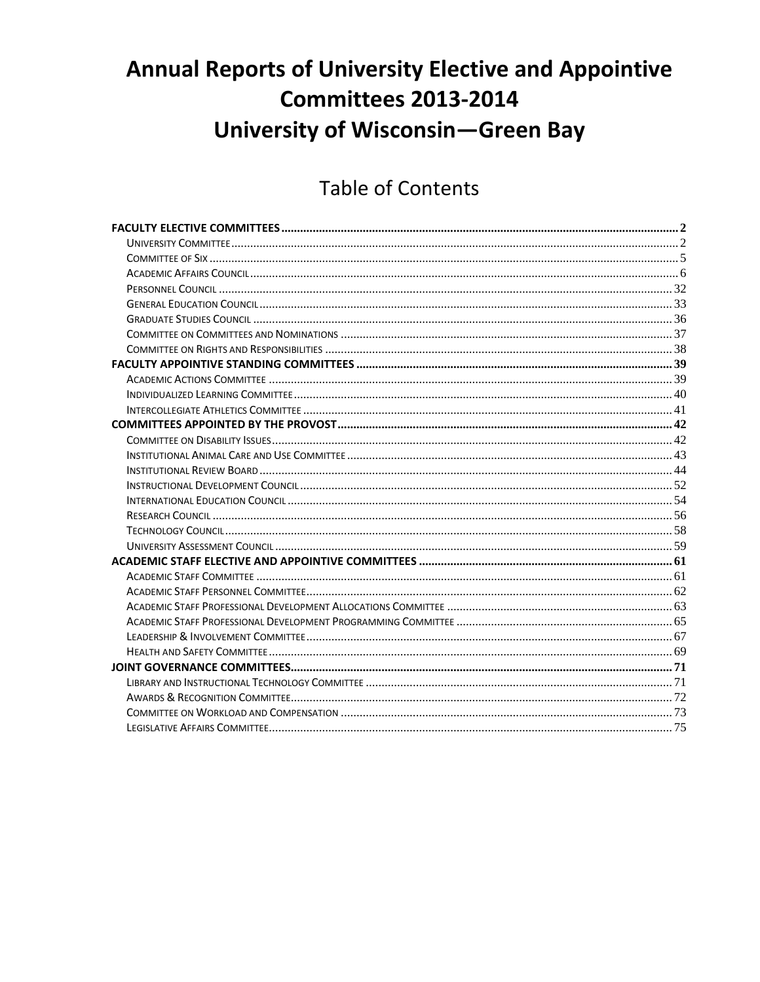# **Annual Reports of University Elective and Appointive Committees 2013-2014 University of Wisconsin-Green Bay**

## **Table of Contents**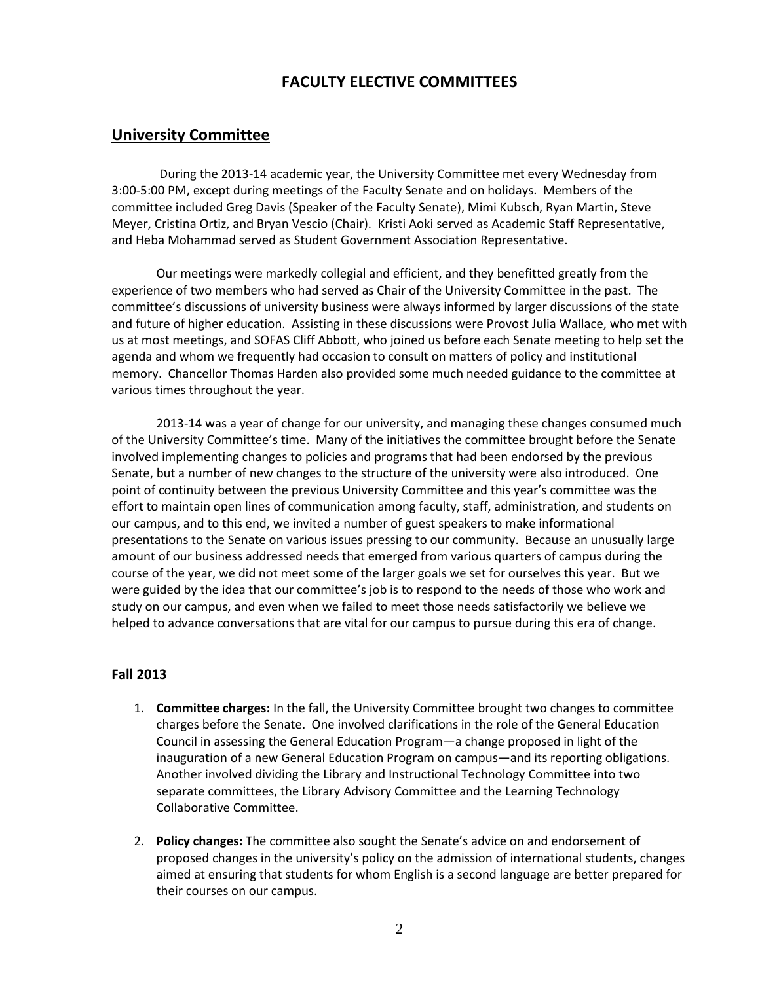## **FACULTY ELECTIVE COMMITTEES**

## <span id="page-1-1"></span><span id="page-1-0"></span>**University Committee**

During the 2013-14 academic year, the University Committee met every Wednesday from 3:00-5:00 PM, except during meetings of the Faculty Senate and on holidays. Members of the committee included Greg Davis (Speaker of the Faculty Senate), Mimi Kubsch, Ryan Martin, Steve Meyer, Cristina Ortiz, and Bryan Vescio (Chair). Kristi Aoki served as Academic Staff Representative, and Heba Mohammad served as Student Government Association Representative.

Our meetings were markedly collegial and efficient, and they benefitted greatly from the experience of two members who had served as Chair of the University Committee in the past. The committee's discussions of university business were always informed by larger discussions of the state and future of higher education. Assisting in these discussions were Provost Julia Wallace, who met with us at most meetings, and SOFAS Cliff Abbott, who joined us before each Senate meeting to help set the agenda and whom we frequently had occasion to consult on matters of policy and institutional memory. Chancellor Thomas Harden also provided some much needed guidance to the committee at various times throughout the year.

2013-14 was a year of change for our university, and managing these changes consumed much of the University Committee's time. Many of the initiatives the committee brought before the Senate involved implementing changes to policies and programs that had been endorsed by the previous Senate, but a number of new changes to the structure of the university were also introduced. One point of continuity between the previous University Committee and this year's committee was the effort to maintain open lines of communication among faculty, staff, administration, and students on our campus, and to this end, we invited a number of guest speakers to make informational presentations to the Senate on various issues pressing to our community. Because an unusually large amount of our business addressed needs that emerged from various quarters of campus during the course of the year, we did not meet some of the larger goals we set for ourselves this year. But we were guided by the idea that our committee's job is to respond to the needs of those who work and study on our campus, and even when we failed to meet those needs satisfactorily we believe we helped to advance conversations that are vital for our campus to pursue during this era of change.

#### **Fall 2013**

- 1. **Committee charges:** In the fall, the University Committee brought two changes to committee charges before the Senate. One involved clarifications in the role of the General Education Council in assessing the General Education Program—a change proposed in light of the inauguration of a new General Education Program on campus—and its reporting obligations. Another involved dividing the Library and Instructional Technology Committee into two separate committees, the Library Advisory Committee and the Learning Technology Collaborative Committee.
- 2. **Policy changes:** The committee also sought the Senate's advice on and endorsement of proposed changes in the university's policy on the admission of international students, changes aimed at ensuring that students for whom English is a second language are better prepared for their courses on our campus.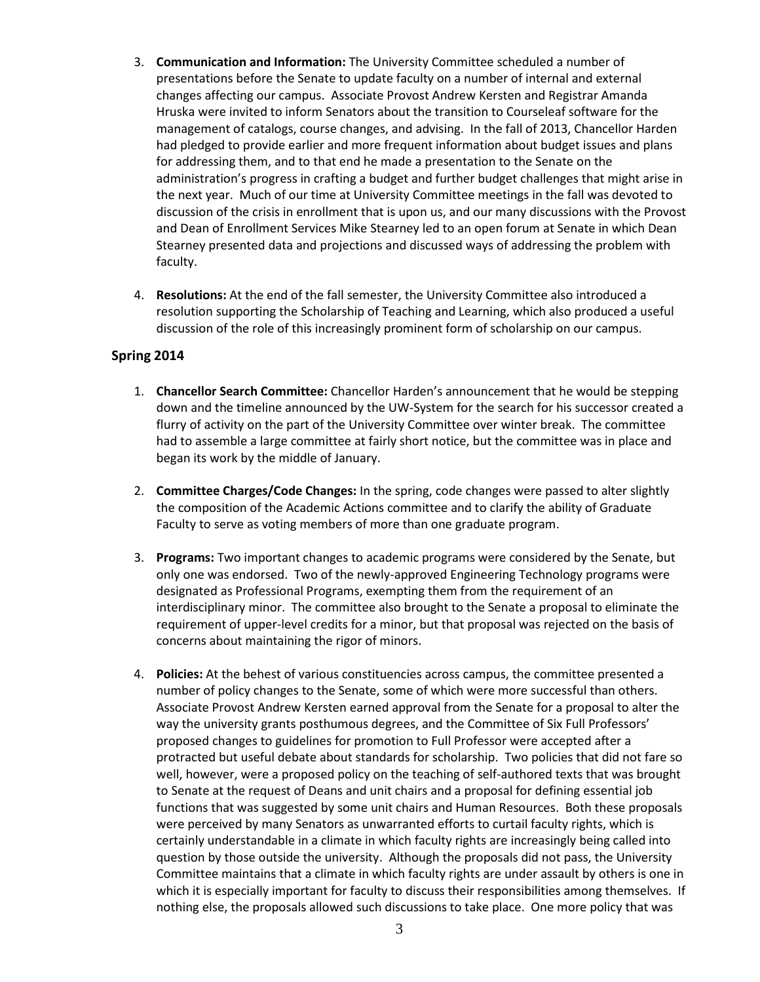- 3. **Communication and Information:** The University Committee scheduled a number of presentations before the Senate to update faculty on a number of internal and external changes affecting our campus. Associate Provost Andrew Kersten and Registrar Amanda Hruska were invited to inform Senators about the transition to Courseleaf software for the management of catalogs, course changes, and advising. In the fall of 2013, Chancellor Harden had pledged to provide earlier and more frequent information about budget issues and plans for addressing them, and to that end he made a presentation to the Senate on the administration's progress in crafting a budget and further budget challenges that might arise in the next year. Much of our time at University Committee meetings in the fall was devoted to discussion of the crisis in enrollment that is upon us, and our many discussions with the Provost and Dean of Enrollment Services Mike Stearney led to an open forum at Senate in which Dean Stearney presented data and projections and discussed ways of addressing the problem with faculty.
- 4. **Resolutions:** At the end of the fall semester, the University Committee also introduced a resolution supporting the Scholarship of Teaching and Learning, which also produced a useful discussion of the role of this increasingly prominent form of scholarship on our campus.

#### **Spring 2014**

- 1. **Chancellor Search Committee:** Chancellor Harden's announcement that he would be stepping down and the timeline announced by the UW-System for the search for his successor created a flurry of activity on the part of the University Committee over winter break. The committee had to assemble a large committee at fairly short notice, but the committee was in place and began its work by the middle of January.
- 2. **Committee Charges/Code Changes:** In the spring, code changes were passed to alter slightly the composition of the Academic Actions committee and to clarify the ability of Graduate Faculty to serve as voting members of more than one graduate program.
- 3. **Programs:** Two important changes to academic programs were considered by the Senate, but only one was endorsed. Two of the newly-approved Engineering Technology programs were designated as Professional Programs, exempting them from the requirement of an interdisciplinary minor. The committee also brought to the Senate a proposal to eliminate the requirement of upper-level credits for a minor, but that proposal was rejected on the basis of concerns about maintaining the rigor of minors.
- 4. **Policies:** At the behest of various constituencies across campus, the committee presented a number of policy changes to the Senate, some of which were more successful than others. Associate Provost Andrew Kersten earned approval from the Senate for a proposal to alter the way the university grants posthumous degrees, and the Committee of Six Full Professors' proposed changes to guidelines for promotion to Full Professor were accepted after a protracted but useful debate about standards for scholarship. Two policies that did not fare so well, however, were a proposed policy on the teaching of self-authored texts that was brought to Senate at the request of Deans and unit chairs and a proposal for defining essential job functions that was suggested by some unit chairs and Human Resources. Both these proposals were perceived by many Senators as unwarranted efforts to curtail faculty rights, which is certainly understandable in a climate in which faculty rights are increasingly being called into question by those outside the university. Although the proposals did not pass, the University Committee maintains that a climate in which faculty rights are under assault by others is one in which it is especially important for faculty to discuss their responsibilities among themselves. If nothing else, the proposals allowed such discussions to take place. One more policy that was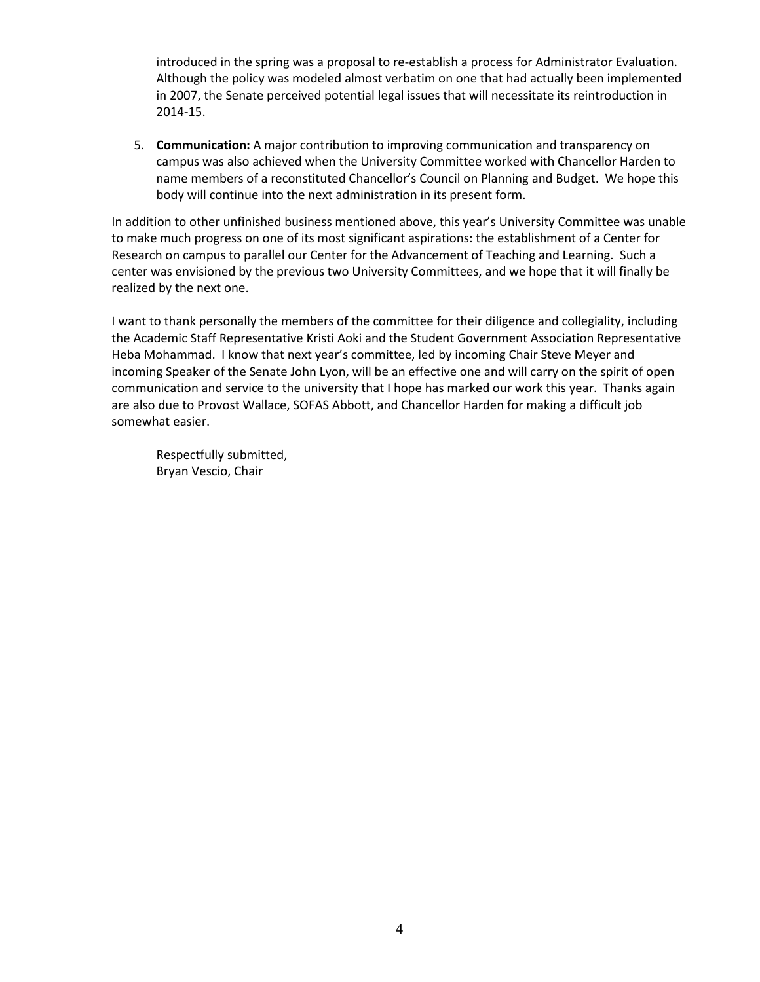introduced in the spring was a proposal to re-establish a process for Administrator Evaluation. Although the policy was modeled almost verbatim on one that had actually been implemented in 2007, the Senate perceived potential legal issues that will necessitate its reintroduction in 2014-15.

5. **Communication:** A major contribution to improving communication and transparency on campus was also achieved when the University Committee worked with Chancellor Harden to name members of a reconstituted Chancellor's Council on Planning and Budget. We hope this body will continue into the next administration in its present form.

In addition to other unfinished business mentioned above, this year's University Committee was unable to make much progress on one of its most significant aspirations: the establishment of a Center for Research on campus to parallel our Center for the Advancement of Teaching and Learning. Such a center was envisioned by the previous two University Committees, and we hope that it will finally be realized by the next one.

I want to thank personally the members of the committee for their diligence and collegiality, including the Academic Staff Representative Kristi Aoki and the Student Government Association Representative Heba Mohammad. I know that next year's committee, led by incoming Chair Steve Meyer and incoming Speaker of the Senate John Lyon, will be an effective one and will carry on the spirit of open communication and service to the university that I hope has marked our work this year. Thanks again are also due to Provost Wallace, SOFAS Abbott, and Chancellor Harden for making a difficult job somewhat easier.

Respectfully submitted, Bryan Vescio, Chair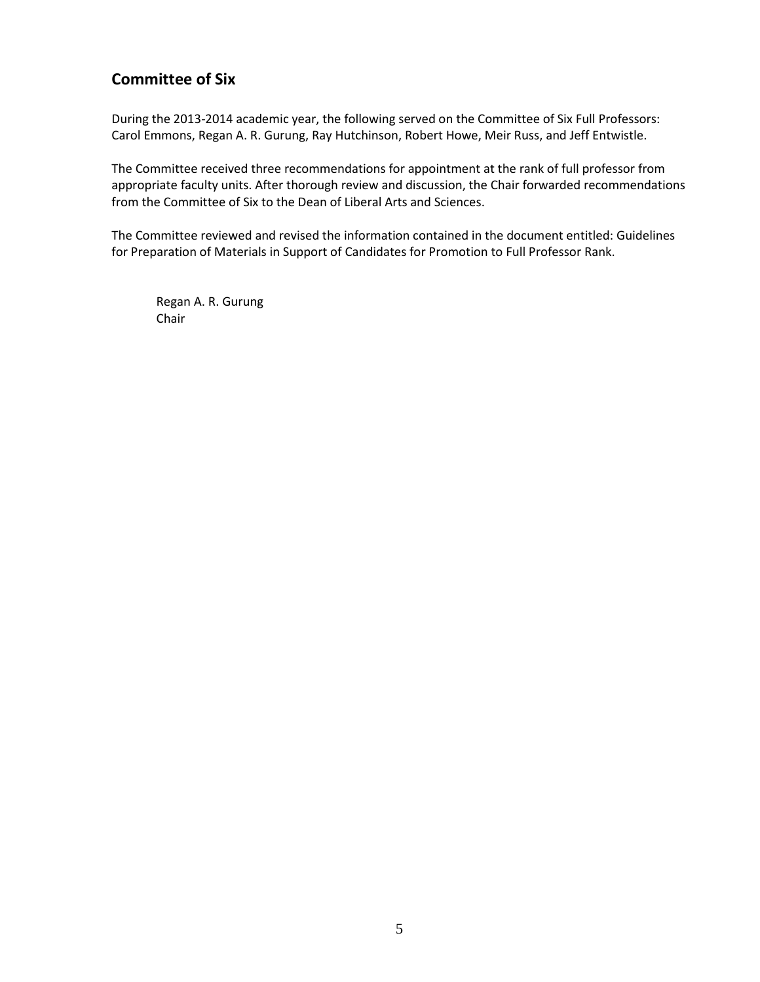## <span id="page-4-0"></span>**Committee of Six**

During the 2013-2014 academic year, the following served on the Committee of Six Full Professors: Carol Emmons, Regan A. R. Gurung, Ray Hutchinson, Robert Howe, Meir Russ, and Jeff Entwistle.

The Committee received three recommendations for appointment at the rank of full professor from appropriate faculty units. After thorough review and discussion, the Chair forwarded recommendations from the Committee of Six to the Dean of Liberal Arts and Sciences.

The Committee reviewed and revised the information contained in the document entitled: Guidelines for Preparation of Materials in Support of Candidates for Promotion to Full Professor Rank.

Regan A. R. Gurung Chair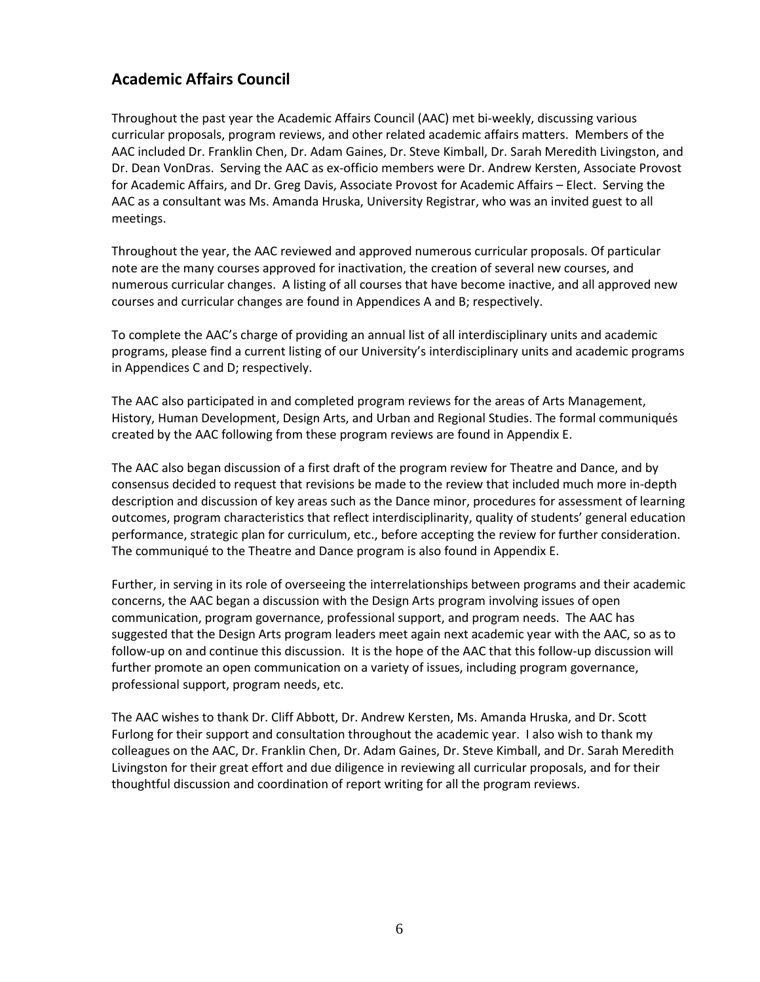## <span id="page-5-0"></span>**Academic Affairs Council**

Throughout the past year the Academic Affairs Council (AAC) met bi-weekly, discussing various curricular proposals, program reviews, and other related academic affairs matters. Members of the AAC included Dr. Franklin Chen, Dr. Adam Gaines, Dr. Steve Kimball, Dr. Sarah Meredith Livingston, and Dr. Dean VonDras. Serving the AAC as ex-officio members were Dr. Andrew Kersten, Associate Provost for Academic Affairs, and Dr. Greg Davis, Associate Provost for Academic Affairs – Elect. Serving the AAC as a consultant was Ms. Amanda Hruska, University Registrar, who was an invited guest to all meetings.

Throughout the year, the AAC reviewed and approved numerous curricular proposals. Of particular note are the many courses approved for inactivation, the creation of several new courses, and numerous curricular changes. A listing of all courses that have become inactive, and all approved new courses and curricular changes are found in Appendices A and B; respectively.

To complete the AAC's charge of providing an annual list of all interdisciplinary units and academic programs, please find a current listing of our University's interdisciplinary units and academic programs in Appendices C and D; respectively.

The AAC also participated in and completed program reviews for the areas of Arts Management, History, Human Development, Design Arts, and Urban and Regional Studies. The formal communiqués created by the AAC following from these program reviews are found in Appendix E.

The AAC also began discussion of a first draft of the program review for Theatre and Dance, and by consensus decided to request that revisions be made to the review that included much more in-depth description and discussion of key areas such as the Dance minor, procedures for assessment of learning outcomes, program characteristics that reflect interdisciplinarity, quality of students' general education performance, strategic plan for curriculum, etc., before accepting the review for further consideration. The communiqué to the Theatre and Dance program is also found in Appendix E.

Further, in serving in its role of overseeing the interrelationships between programs and their academic concerns, the AAC began a discussion with the Design Arts program involving issues of open communication, program governance, professional support, and program needs. The AAC has suggested that the Design Arts program leaders meet again next academic year with the AAC, so as to follow-up on and continue this discussion. It is the hope of the AAC that this follow-up discussion will further promote an open communication on a variety of issues, including program governance, professional support, program needs, etc.

The AAC wishes to thank Dr. Cliff Abbott, Dr. Andrew Kersten, Ms. Amanda Hruska, and Dr. Scott Furlong for their support and consultation throughout the academic year. I also wish to thank my colleagues on the AAC, Dr. Franklin Chen, Dr. Adam Gaines, Dr. Steve Kimball, and Dr. Sarah Meredith Livingston for their great effort and due diligence in reviewing all curricular proposals, and for their thoughtful discussion and coordination of report writing for all the program reviews.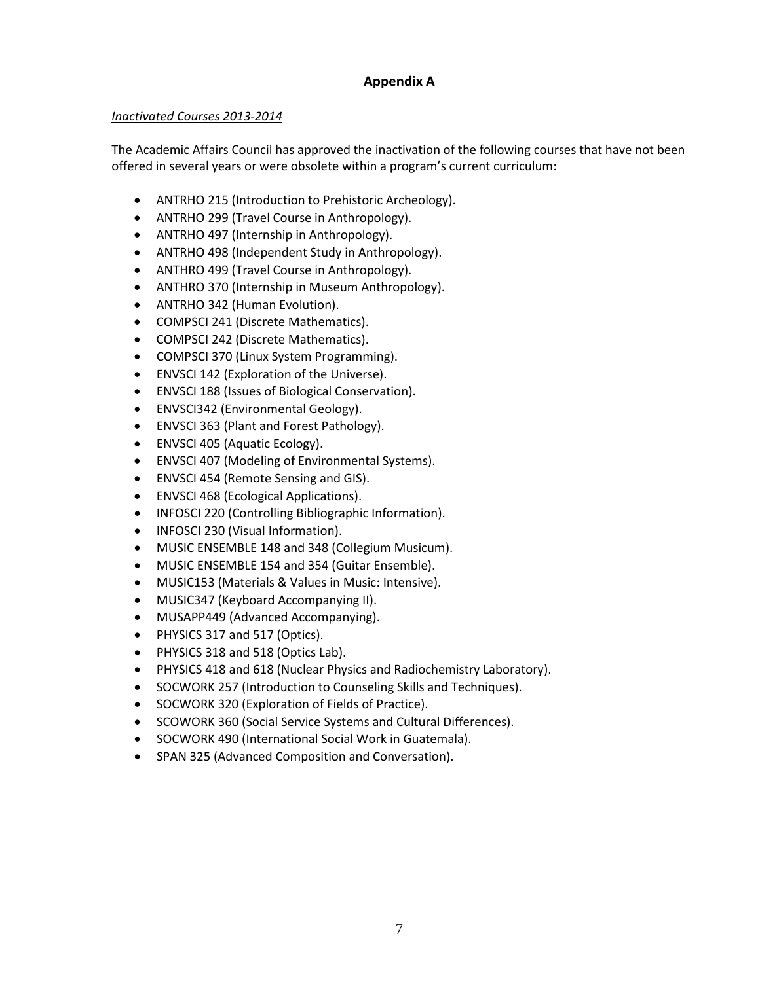## **Appendix A**

#### *Inactivated Courses 2013-2014*

The Academic Affairs Council has approved the inactivation of the following courses that have not been offered in several years or were obsolete within a program's current curriculum:

- ANTRHO 215 (Introduction to Prehistoric Archeology).
- ANTRHO 299 (Travel Course in Anthropology).
- ANTRHO 497 (Internship in Anthropology).
- ANTRHO 498 (Independent Study in Anthropology).
- ANTHRO 499 (Travel Course in Anthropology).
- ANTHRO 370 (Internship in Museum Anthropology).
- ANTRHO 342 (Human Evolution).
- COMPSCI 241 (Discrete Mathematics).
- COMPSCI 242 (Discrete Mathematics).
- COMPSCI 370 (Linux System Programming).
- ENVSCI 142 (Exploration of the Universe).
- ENVSCI 188 (Issues of Biological Conservation).
- ENVSCI342 (Environmental Geology).
- ENVSCI 363 (Plant and Forest Pathology).
- ENVSCI 405 (Aquatic Ecology).
- ENVSCI 407 (Modeling of Environmental Systems).
- ENVSCI 454 (Remote Sensing and GIS).
- ENVSCI 468 (Ecological Applications).
- INFOSCI 220 (Controlling Bibliographic Information).
- INFOSCI 230 (Visual Information).
- MUSIC ENSEMBLE 148 and 348 (Collegium Musicum).
- MUSIC ENSEMBLE 154 and 354 (Guitar Ensemble).
- MUSIC153 (Materials & Values in Music: Intensive).
- MUSIC347 (Keyboard Accompanying II).
- MUSAPP449 (Advanced Accompanying).
- PHYSICS 317 and 517 (Optics).
- PHYSICS 318 and 518 (Optics Lab).
- PHYSICS 418 and 618 (Nuclear Physics and Radiochemistry Laboratory).
- SOCWORK 257 (Introduction to Counseling Skills and Techniques).
- SOCWORK 320 (Exploration of Fields of Practice).
- SCOWORK 360 (Social Service Systems and Cultural Differences).
- SOCWORK 490 (International Social Work in Guatemala).
- SPAN 325 (Advanced Composition and Conversation).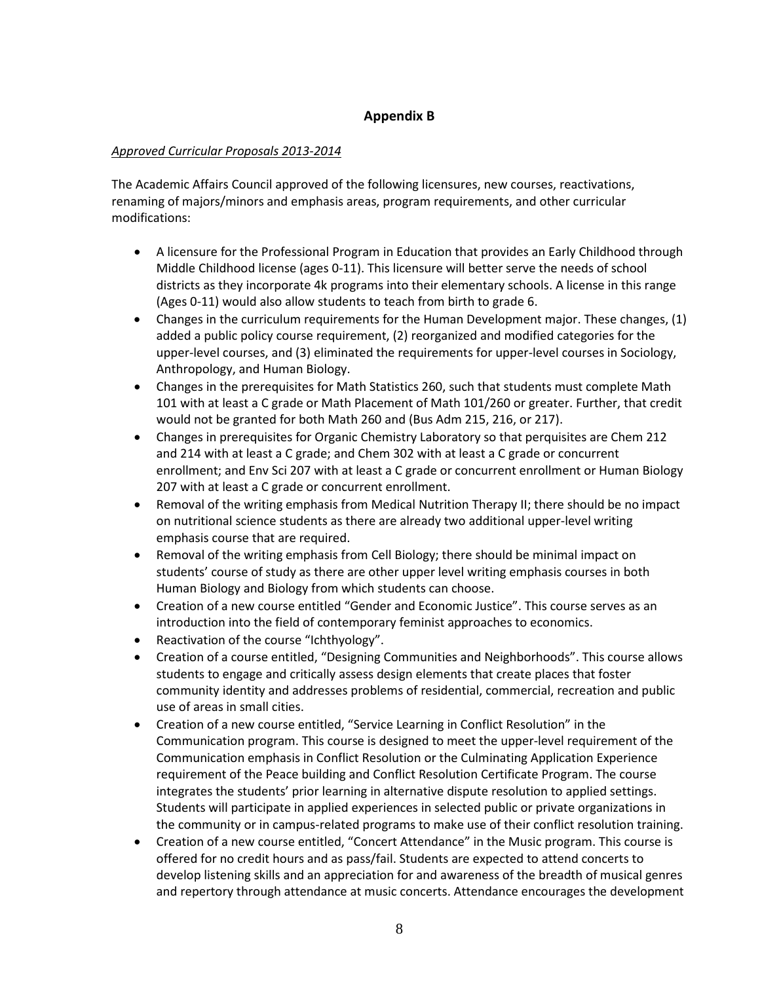## **Appendix B**

#### *Approved Curricular Proposals 2013-2014*

The Academic Affairs Council approved of the following licensures, new courses, reactivations, renaming of majors/minors and emphasis areas, program requirements, and other curricular modifications:

- A licensure for the Professional Program in Education that provides an Early Childhood through Middle Childhood license (ages 0-11). This licensure will better serve the needs of school districts as they incorporate 4k programs into their elementary schools. A license in this range (Ages 0-11) would also allow students to teach from birth to grade 6.
- Changes in the curriculum requirements for the Human Development major. These changes, (1) added a public policy course requirement, (2) reorganized and modified categories for the upper-level courses, and (3) eliminated the requirements for upper-level courses in Sociology, Anthropology, and Human Biology.
- Changes in the prerequisites for Math Statistics 260, such that students must complete Math 101 with at least a C grade or Math Placement of Math 101/260 or greater. Further, that credit would not be granted for both Math 260 and (Bus Adm 215, 216, or 217).
- Changes in prerequisites for Organic Chemistry Laboratory so that perquisites are Chem 212 and 214 with at least a C grade; and Chem 302 with at least a C grade or concurrent enrollment; and Env Sci 207 with at least a C grade or concurrent enrollment or Human Biology 207 with at least a C grade or concurrent enrollment.
- Removal of the writing emphasis from Medical Nutrition Therapy II; there should be no impact on nutritional science students as there are already two additional upper-level writing emphasis course that are required.
- Removal of the writing emphasis from Cell Biology; there should be minimal impact on students' course of study as there are other upper level writing emphasis courses in both Human Biology and Biology from which students can choose.
- Creation of a new course entitled "Gender and Economic Justice". This course serves as an introduction into the field of contemporary feminist approaches to economics.
- Reactivation of the course "Ichthyology".
- Creation of a course entitled, "Designing Communities and Neighborhoods". This course allows students to engage and critically assess design elements that create places that foster community identity and addresses problems of residential, commercial, recreation and public use of areas in small cities.
- Creation of a new course entitled, "Service Learning in Conflict Resolution" in the Communication program. This course is designed to meet the upper-level requirement of the Communication emphasis in Conflict Resolution or the Culminating Application Experience requirement of the Peace building and Conflict Resolution Certificate Program. The course integrates the students' prior learning in alternative dispute resolution to applied settings. Students will participate in applied experiences in selected public or private organizations in the community or in campus-related programs to make use of their conflict resolution training.
- Creation of a new course entitled, "Concert Attendance" in the Music program. This course is offered for no credit hours and as pass/fail. Students are expected to attend concerts to develop listening skills and an appreciation for and awareness of the breadth of musical genres and repertory through attendance at music concerts. Attendance encourages the development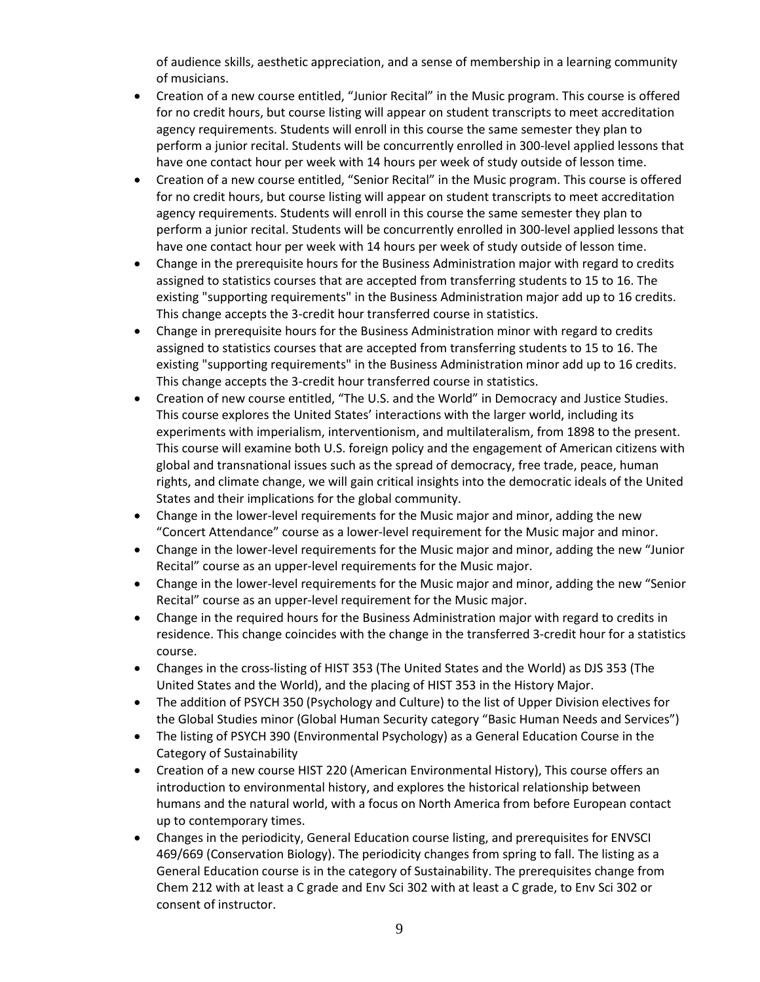of audience skills, aesthetic appreciation, and a sense of membership in a learning community of musicians.

- Creation of a new course entitled, "Junior Recital" in the Music program. This course is offered for no credit hours, but course listing will appear on student transcripts to meet accreditation agency requirements. Students will enroll in this course the same semester they plan to perform a junior recital. Students will be concurrently enrolled in 300-level applied lessons that have one contact hour per week with 14 hours per week of study outside of lesson time.
- Creation of a new course entitled, "Senior Recital" in the Music program. This course is offered for no credit hours, but course listing will appear on student transcripts to meet accreditation agency requirements. Students will enroll in this course the same semester they plan to perform a junior recital. Students will be concurrently enrolled in 300-level applied lessons that have one contact hour per week with 14 hours per week of study outside of lesson time.
- Change in the prerequisite hours for the Business Administration major with regard to credits assigned to statistics courses that are accepted from transferring students to 15 to 16. The existing "supporting requirements" in the Business Administration major add up to 16 credits. This change accepts the 3-credit hour transferred course in statistics.
- Change in prerequisite hours for the Business Administration minor with regard to credits assigned to statistics courses that are accepted from transferring students to 15 to 16. The existing "supporting requirements" in the Business Administration minor add up to 16 credits. This change accepts the 3-credit hour transferred course in statistics.
- Creation of new course entitled, "The U.S. and the World" in Democracy and Justice Studies. This course explores the United States' interactions with the larger world, including its experiments with imperialism, interventionism, and multilateralism, from 1898 to the present. This course will examine both U.S. foreign policy and the engagement of American citizens with global and transnational issues such as the spread of democracy, free trade, peace, human rights, and climate change, we will gain critical insights into the democratic ideals of the United States and their implications for the global community.
- Change in the lower-level requirements for the Music major and minor, adding the new "Concert Attendance" course as a lower-level requirement for the Music major and minor.
- Change in the lower-level requirements for the Music major and minor, adding the new "Junior Recital" course as an upper-level requirements for the Music major.
- Change in the lower-level requirements for the Music major and minor, adding the new "Senior Recital" course as an upper-level requirement for the Music major.
- Change in the required hours for the Business Administration major with regard to credits in residence. This change coincides with the change in the transferred 3-credit hour for a statistics course.
- Changes in the cross-listing of HIST 353 (The United States and the World) as DJS 353 (The United States and the World), and the placing of HIST 353 in the History Major.
- The addition of PSYCH 350 (Psychology and Culture) to the list of Upper Division electives for the Global Studies minor (Global Human Security category "Basic Human Needs and Services")
- The listing of PSYCH 390 (Environmental Psychology) as a General Education Course in the Category of Sustainability
- Creation of a new course HIST 220 (American Environmental History), This course offers an introduction to environmental history, and explores the historical relationship between humans and the natural world, with a focus on North America from before European contact up to contemporary times.
- Changes in the periodicity, General Education course listing, and prerequisites for ENVSCI 469/669 (Conservation Biology). The periodicity changes from spring to fall. The listing as a General Education course is in the category of Sustainability. The prerequisites change from Chem 212 with at least a C grade and Env Sci 302 with at least a C grade, to Env Sci 302 or consent of instructor.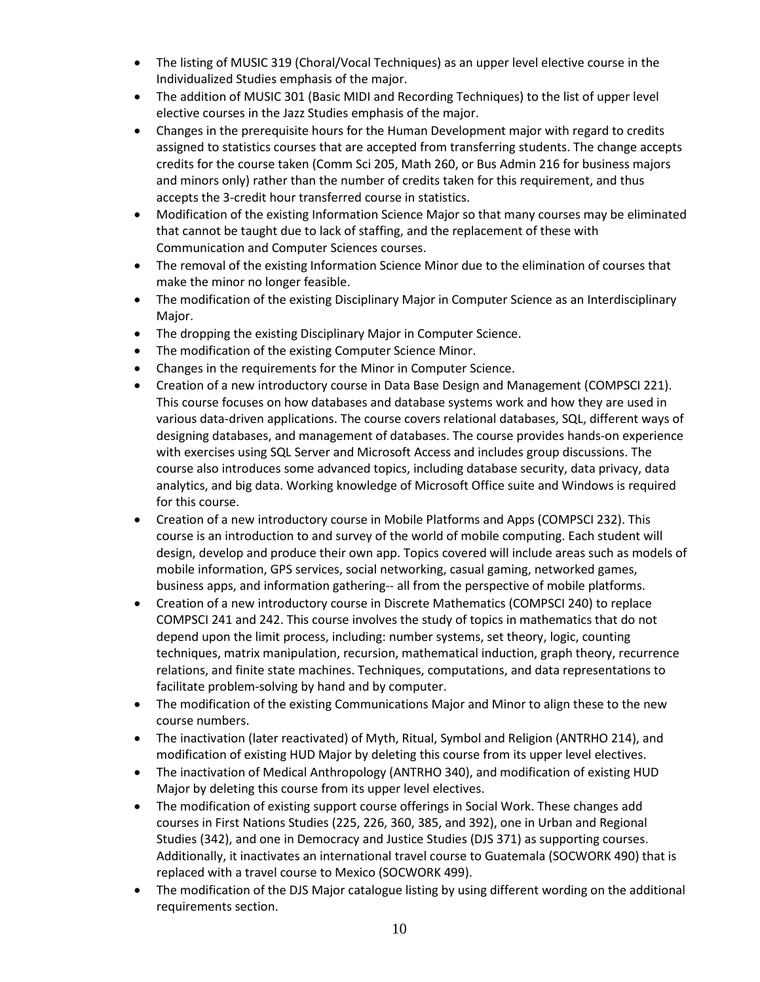- The listing of MUSIC 319 (Choral/Vocal Techniques) as an upper level elective course in the Individualized Studies emphasis of the major.
- The addition of MUSIC 301 (Basic MIDI and Recording Techniques) to the list of upper level elective courses in the Jazz Studies emphasis of the major.
- Changes in the prerequisite hours for the Human Development major with regard to credits assigned to statistics courses that are accepted from transferring students. The change accepts credits for the course taken (Comm Sci 205, Math 260, or Bus Admin 216 for business majors and minors only) rather than the number of credits taken for this requirement, and thus accepts the 3-credit hour transferred course in statistics.
- Modification of the existing Information Science Major so that many courses may be eliminated that cannot be taught due to lack of staffing, and the replacement of these with Communication and Computer Sciences courses.
- The removal of the existing Information Science Minor due to the elimination of courses that make the minor no longer feasible.
- The modification of the existing Disciplinary Major in Computer Science as an Interdisciplinary Major.
- The dropping the existing Disciplinary Major in Computer Science.
- The modification of the existing Computer Science Minor.
- Changes in the requirements for the Minor in Computer Science.
- Creation of a new introductory course in Data Base Design and Management (COMPSCI 221). This course focuses on how databases and database systems work and how they are used in various data-driven applications. The course covers relational databases, SQL, different ways of designing databases, and management of databases. The course provides hands-on experience with exercises using SQL Server and Microsoft Access and includes group discussions. The course also introduces some advanced topics, including database security, data privacy, data analytics, and big data. Working knowledge of Microsoft Office suite and Windows is required for this course.
- Creation of a new introductory course in Mobile Platforms and Apps (COMPSCI 232). This course is an introduction to and survey of the world of mobile computing. Each student will design, develop and produce their own app. Topics covered will include areas such as models of mobile information, GPS services, social networking, casual gaming, networked games, business apps, and information gathering-- all from the perspective of mobile platforms.
- Creation of a new introductory course in Discrete Mathematics (COMPSCI 240) to replace COMPSCI 241 and 242. This course involves the study of topics in mathematics that do not depend upon the limit process, including: number systems, set theory, logic, counting techniques, matrix manipulation, recursion, mathematical induction, graph theory, recurrence relations, and finite state machines. Techniques, computations, and data representations to facilitate problem-solving by hand and by computer.
- The modification of the existing Communications Major and Minor to align these to the new course numbers.
- The inactivation (later reactivated) of Myth, Ritual, Symbol and Religion (ANTRHO 214), and modification of existing HUD Major by deleting this course from its upper level electives.
- The inactivation of Medical Anthropology (ANTRHO 340), and modification of existing HUD Major by deleting this course from its upper level electives.
- The modification of existing support course offerings in Social Work. These changes add courses in First Nations Studies (225, 226, 360, 385, and 392), one in Urban and Regional Studies (342), and one in Democracy and Justice Studies (DJS 371) as supporting courses. Additionally, it inactivates an international travel course to Guatemala (SOCWORK 490) that is replaced with a travel course to Mexico (SOCWORK 499).
- The modification of the DJS Major catalogue listing by using different wording on the additional requirements section.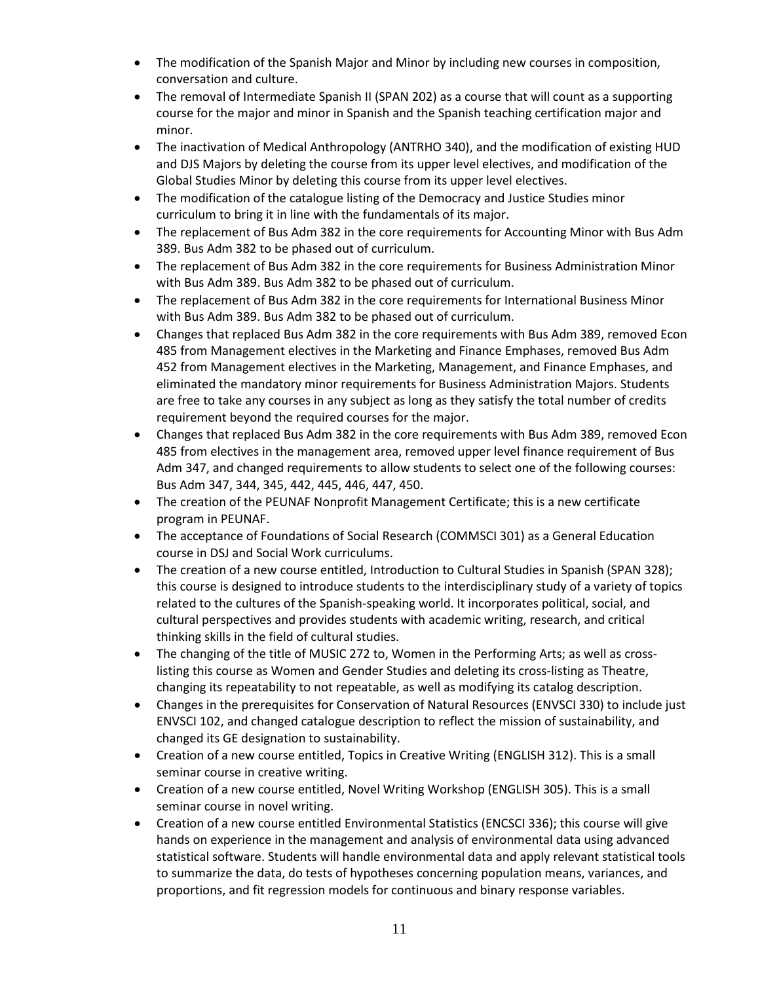- The modification of the Spanish Major and Minor by including new courses in composition, conversation and culture.
- The removal of Intermediate Spanish II (SPAN 202) as a course that will count as a supporting course for the major and minor in Spanish and the Spanish teaching certification major and minor.
- The inactivation of Medical Anthropology (ANTRHO 340), and the modification of existing HUD and DJS Majors by deleting the course from its upper level electives, and modification of the Global Studies Minor by deleting this course from its upper level electives.
- The modification of the catalogue listing of the Democracy and Justice Studies minor curriculum to bring it in line with the fundamentals of its major.
- The replacement of Bus Adm 382 in the core requirements for Accounting Minor with Bus Adm 389. Bus Adm 382 to be phased out of curriculum.
- The replacement of Bus Adm 382 in the core requirements for Business Administration Minor with Bus Adm 389. Bus Adm 382 to be phased out of curriculum.
- The replacement of Bus Adm 382 in the core requirements for International Business Minor with Bus Adm 389. Bus Adm 382 to be phased out of curriculum.
- Changes that replaced Bus Adm 382 in the core requirements with Bus Adm 389, removed Econ 485 from Management electives in the Marketing and Finance Emphases, removed Bus Adm 452 from Management electives in the Marketing, Management, and Finance Emphases, and eliminated the mandatory minor requirements for Business Administration Majors. Students are free to take any courses in any subject as long as they satisfy the total number of credits requirement beyond the required courses for the major.
- Changes that replaced Bus Adm 382 in the core requirements with Bus Adm 389, removed Econ 485 from electives in the management area, removed upper level finance requirement of Bus Adm 347, and changed requirements to allow students to select one of the following courses: Bus Adm 347, 344, 345, 442, 445, 446, 447, 450.
- The creation of the PEUNAF Nonprofit Management Certificate; this is a new certificate program in PEUNAF.
- The acceptance of Foundations of Social Research (COMMSCI 301) as a General Education course in DSJ and Social Work curriculums.
- The creation of a new course entitled, Introduction to Cultural Studies in Spanish (SPAN 328); this course is designed to introduce students to the interdisciplinary study of a variety of topics related to the cultures of the Spanish-speaking world. It incorporates political, social, and cultural perspectives and provides students with academic writing, research, and critical thinking skills in the field of cultural studies.
- The changing of the title of MUSIC 272 to, Women in the Performing Arts; as well as crosslisting this course as Women and Gender Studies and deleting its cross-listing as Theatre, changing its repeatability to not repeatable, as well as modifying its catalog description.
- Changes in the prerequisites for Conservation of Natural Resources (ENVSCI 330) to include just ENVSCI 102, and changed catalogue description to reflect the mission of sustainability, and changed its GE designation to sustainability.
- Creation of a new course entitled, Topics in Creative Writing (ENGLISH 312). This is a small seminar course in creative writing.
- Creation of a new course entitled, Novel Writing Workshop (ENGLISH 305). This is a small seminar course in novel writing.
- Creation of a new course entitled Environmental Statistics (ENCSCI 336); this course will give hands on experience in the management and analysis of environmental data using advanced statistical software. Students will handle environmental data and apply relevant statistical tools to summarize the data, do tests of hypotheses concerning population means, variances, and proportions, and fit regression models for continuous and binary response variables.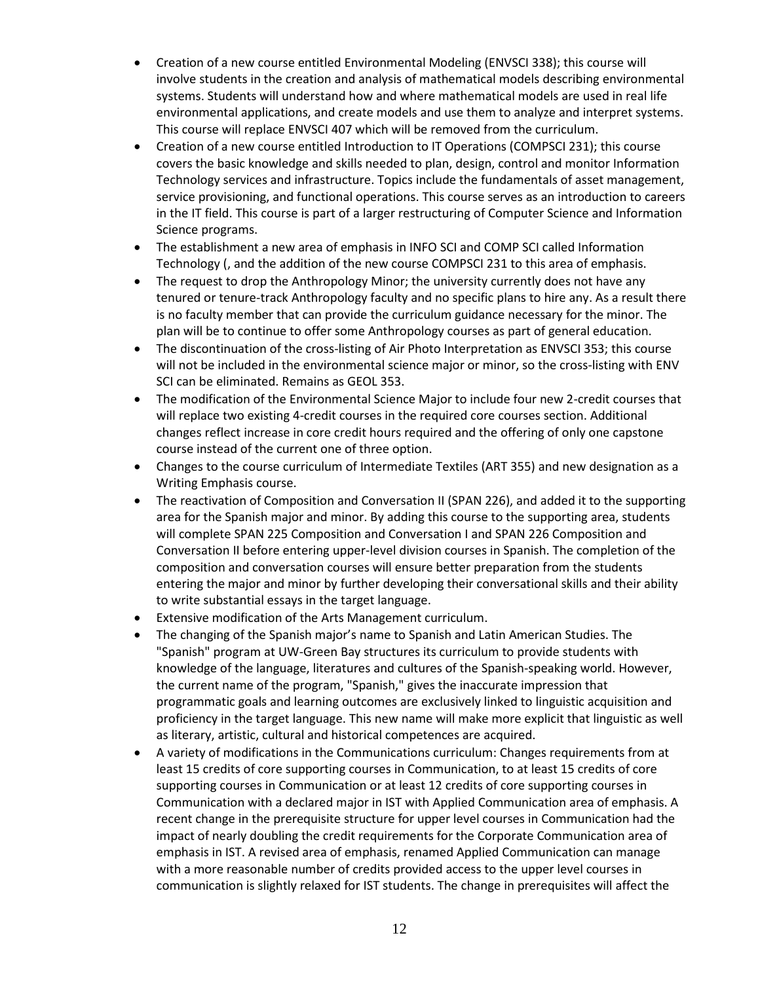- Creation of a new course entitled Environmental Modeling (ENVSCI 338); this course will involve students in the creation and analysis of mathematical models describing environmental systems. Students will understand how and where mathematical models are used in real life environmental applications, and create models and use them to analyze and interpret systems. This course will replace ENVSCI 407 which will be removed from the curriculum.
- Creation of a new course entitled Introduction to IT Operations (COMPSCI 231); this course covers the basic knowledge and skills needed to plan, design, control and monitor Information Technology services and infrastructure. Topics include the fundamentals of asset management, service provisioning, and functional operations. This course serves as an introduction to careers in the IT field. This course is part of a larger restructuring of Computer Science and Information Science programs.
- The establishment a new area of emphasis in INFO SCI and COMP SCI called Information Technology (, and the addition of the new course COMPSCI 231 to this area of emphasis.
- The request to drop the Anthropology Minor; the university currently does not have any tenured or tenure-track Anthropology faculty and no specific plans to hire any. As a result there is no faculty member that can provide the curriculum guidance necessary for the minor. The plan will be to continue to offer some Anthropology courses as part of general education.
- The discontinuation of the cross-listing of Air Photo Interpretation as ENVSCI 353; this course will not be included in the environmental science major or minor, so the cross-listing with ENV SCI can be eliminated. Remains as GEOL 353.
- The modification of the Environmental Science Major to include four new 2-credit courses that will replace two existing 4-credit courses in the required core courses section. Additional changes reflect increase in core credit hours required and the offering of only one capstone course instead of the current one of three option.
- Changes to the course curriculum of Intermediate Textiles (ART 355) and new designation as a Writing Emphasis course.
- The reactivation of Composition and Conversation II (SPAN 226), and added it to the supporting area for the Spanish major and minor. By adding this course to the supporting area, students will complete SPAN 225 Composition and Conversation I and SPAN 226 Composition and Conversation II before entering upper-level division courses in Spanish. The completion of the composition and conversation courses will ensure better preparation from the students entering the major and minor by further developing their conversational skills and their ability to write substantial essays in the target language.
- Extensive modification of the Arts Management curriculum.
- The changing of the Spanish major's name to Spanish and Latin American Studies. The "Spanish" program at UW-Green Bay structures its curriculum to provide students with knowledge of the language, literatures and cultures of the Spanish-speaking world. However, the current name of the program, "Spanish," gives the inaccurate impression that programmatic goals and learning outcomes are exclusively linked to linguistic acquisition and proficiency in the target language. This new name will make more explicit that linguistic as well as literary, artistic, cultural and historical competences are acquired.
- A variety of modifications in the Communications curriculum: Changes requirements from at least 15 credits of core supporting courses in Communication, to at least 15 credits of core supporting courses in Communication or at least 12 credits of core supporting courses in Communication with a declared major in IST with Applied Communication area of emphasis. A recent change in the prerequisite structure for upper level courses in Communication had the impact of nearly doubling the credit requirements for the Corporate Communication area of emphasis in IST. A revised area of emphasis, renamed Applied Communication can manage with a more reasonable number of credits provided access to the upper level courses in communication is slightly relaxed for IST students. The change in prerequisites will affect the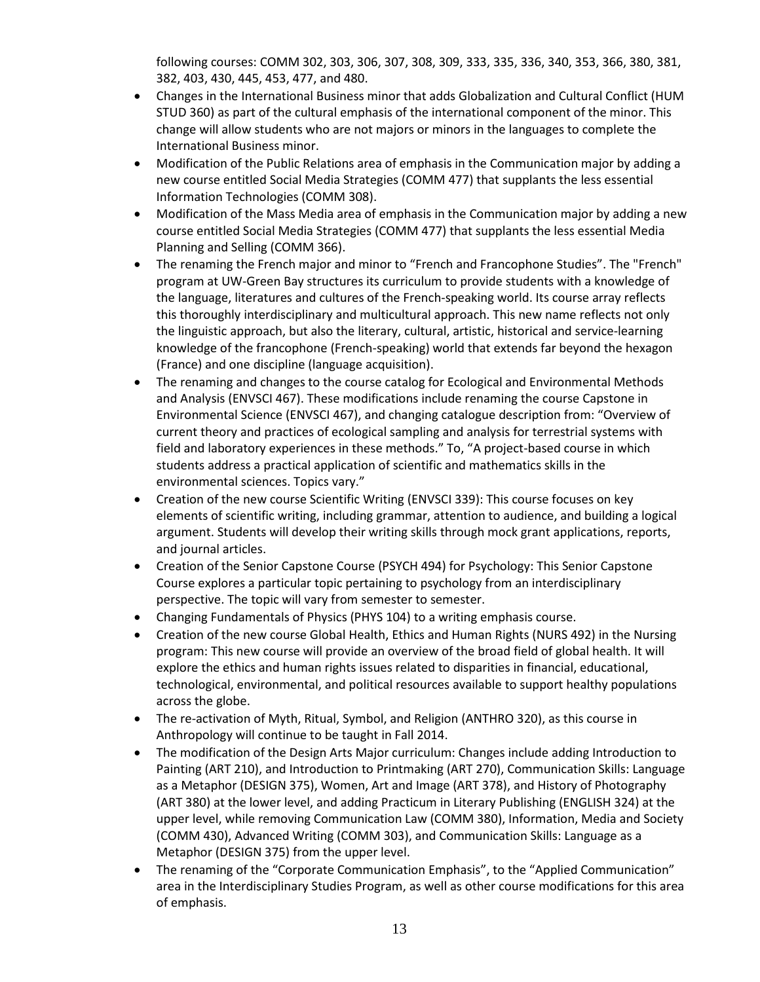following courses: COMM 302, 303, 306, 307, 308, 309, 333, 335, 336, 340, 353, 366, 380, 381, 382, 403, 430, 445, 453, 477, and 480.

- Changes in the International Business minor that adds Globalization and Cultural Conflict (HUM STUD 360) as part of the cultural emphasis of the international component of the minor. This change will allow students who are not majors or minors in the languages to complete the International Business minor.
- Modification of the Public Relations area of emphasis in the Communication major by adding a new course entitled Social Media Strategies (COMM 477) that supplants the less essential Information Technologies (COMM 308).
- Modification of the Mass Media area of emphasis in the Communication major by adding a new course entitled Social Media Strategies (COMM 477) that supplants the less essential Media Planning and Selling (COMM 366).
- The renaming the French major and minor to "French and Francophone Studies". The "French" program at UW-Green Bay structures its curriculum to provide students with a knowledge of the language, literatures and cultures of the French-speaking world. Its course array reflects this thoroughly interdisciplinary and multicultural approach. This new name reflects not only the linguistic approach, but also the literary, cultural, artistic, historical and service-learning knowledge of the francophone (French-speaking) world that extends far beyond the hexagon (France) and one discipline (language acquisition).
- The renaming and changes to the course catalog for Ecological and Environmental Methods and Analysis (ENVSCI 467). These modifications include renaming the course Capstone in Environmental Science (ENVSCI 467), and changing catalogue description from: "Overview of current theory and practices of ecological sampling and analysis for terrestrial systems with field and laboratory experiences in these methods." To, "A project-based course in which students address a practical application of scientific and mathematics skills in the environmental sciences. Topics vary."
- Creation of the new course Scientific Writing (ENVSCI 339): This course focuses on key elements of scientific writing, including grammar, attention to audience, and building a logical argument. Students will develop their writing skills through mock grant applications, reports, and journal articles.
- Creation of the Senior Capstone Course (PSYCH 494) for Psychology: This Senior Capstone Course explores a particular topic pertaining to psychology from an interdisciplinary perspective. The topic will vary from semester to semester.
- Changing Fundamentals of Physics (PHYS 104) to a writing emphasis course.
- Creation of the new course Global Health, Ethics and Human Rights (NURS 492) in the Nursing program: This new course will provide an overview of the broad field of global health. It will explore the ethics and human rights issues related to disparities in financial, educational, technological, environmental, and political resources available to support healthy populations across the globe.
- The re-activation of Myth, Ritual, Symbol, and Religion (ANTHRO 320), as this course in Anthropology will continue to be taught in Fall 2014.
- The modification of the Design Arts Major curriculum: Changes include adding Introduction to Painting (ART 210), and Introduction to Printmaking (ART 270), Communication Skills: Language as a Metaphor (DESIGN 375), Women, Art and Image (ART 378), and History of Photography (ART 380) at the lower level, and adding Practicum in Literary Publishing (ENGLISH 324) at the upper level, while removing Communication Law (COMM 380), Information, Media and Society (COMM 430), Advanced Writing (COMM 303), and Communication Skills: Language as a Metaphor (DESIGN 375) from the upper level.
- The renaming of the "Corporate Communication Emphasis", to the "Applied Communication" area in the Interdisciplinary Studies Program, as well as other course modifications for this area of emphasis.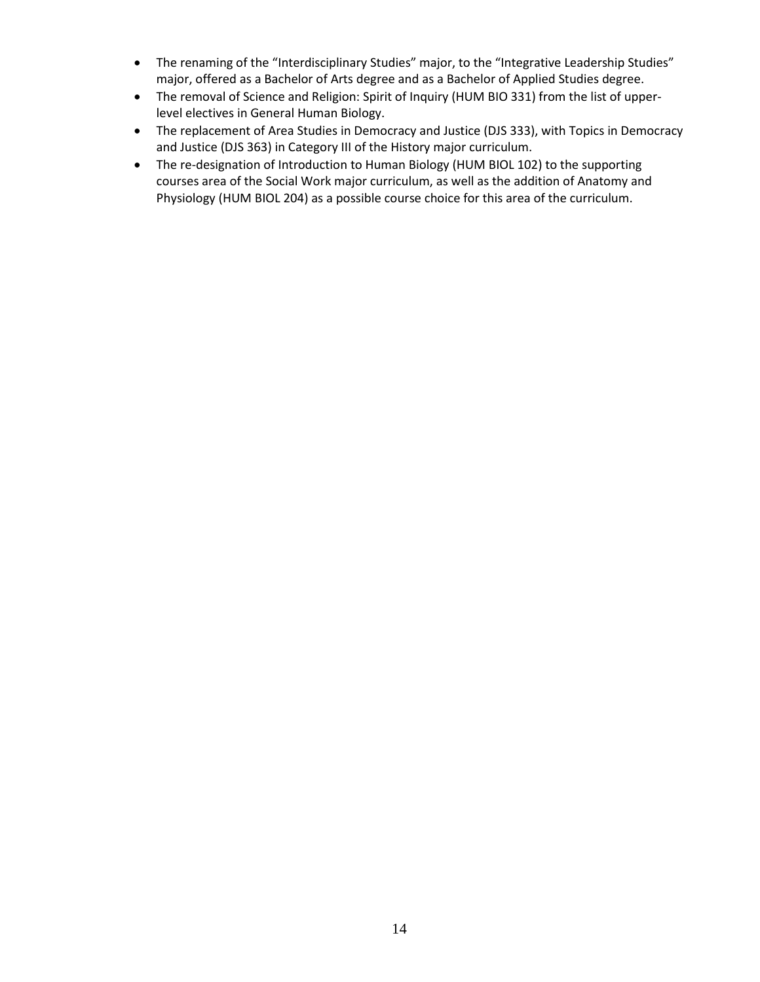- The renaming of the "Interdisciplinary Studies" major, to the "Integrative Leadership Studies" major, offered as a Bachelor of Arts degree and as a Bachelor of Applied Studies degree.
- The removal of Science and Religion: Spirit of Inquiry (HUM BIO 331) from the list of upperlevel electives in General Human Biology.
- The replacement of Area Studies in Democracy and Justice (DJS 333), with Topics in Democracy and Justice (DJS 363) in Category III of the History major curriculum.
- The re-designation of Introduction to Human Biology (HUM BIOL 102) to the supporting courses area of the Social Work major curriculum, as well as the addition of Anatomy and Physiology (HUM BIOL 204) as a possible course choice for this area of the curriculum.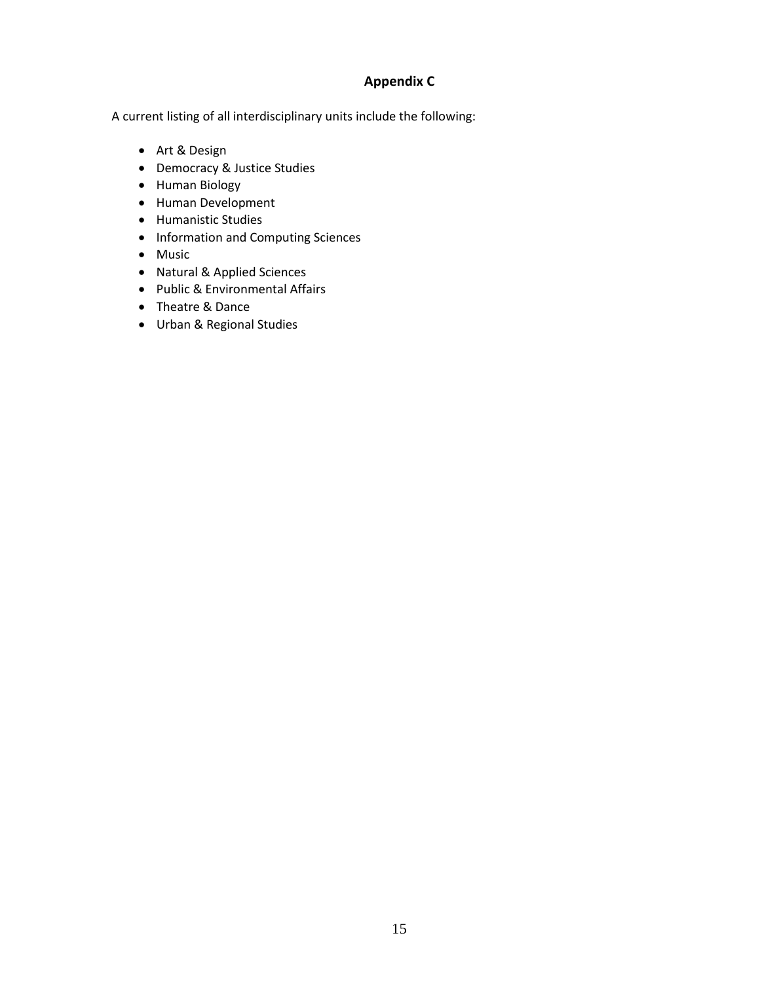## **Appendix C**

A current listing of all interdisciplinary units include the following:

- [Art & Design](http://www.uwgb.edu/avd/)
- [Democracy & Justice Studies](http://www.uwgb.edu/djs/)
- [Human Biology](http://www.uwgb.edu/humbio/)
- [Human Development](http://www.uwgb.edu/humdev/)
- [Humanistic Studies](http://www.uwgb.edu/humstudy/)
- [Information and Computing Sciences](http://www.uwgb.edu/ics/)
- [Music](http://www.uwgb.edu/music/)
- [Natural & Applied Sciences](http://www.uwgb.edu/nas/)
- [Public & Environmental Affairs](http://www.uwgb.edu/pea/)
- [Theatre & Dance](http://www.uwgb.edu/theatre/)
- [Urban & Regional Studies](http://www.uwgb.edu/urs/)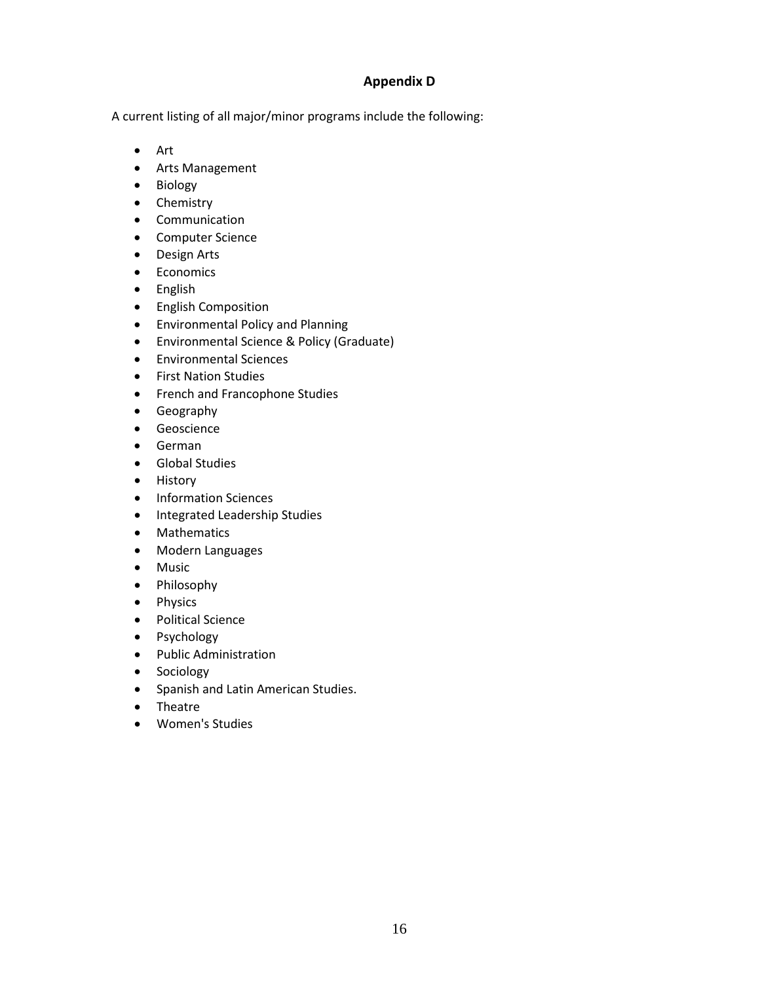#### **Appendix D**

A current listing of all major/minor programs include the following:

- [Art](http://www.uwgb.edu/art/)
- [Arts Management](http://www.uwgb.edu/artsmanagement/)
- [Biology](http://www.uwgb.edu/nas/)
- [Chemistry](http://www.uwgb.edu/nas/)
- [Communication](http://www.uwgb.edu/communication/)
- [Computer Science](http://www.uwgb.edu/compsci/)
- [Design Arts](http://www.uwgb.edu/design/)
- [Economics](http://www.uwgb.edu/economics/)
- [English](http://www.uwgb.edu/english/)
- [English Composition](http://www.uwgb.edu/composition/)
- [Environmental Policy and Planning](http://www.uwgb.edu/pea/)
- [Environmental Science & Policy](http://www.uwgb.edu/esp/) (Graduate)
- [Environmental Sciences](http://www.uwgb.edu/nas/)
- [First Nation Studies](http://www.uwgb.edu/fns/)
- French and Francophone Studies
- [Geography](http://www.uwgb.edu/geography/)
- [Geoscience](http://www.uwgb.edu/nas/)
- [German](http://www.uwgb.edu/german/)
- [Global Studies](http://www.uwgb.edu/global-studies/)
- [History](http://www.uwgb.edu/history/)
- [Information Sciences](http://www.uwgb.edu/infosci/)
- Integrated Leadership Studies
- [Mathematics](http://www.uwgb.edu/nas/)
- [Modern Languages](http://www.uwgb.edu/modlang/)
- [Music](http://www.uwgb.edu/music/)
- [Philosophy](http://www.uwgb.edu/philosophy/)
- [Physics](http://www.uwgb.edu/nas/)
- [Political Science](http://www.uwgb.edu/political-science/)
- [Psychology](http://www.uwgb.edu/psychology/)
- [Public Administration](http://www.uwgb.edu/pea/)
- [Sociology](http://www.uwgb.edu/sociology/)
- Spanish and Latin American Studies.
- [Theatre](http://www.uwgb.edu/theatre/)
- [Women's Studies](http://www.uwgb.edu/womens-studies/)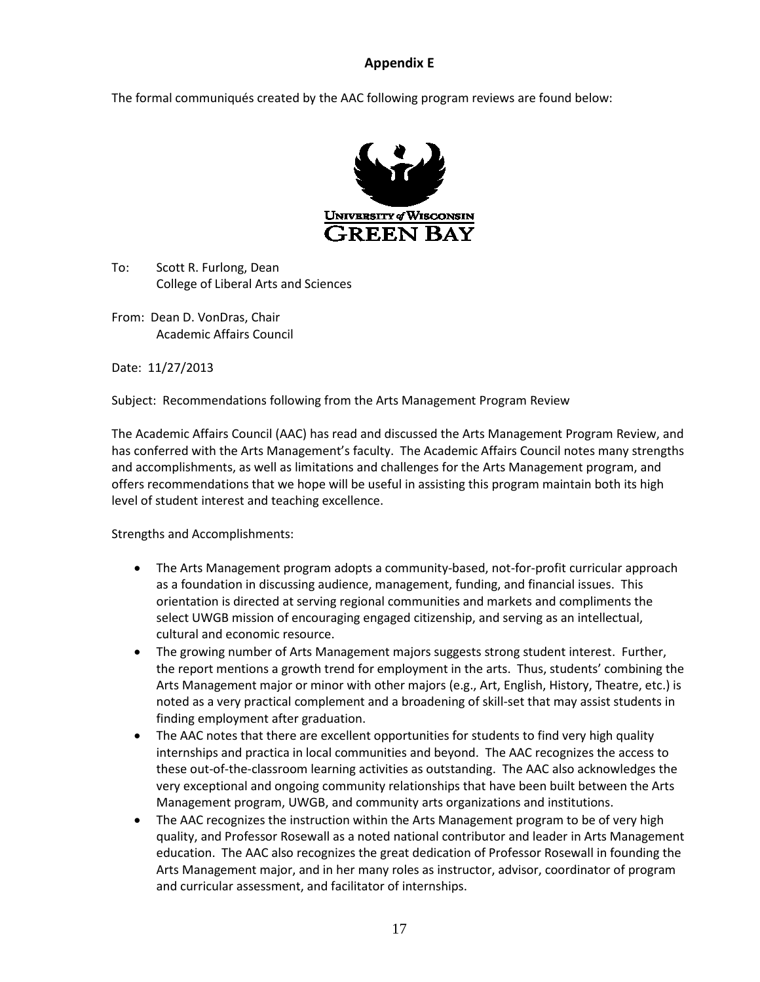#### **Appendix E**

The formal communiqués created by the AAC following program reviews are found below:



To: Scott R. Furlong, Dean College of Liberal Arts and Sciences

From: Dean D. VonDras, Chair Academic Affairs Council

Date: 11/27/2013

Subject: Recommendations following from the Arts Management Program Review

The Academic Affairs Council (AAC) has read and discussed the Arts Management Program Review, and has conferred with the Arts Management's faculty. The Academic Affairs Council notes many strengths and accomplishments, as well as limitations and challenges for the Arts Management program, and offers recommendations that we hope will be useful in assisting this program maintain both its high level of student interest and teaching excellence.

Strengths and Accomplishments:

- The Arts Management program adopts a community-based, not-for-profit curricular approach as a foundation in discussing audience, management, funding, and financial issues. This orientation is directed at serving regional communities and markets and compliments the select UWGB mission of encouraging engaged citizenship, and serving as an intellectual, cultural and economic resource.
- The growing number of Arts Management majors suggests strong student interest. Further, the report mentions a growth trend for employment in the arts. Thus, students' combining the Arts Management major or minor with other majors (e.g., Art, English, History, Theatre, etc.) is noted as a very practical complement and a broadening of skill-set that may assist students in finding employment after graduation.
- The AAC notes that there are excellent opportunities for students to find very high quality internships and practica in local communities and beyond. The AAC recognizes the access to these out-of-the-classroom learning activities as outstanding. The AAC also acknowledges the very exceptional and ongoing community relationships that have been built between the Arts Management program, UWGB, and community arts organizations and institutions.
- The AAC recognizes the instruction within the Arts Management program to be of very high quality, and Professor Rosewall as a noted national contributor and leader in Arts Management education. The AAC also recognizes the great dedication of Professor Rosewall in founding the Arts Management major, and in her many roles as instructor, advisor, coordinator of program and curricular assessment, and facilitator of internships.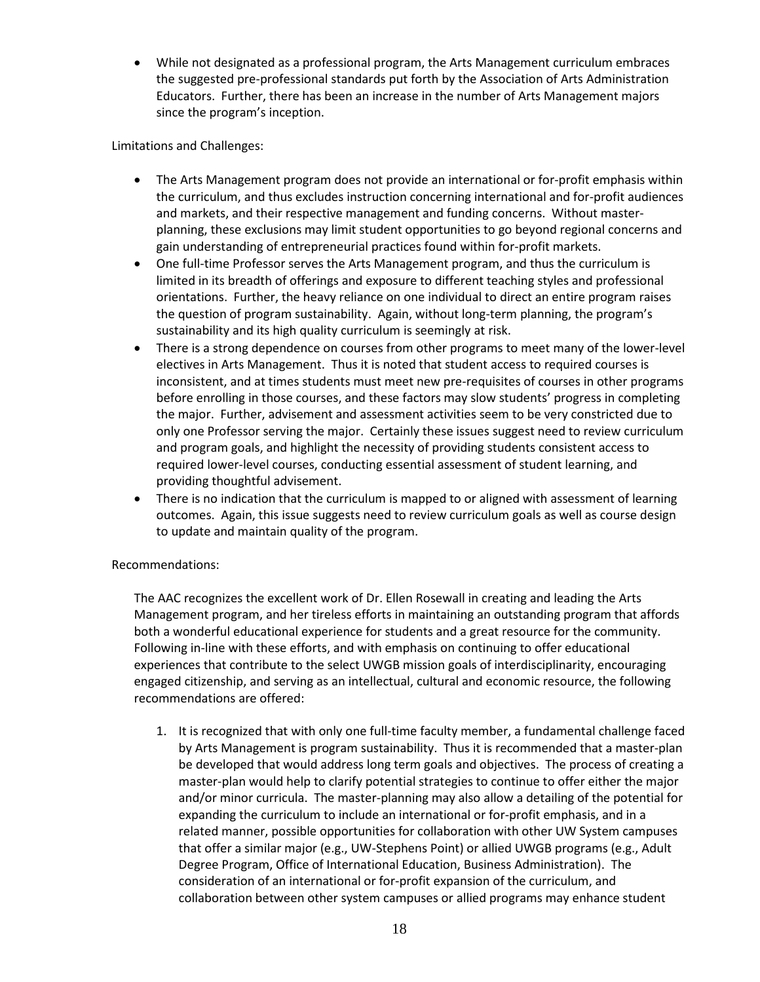• While not designated as a professional program, the Arts Management curriculum embraces the suggested pre-professional standards put forth by the Association of Arts Administration Educators. Further, there has been an increase in the number of Arts Management majors since the program's inception.

Limitations and Challenges:

- The Arts Management program does not provide an international or for-profit emphasis within the curriculum, and thus excludes instruction concerning international and for-profit audiences and markets, and their respective management and funding concerns. Without masterplanning, these exclusions may limit student opportunities to go beyond regional concerns and gain understanding of entrepreneurial practices found within for-profit markets.
- One full-time Professor serves the Arts Management program, and thus the curriculum is limited in its breadth of offerings and exposure to different teaching styles and professional orientations. Further, the heavy reliance on one individual to direct an entire program raises the question of program sustainability. Again, without long-term planning, the program's sustainability and its high quality curriculum is seemingly at risk.
- There is a strong dependence on courses from other programs to meet many of the lower-level electives in Arts Management. Thus it is noted that student access to required courses is inconsistent, and at times students must meet new pre-requisites of courses in other programs before enrolling in those courses, and these factors may slow students' progress in completing the major. Further, advisement and assessment activities seem to be very constricted due to only one Professor serving the major. Certainly these issues suggest need to review curriculum and program goals, and highlight the necessity of providing students consistent access to required lower-level courses, conducting essential assessment of student learning, and providing thoughtful advisement.
- There is no indication that the curriculum is mapped to or aligned with assessment of learning outcomes. Again, this issue suggests need to review curriculum goals as well as course design to update and maintain quality of the program.

#### Recommendations:

The AAC recognizes the excellent work of Dr. Ellen Rosewall in creating and leading the Arts Management program, and her tireless efforts in maintaining an outstanding program that affords both a wonderful educational experience for students and a great resource for the community. Following in-line with these efforts, and with emphasis on continuing to offer educational experiences that contribute to the select UWGB mission goals of interdisciplinarity, encouraging engaged citizenship, and serving as an intellectual, cultural and economic resource, the following recommendations are offered:

1. It is recognized that with only one full-time faculty member, a fundamental challenge faced by Arts Management is program sustainability. Thus it is recommended that a master-plan be developed that would address long term goals and objectives. The process of creating a master-plan would help to clarify potential strategies to continue to offer either the major and/or minor curricula. The master-planning may also allow a detailing of the potential for expanding the curriculum to include an international or for-profit emphasis, and in a related manner, possible opportunities for collaboration with other UW System campuses that offer a similar major (e.g., UW-Stephens Point) or allied UWGB programs (e.g., Adult Degree Program, Office of International Education, Business Administration). The consideration of an international or for-profit expansion of the curriculum, and collaboration between other system campuses or allied programs may enhance student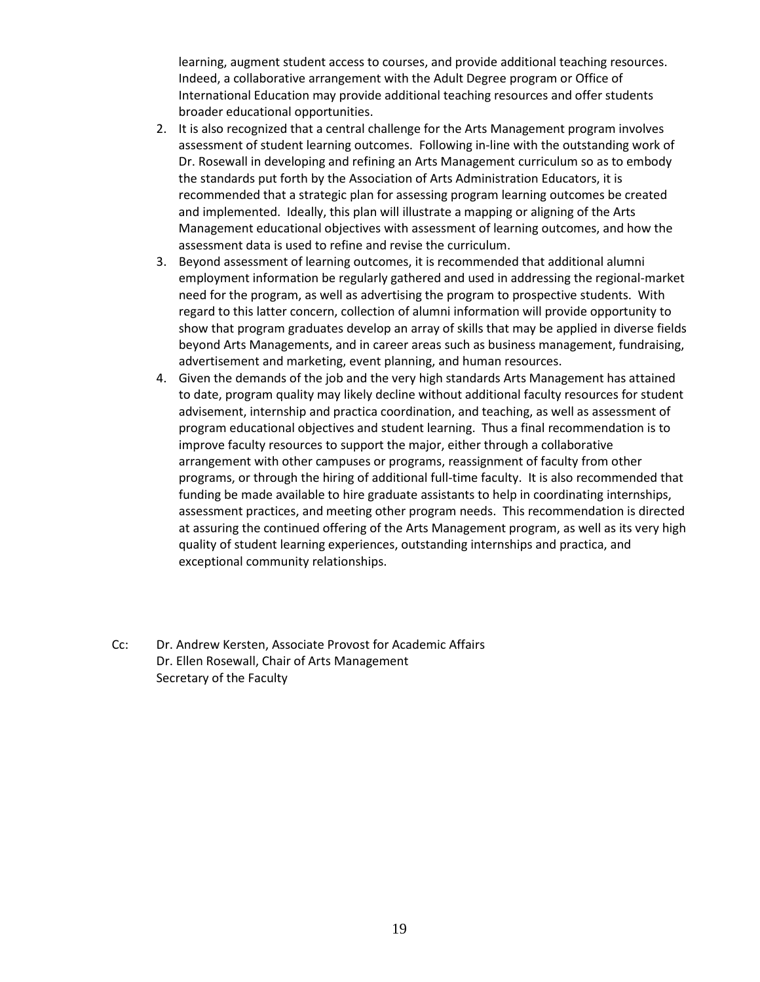learning, augment student access to courses, and provide additional teaching resources. Indeed, a collaborative arrangement with the Adult Degree program or Office of International Education may provide additional teaching resources and offer students broader educational opportunities.

- 2. It is also recognized that a central challenge for the Arts Management program involves assessment of student learning outcomes. Following in-line with the outstanding work of Dr. Rosewall in developing and refining an Arts Management curriculum so as to embody the standards put forth by the Association of Arts Administration Educators, it is recommended that a strategic plan for assessing program learning outcomes be created and implemented. Ideally, this plan will illustrate a mapping or aligning of the Arts Management educational objectives with assessment of learning outcomes, and how the assessment data is used to refine and revise the curriculum.
- 3. Beyond assessment of learning outcomes, it is recommended that additional alumni employment information be regularly gathered and used in addressing the regional-market need for the program, as well as advertising the program to prospective students. With regard to this latter concern, collection of alumni information will provide opportunity to show that program graduates develop an array of skills that may be applied in diverse fields beyond Arts Managements, and in career areas such as business management, fundraising, advertisement and marketing, event planning, and human resources.
- 4. Given the demands of the job and the very high standards Arts Management has attained to date, program quality may likely decline without additional faculty resources for student advisement, internship and practica coordination, and teaching, as well as assessment of program educational objectives and student learning. Thus a final recommendation is to improve faculty resources to support the major, either through a collaborative arrangement with other campuses or programs, reassignment of faculty from other programs, or through the hiring of additional full-time faculty. It is also recommended that funding be made available to hire graduate assistants to help in coordinating internships, assessment practices, and meeting other program needs. This recommendation is directed at assuring the continued offering of the Arts Management program, as well as its very high quality of student learning experiences, outstanding internships and practica, and exceptional community relationships.
- Cc: Dr. Andrew Kersten, Associate Provost for Academic Affairs Dr. Ellen Rosewall, Chair of Arts Management Secretary of the Faculty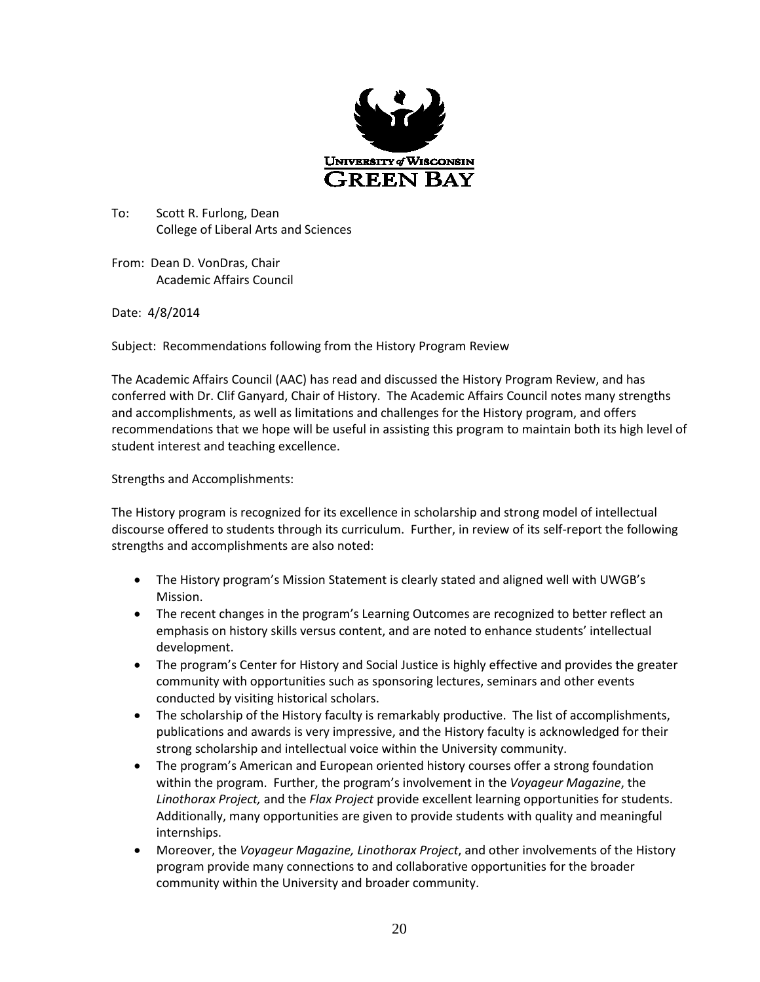

To: Scott R. Furlong, Dean College of Liberal Arts and Sciences

From: Dean D. VonDras, Chair Academic Affairs Council

Date: 4/8/2014

Subject: Recommendations following from the History Program Review

The Academic Affairs Council (AAC) has read and discussed the History Program Review, and has conferred with Dr. Clif Ganyard, Chair of History. The Academic Affairs Council notes many strengths and accomplishments, as well as limitations and challenges for the History program, and offers recommendations that we hope will be useful in assisting this program to maintain both its high level of student interest and teaching excellence.

Strengths and Accomplishments:

The History program is recognized for its excellence in scholarship and strong model of intellectual discourse offered to students through its curriculum. Further, in review of its self-report the following strengths and accomplishments are also noted:

- The History program's Mission Statement is clearly stated and aligned well with UWGB's Mission.
- The recent changes in the program's Learning Outcomes are recognized to better reflect an emphasis on history skills versus content, and are noted to enhance students' intellectual development.
- The program's Center for History and Social Justice is highly effective and provides the greater community with opportunities such as sponsoring lectures, seminars and other events conducted by visiting historical scholars.
- The scholarship of the History faculty is remarkably productive. The list of accomplishments, publications and awards is very impressive, and the History faculty is acknowledged for their strong scholarship and intellectual voice within the University community.
- The program's American and European oriented history courses offer a strong foundation within the program. Further, the program's involvement in the *Voyageur Magazine*, the *Linothorax Project,* and the *Flax Project* provide excellent learning opportunities for students. Additionally, many opportunities are given to provide students with quality and meaningful internships.
- Moreover, the *Voyageur Magazine, Linothorax Project*, and other involvements of the History program provide many connections to and collaborative opportunities for the broader community within the University and broader community.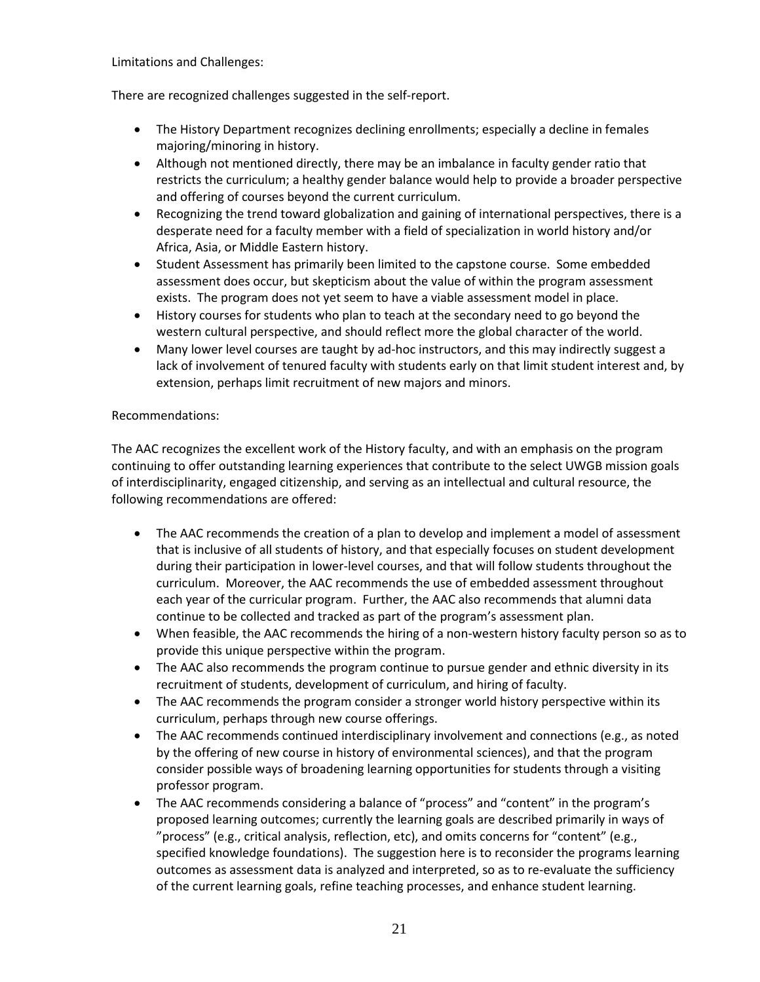Limitations and Challenges:

There are recognized challenges suggested in the self-report.

- The History Department recognizes declining enrollments; especially a decline in females majoring/minoring in history.
- Although not mentioned directly, there may be an imbalance in faculty gender ratio that restricts the curriculum; a healthy gender balance would help to provide a broader perspective and offering of courses beyond the current curriculum.
- Recognizing the trend toward globalization and gaining of international perspectives, there is a desperate need for a faculty member with a field of specialization in world history and/or Africa, Asia, or Middle Eastern history.
- Student Assessment has primarily been limited to the capstone course. Some embedded assessment does occur, but skepticism about the value of within the program assessment exists. The program does not yet seem to have a viable assessment model in place.
- History courses for students who plan to teach at the secondary need to go beyond the western cultural perspective, and should reflect more the global character of the world.
- Many lower level courses are taught by ad-hoc instructors, and this may indirectly suggest a lack of involvement of tenured faculty with students early on that limit student interest and, by extension, perhaps limit recruitment of new majors and minors.

#### Recommendations:

The AAC recognizes the excellent work of the History faculty, and with an emphasis on the program continuing to offer outstanding learning experiences that contribute to the select UWGB mission goals of interdisciplinarity, engaged citizenship, and serving as an intellectual and cultural resource, the following recommendations are offered:

- The AAC recommends the creation of a plan to develop and implement a model of assessment that is inclusive of all students of history, and that especially focuses on student development during their participation in lower-level courses, and that will follow students throughout the curriculum. Moreover, the AAC recommends the use of embedded assessment throughout each year of the curricular program. Further, the AAC also recommends that alumni data continue to be collected and tracked as part of the program's assessment plan.
- When feasible, the AAC recommends the hiring of a non-western history faculty person so as to provide this unique perspective within the program.
- The AAC also recommends the program continue to pursue gender and ethnic diversity in its recruitment of students, development of curriculum, and hiring of faculty.
- The AAC recommends the program consider a stronger world history perspective within its curriculum, perhaps through new course offerings.
- The AAC recommends continued interdisciplinary involvement and connections (e.g., as noted by the offering of new course in history of environmental sciences), and that the program consider possible ways of broadening learning opportunities for students through a visiting professor program.
- The AAC recommends considering a balance of "process" and "content" in the program's proposed learning outcomes; currently the learning goals are described primarily in ways of "process" (e.g., critical analysis, reflection, etc), and omits concerns for "content" (e.g., specified knowledge foundations). The suggestion here is to reconsider the programs learning outcomes as assessment data is analyzed and interpreted, so as to re-evaluate the sufficiency of the current learning goals, refine teaching processes, and enhance student learning.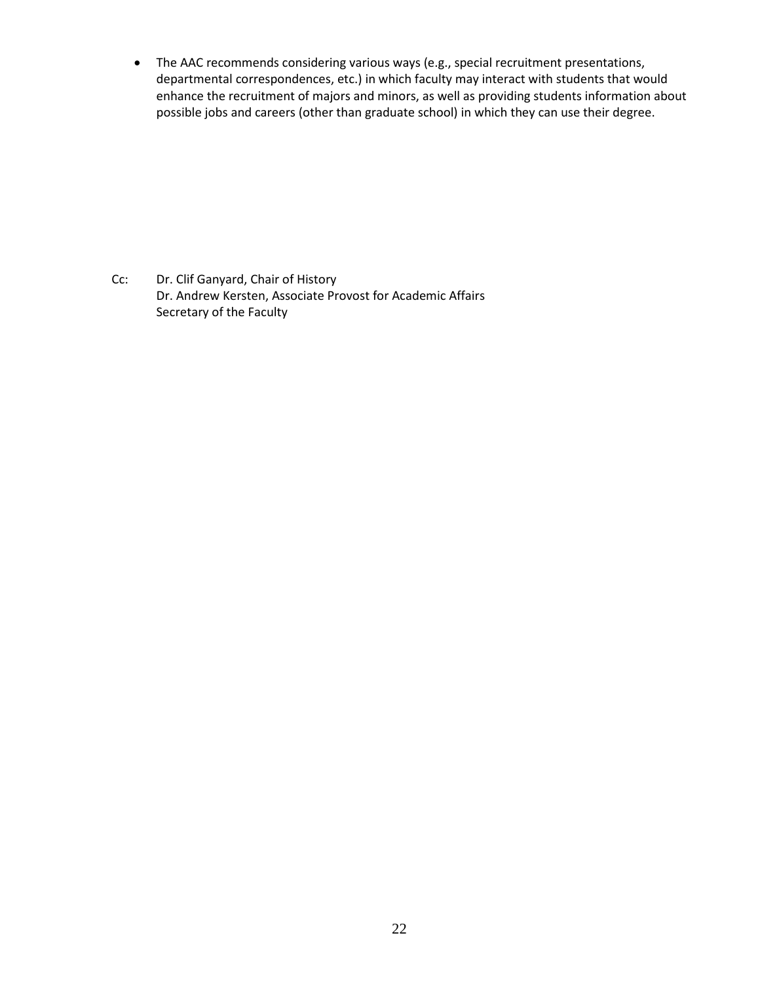• The AAC recommends considering various ways (e.g., special recruitment presentations, departmental correspondences, etc.) in which faculty may interact with students that would enhance the recruitment of majors and minors, as well as providing students information about possible jobs and careers (other than graduate school) in which they can use their degree.

Cc: Dr. Clif Ganyard, Chair of History Dr. Andrew Kersten, Associate Provost for Academic Affairs Secretary of the Faculty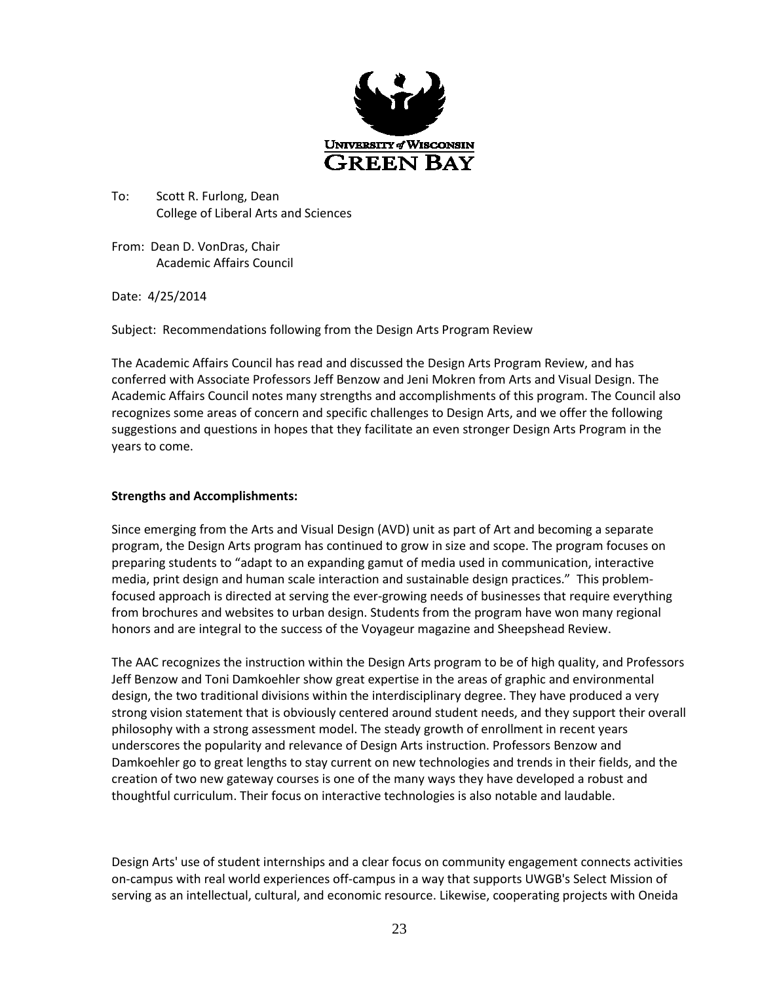

To: Scott R. Furlong, Dean College of Liberal Arts and Sciences

From: Dean D. VonDras, Chair Academic Affairs Council

Date: 4/25/2014

Subject: Recommendations following from the Design Arts Program Review

The Academic Affairs Council has read and discussed the Design Arts Program Review, and has conferred with Associate Professors Jeff Benzow and Jeni Mokren from Arts and Visual Design. The Academic Affairs Council notes many strengths and accomplishments of this program. The Council also recognizes some areas of concern and specific challenges to Design Arts, and we offer the following suggestions and questions in hopes that they facilitate an even stronger Design Arts Program in the years to come.

#### **Strengths and Accomplishments:**

Since emerging from the Arts and Visual Design (AVD) unit as part of Art and becoming a separate program, the Design Arts program has continued to grow in size and scope. The program focuses on preparing students to "adapt to an expanding gamut of media used in communication, interactive media, print design and human scale interaction and sustainable design practices." This problemfocused approach is directed at serving the ever-growing needs of businesses that require everything from brochures and websites to urban design. Students from the program have won many regional honors and are integral to the success of the Voyageur magazine and Sheepshead Review.

The AAC recognizes the instruction within the Design Arts program to be of high quality, and Professors Jeff Benzow and Toni Damkoehler show great expertise in the areas of graphic and environmental design, the two traditional divisions within the interdisciplinary degree. They have produced a very strong vision statement that is obviously centered around student needs, and they support their overall philosophy with a strong assessment model. The steady growth of enrollment in recent years underscores the popularity and relevance of Design Arts instruction. Professors Benzow and Damkoehler go to great lengths to stay current on new technologies and trends in their fields, and the creation of two new gateway courses is one of the many ways they have developed a robust and thoughtful curriculum. Their focus on interactive technologies is also notable and laudable.

Design Arts' use of student internships and a clear focus on community engagement connects activities on-campus with real world experiences off-campus in a way that supports UWGB's Select Mission of serving as an intellectual, cultural, and economic resource. Likewise, cooperating projects with Oneida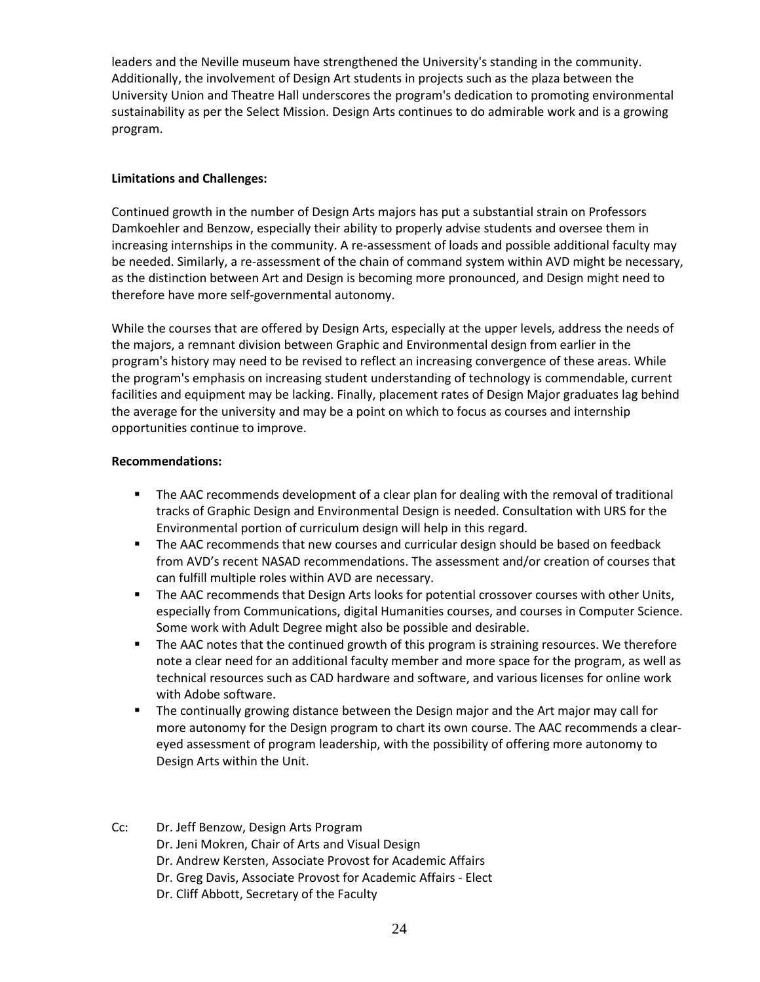leaders and the Neville museum have strengthened the University's standing in the community. Additionally, the involvement of Design Art students in projects such as the plaza between the University Union and Theatre Hall underscores the program's dedication to promoting environmental sustainability as per the Select Mission. Design Arts continues to do admirable work and is a growing program.

#### **Limitations and Challenges:**

Continued growth in the number of Design Arts majors has put a substantial strain on Professors Damkoehler and Benzow, especially their ability to properly advise students and oversee them in increasing internships in the community. A re-assessment of loads and possible additional faculty may be needed. Similarly, a re-assessment of the chain of command system within AVD might be necessary, as the distinction between Art and Design is becoming more pronounced, and Design might need to therefore have more self-governmental autonomy.

While the courses that are offered by Design Arts, especially at the upper levels, address the needs of the majors, a remnant division between Graphic and Environmental design from earlier in the program's history may need to be revised to reflect an increasing convergence of these areas. While the program's emphasis on increasing student understanding of technology is commendable, current facilities and equipment may be lacking. Finally, placement rates of Design Major graduates lag behind the average for the university and may be a point on which to focus as courses and internship opportunities continue to improve.

#### **Recommendations:**

- **The AAC recommends development of a clear plan for dealing with the removal of traditional** tracks of Graphic Design and Environmental Design is needed. Consultation with URS for the Environmental portion of curriculum design will help in this regard.
- **The AAC recommends that new courses and curricular design should be based on feedback** from AVD's recent NASAD recommendations. The assessment and/or creation of courses that can fulfill multiple roles within AVD are necessary.
- **The AAC recommends that Design Arts looks for potential crossover courses with other Units,** especially from Communications, digital Humanities courses, and courses in Computer Science. Some work with Adult Degree might also be possible and desirable.
- The AAC notes that the continued growth of this program is straining resources. We therefore note a clear need for an additional faculty member and more space for the program, as well as technical resources such as CAD hardware and software, and various licenses for online work with Adobe software.
- The continually growing distance between the Design major and the Art major may call for more autonomy for the Design program to chart its own course. The AAC recommends a cleareyed assessment of program leadership, with the possibility of offering more autonomy to Design Arts within the Unit.
- Cc: Dr. Jeff Benzow, Design Arts Program Dr. Jeni Mokren, Chair of Arts and Visual Design Dr. Andrew Kersten, Associate Provost for Academic Affairs Dr. Greg Davis, Associate Provost for Academic Affairs - Elect Dr. Cliff Abbott, Secretary of the Faculty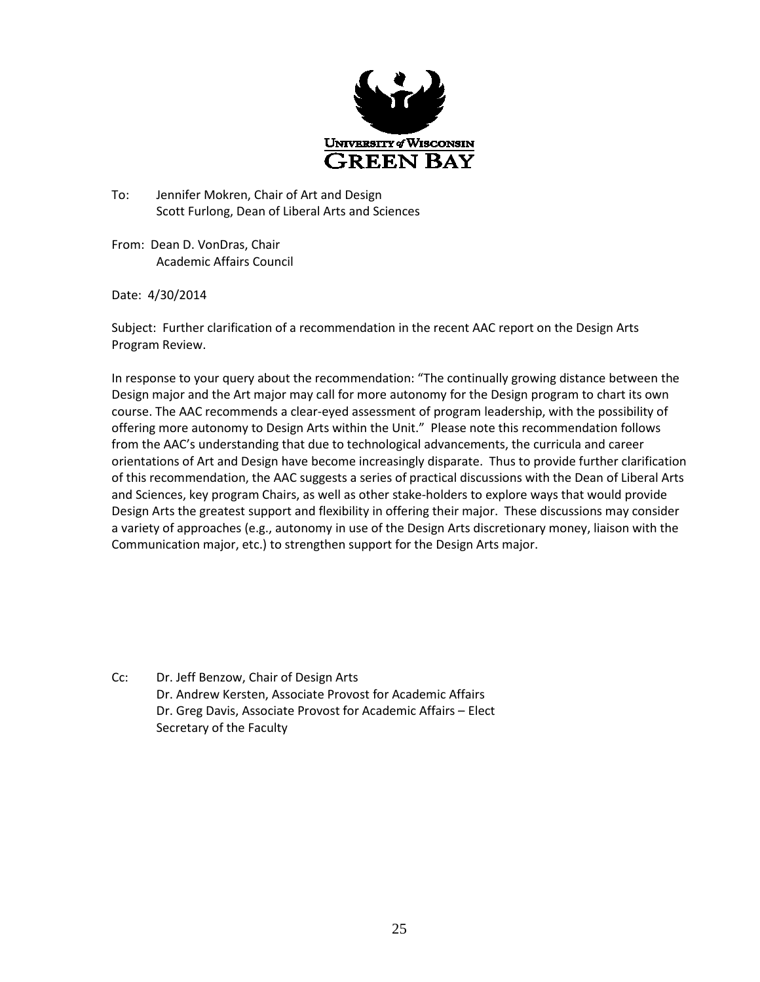

To: Jennifer Mokren, Chair of Art and Design Scott Furlong, Dean of Liberal Arts and Sciences

From: Dean D. VonDras, Chair Academic Affairs Council

Date: 4/30/2014

Subject: Further clarification of a recommendation in the recent AAC report on the Design Arts Program Review.

In response to your query about the recommendation: "The continually growing distance between the Design major and the Art major may call for more autonomy for the Design program to chart its own course. The AAC recommends a clear-eyed assessment of program leadership, with the possibility of offering more autonomy to Design Arts within the Unit." Please note this recommendation follows from the AAC's understanding that due to technological advancements, the curricula and career orientations of Art and Design have become increasingly disparate. Thus to provide further clarification of this recommendation, the AAC suggests a series of practical discussions with the Dean of Liberal Arts and Sciences, key program Chairs, as well as other stake-holders to explore ways that would provide Design Arts the greatest support and flexibility in offering their major. These discussions may consider a variety of approaches (e.g., autonomy in use of the Design Arts discretionary money, liaison with the Communication major, etc.) to strengthen support for the Design Arts major.

Cc: Dr. Jeff Benzow, Chair of Design Arts Dr. Andrew Kersten, Associate Provost for Academic Affairs Dr. Greg Davis, Associate Provost for Academic Affairs – Elect Secretary of the Faculty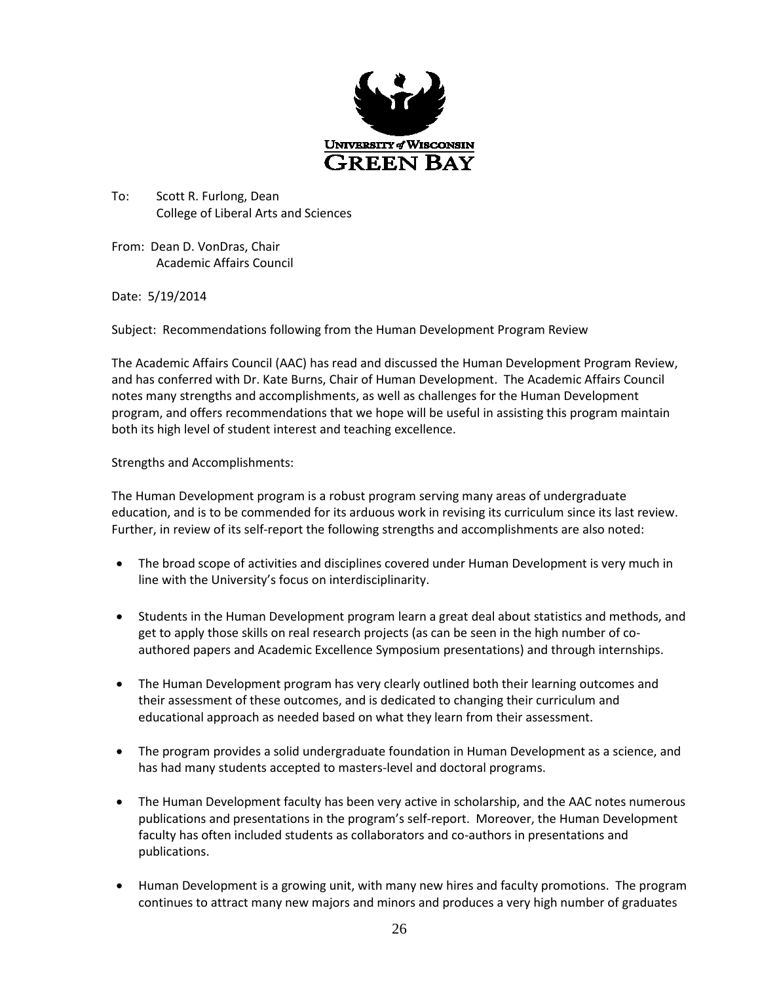

To: Scott R. Furlong, Dean College of Liberal Arts and Sciences

From: Dean D. VonDras, Chair Academic Affairs Council

Date: 5/19/2014

Subject: Recommendations following from the Human Development Program Review

The Academic Affairs Council (AAC) has read and discussed the Human Development Program Review, and has conferred with Dr. Kate Burns, Chair of Human Development. The Academic Affairs Council notes many strengths and accomplishments, as well as challenges for the Human Development program, and offers recommendations that we hope will be useful in assisting this program maintain both its high level of student interest and teaching excellence.

Strengths and Accomplishments:

The Human Development program is a robust program serving many areas of undergraduate education, and is to be commended for its arduous work in revising its curriculum since its last review. Further, in review of its self-report the following strengths and accomplishments are also noted:

- The broad scope of activities and disciplines covered under Human Development is very much in line with the University's focus on interdisciplinarity.
- Students in the Human Development program learn a great deal about statistics and methods, and get to apply those skills on real research projects (as can be seen in the high number of coauthored papers and Academic Excellence Symposium presentations) and through internships.
- The Human Development program has very clearly outlined both their learning outcomes and their assessment of these outcomes, and is dedicated to changing their curriculum and educational approach as needed based on what they learn from their assessment.
- The program provides a solid undergraduate foundation in Human Development as a science, and has had many students accepted to masters-level and doctoral programs.
- The Human Development faculty has been very active in scholarship, and the AAC notes numerous publications and presentations in the program's self-report. Moreover, the Human Development faculty has often included students as collaborators and co-authors in presentations and publications.
- Human Development is a growing unit, with many new hires and faculty promotions. The program continues to attract many new majors and minors and produces a very high number of graduates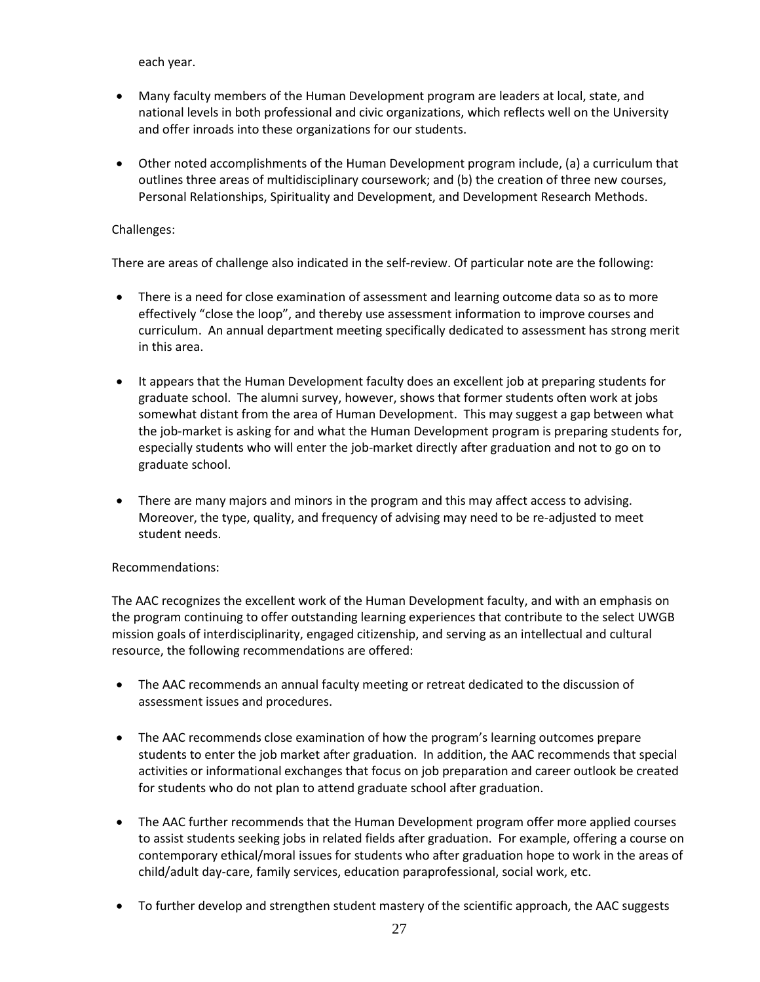each year.

- Many faculty members of the Human Development program are leaders at local, state, and national levels in both professional and civic organizations, which reflects well on the University and offer inroads into these organizations for our students.
- Other noted accomplishments of the Human Development program include, (a) a curriculum that outlines three areas of multidisciplinary coursework; and (b) the creation of three new courses, Personal Relationships, Spirituality and Development, and Development Research Methods.

#### Challenges:

There are areas of challenge also indicated in the self-review. Of particular note are the following:

- There is a need for close examination of assessment and learning outcome data so as to more effectively "close the loop", and thereby use assessment information to improve courses and curriculum. An annual department meeting specifically dedicated to assessment has strong merit in this area.
- It appears that the Human Development faculty does an excellent job at preparing students for graduate school. The alumni survey, however, shows that former students often work at jobs somewhat distant from the area of Human Development. This may suggest a gap between what the job-market is asking for and what the Human Development program is preparing students for, especially students who will enter the job-market directly after graduation and not to go on to graduate school.
- There are many majors and minors in the program and this may affect access to advising. Moreover, the type, quality, and frequency of advising may need to be re-adjusted to meet student needs.

#### Recommendations:

The AAC recognizes the excellent work of the Human Development faculty, and with an emphasis on the program continuing to offer outstanding learning experiences that contribute to the select UWGB mission goals of interdisciplinarity, engaged citizenship, and serving as an intellectual and cultural resource, the following recommendations are offered:

- The AAC recommends an annual faculty meeting or retreat dedicated to the discussion of assessment issues and procedures.
- The AAC recommends close examination of how the program's learning outcomes prepare students to enter the job market after graduation. In addition, the AAC recommends that special activities or informational exchanges that focus on job preparation and career outlook be created for students who do not plan to attend graduate school after graduation.
- The AAC further recommends that the Human Development program offer more applied courses to assist students seeking jobs in related fields after graduation. For example, offering a course on contemporary ethical/moral issues for students who after graduation hope to work in the areas of child/adult day-care, family services, education paraprofessional, social work, etc.
- To further develop and strengthen student mastery of the scientific approach, the AAC suggests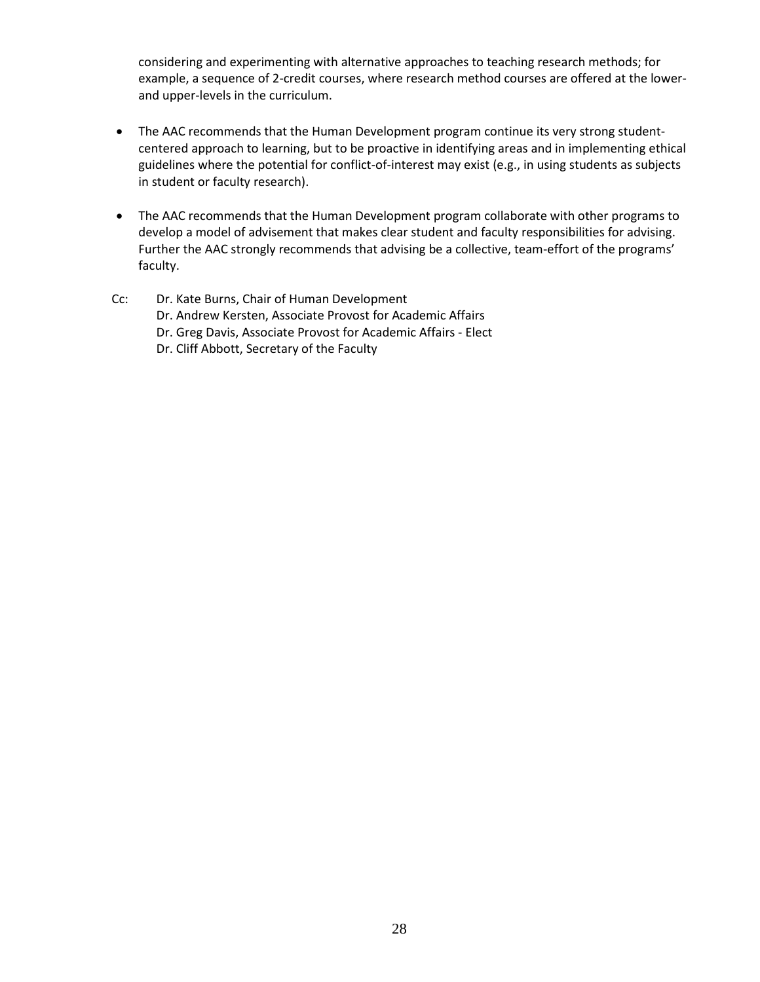considering and experimenting with alternative approaches to teaching research methods; for example, a sequence of 2-credit courses, where research method courses are offered at the lowerand upper-levels in the curriculum.

- The AAC recommends that the Human Development program continue its very strong studentcentered approach to learning, but to be proactive in identifying areas and in implementing ethical guidelines where the potential for conflict-of-interest may exist (e.g., in using students as subjects in student or faculty research).
- The AAC recommends that the Human Development program collaborate with other programs to develop a model of advisement that makes clear student and faculty responsibilities for advising. Further the AAC strongly recommends that advising be a collective, team-effort of the programs' faculty.
- Cc: Dr. Kate Burns, Chair of Human Development Dr. Andrew Kersten, Associate Provost for Academic Affairs Dr. Greg Davis, Associate Provost for Academic Affairs - Elect Dr. Cliff Abbott, Secretary of the Faculty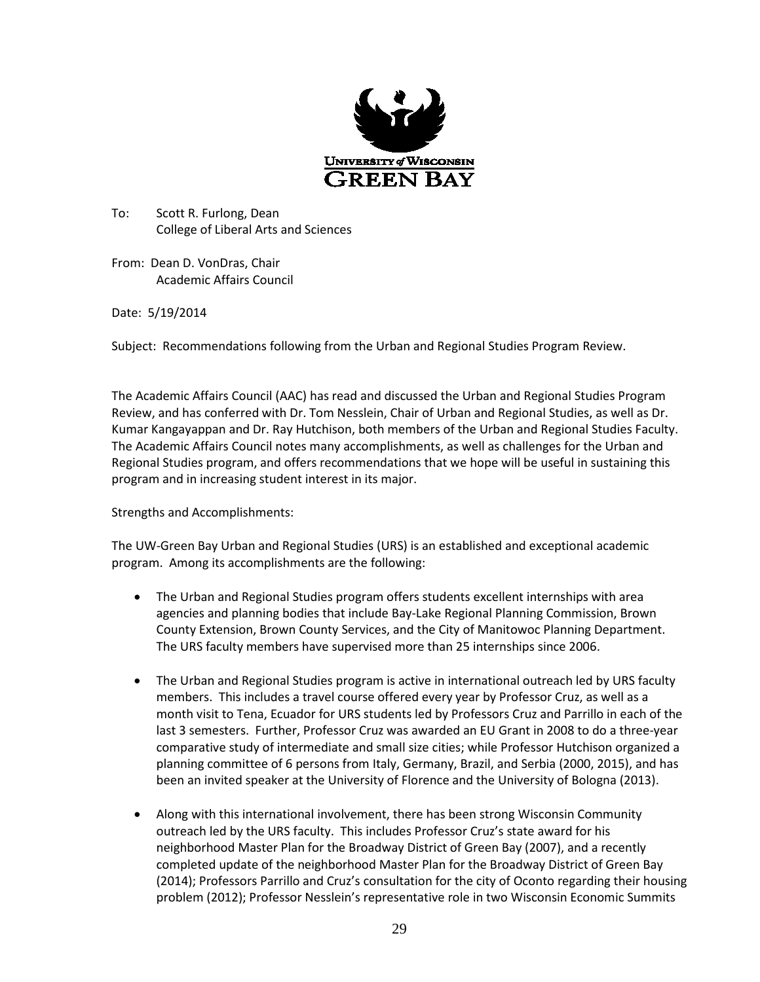

To: Scott R. Furlong, Dean College of Liberal Arts and Sciences

From: Dean D. VonDras, Chair Academic Affairs Council

Date: 5/19/2014

Subject: Recommendations following from the Urban and Regional Studies Program Review.

The Academic Affairs Council (AAC) has read and discussed the Urban and Regional Studies Program Review, and has conferred with Dr. Tom Nesslein, Chair of Urban and Regional Studies, as well as Dr. Kumar Kangayappan and Dr. Ray Hutchison, both members of the Urban and Regional Studies Faculty. The Academic Affairs Council notes many accomplishments, as well as challenges for the Urban and Regional Studies program, and offers recommendations that we hope will be useful in sustaining this program and in increasing student interest in its major.

Strengths and Accomplishments:

The UW-Green Bay Urban and Regional Studies (URS) is an established and exceptional academic program. Among its accomplishments are the following:

- The Urban and Regional Studies program offers students excellent internships with area agencies and planning bodies that include Bay-Lake Regional Planning Commission, Brown County Extension, Brown County Services, and the City of Manitowoc Planning Department. The URS faculty members have supervised more than 25 internships since 2006.
- The Urban and Regional Studies program is active in international outreach led by URS faculty members. This includes a travel course offered every year by Professor Cruz, as well as a month visit to Tena, Ecuador for URS students led by Professors Cruz and Parrillo in each of the last 3 semesters. Further, Professor Cruz was awarded an EU Grant in 2008 to do a three-year comparative study of intermediate and small size cities; while Professor Hutchison organized a planning committee of 6 persons from Italy, Germany, Brazil, and Serbia (2000, 2015), and has been an invited speaker at the University of Florence and the University of Bologna (2013).
- Along with this international involvement, there has been strong Wisconsin Community outreach led by the URS faculty. This includes Professor Cruz's state award for his neighborhood Master Plan for the Broadway District of Green Bay (2007), and a recently completed update of the neighborhood Master Plan for the Broadway District of Green Bay (2014); Professors Parrillo and Cruz's consultation for the city of Oconto regarding their housing problem (2012); Professor Nesslein's representative role in two Wisconsin Economic Summits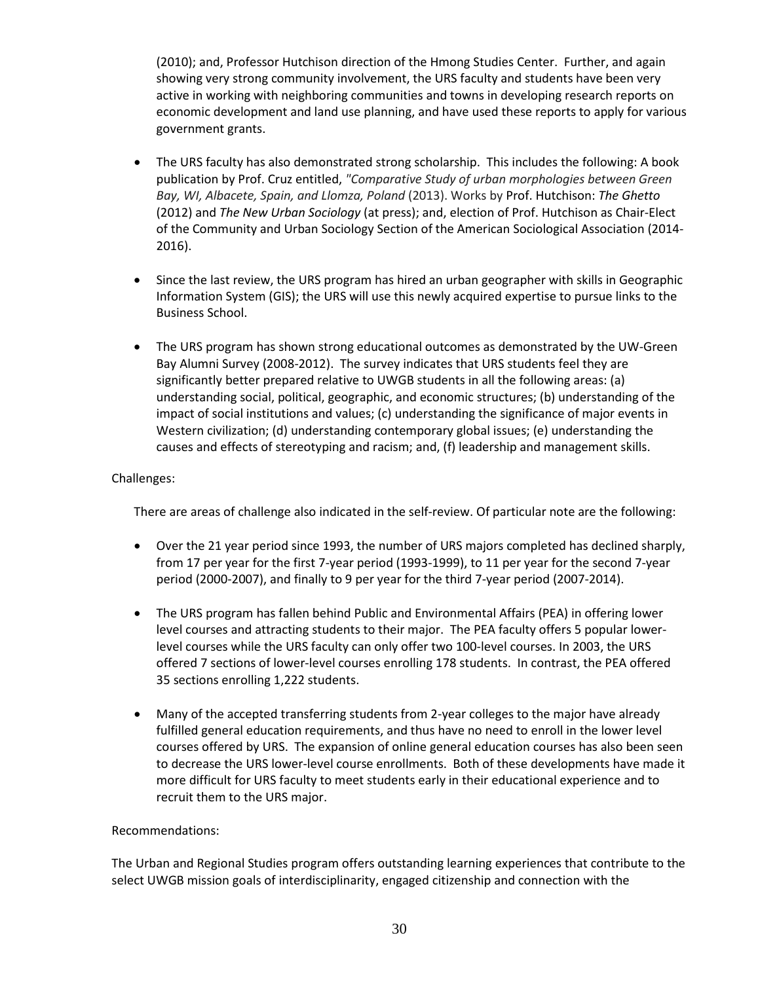(2010); and, Professor Hutchison direction of the Hmong Studies Center. Further, and again showing very strong community involvement, the URS faculty and students have been very active in working with neighboring communities and towns in developing research reports on economic development and land use planning, and have used these reports to apply for various government grants.

- The URS faculty has also demonstrated strong scholarship. This includes the following: A book publication by Prof. Cruz entitled, *"Comparative Study of urban morphologies between Green Bay, WI, Albacete, Spain, and Llomza, Poland* (2013). Works by Prof. Hutchison: *The Ghetto* (2012) and *The New Urban Sociology* (at press); and, election of Prof. Hutchison as Chair-Elect of the Community and Urban Sociology Section of the American Sociological Association (2014- 2016).
- Since the last review, the URS program has hired an urban geographer with skills in Geographic Information System (GIS); the URS will use this newly acquired expertise to pursue links to the Business School.
- The URS program has shown strong educational outcomes as demonstrated by the UW-Green Bay Alumni Survey (2008-2012). The survey indicates that URS students feel they are significantly better prepared relative to UWGB students in all the following areas: (a) understanding social, political, geographic, and economic structures; (b) understanding of the impact of social institutions and values; (c) understanding the significance of major events in Western civilization; (d) understanding contemporary global issues; (e) understanding the causes and effects of stereotyping and racism; and, (f) leadership and management skills.

#### Challenges:

There are areas of challenge also indicated in the self-review. Of particular note are the following:

- Over the 21 year period since 1993, the number of URS majors completed has declined sharply, from 17 per year for the first 7-year period (1993-1999), to 11 per year for the second 7-year period (2000-2007), and finally to 9 per year for the third 7-year period (2007-2014).
- The URS program has fallen behind Public and Environmental Affairs (PEA) in offering lower level courses and attracting students to their major. The PEA faculty offers 5 popular lowerlevel courses while the URS faculty can only offer two 100-level courses. In 2003, the URS offered 7 sections of lower-level courses enrolling 178 students. In contrast, the PEA offered 35 sections enrolling 1,222 students.
- Many of the accepted transferring students from 2-year colleges to the major have already fulfilled general education requirements, and thus have no need to enroll in the lower level courses offered by URS. The expansion of online general education courses has also been seen to decrease the URS lower-level course enrollments. Both of these developments have made it more difficult for URS faculty to meet students early in their educational experience and to recruit them to the URS major.

#### Recommendations:

The Urban and Regional Studies program offers outstanding learning experiences that contribute to the select UWGB mission goals of interdisciplinarity, engaged citizenship and connection with the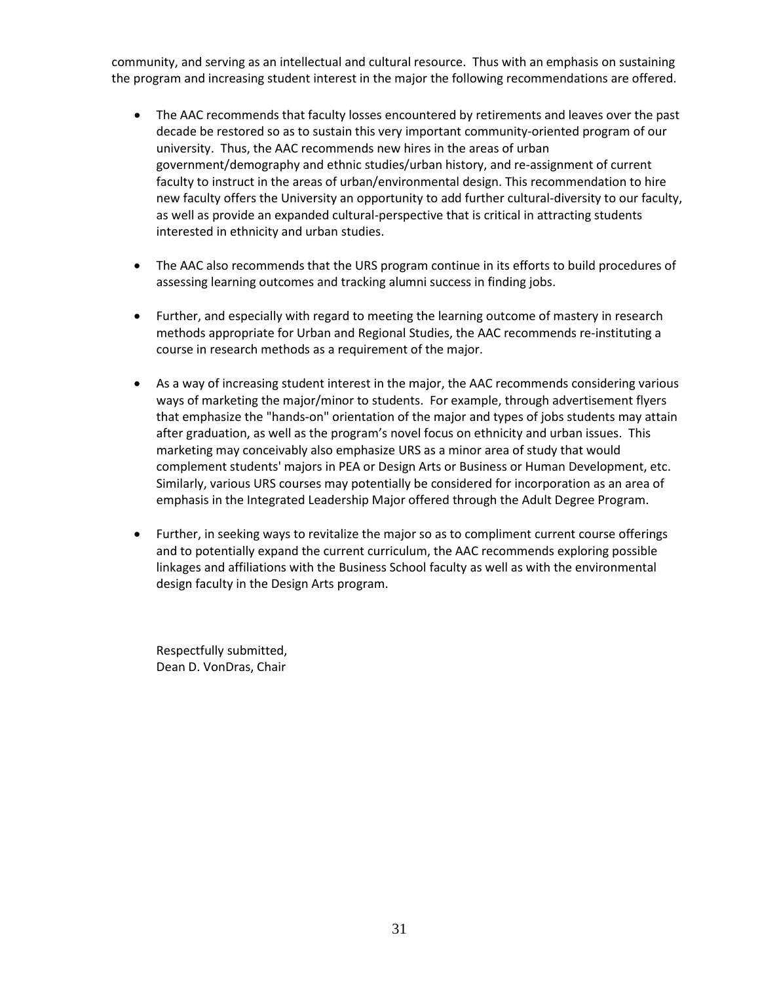community, and serving as an intellectual and cultural resource. Thus with an emphasis on sustaining the program and increasing student interest in the major the following recommendations are offered.

- The AAC recommends that faculty losses encountered by retirements and leaves over the past decade be restored so as to sustain this very important community-oriented program of our university. Thus, the AAC recommends new hires in the areas of urban government/demography and ethnic studies/urban history, and re-assignment of current faculty to instruct in the areas of urban/environmental design. This recommendation to hire new faculty offers the University an opportunity to add further cultural-diversity to our faculty, as well as provide an expanded cultural-perspective that is critical in attracting students interested in ethnicity and urban studies.
- The AAC also recommends that the URS program continue in its efforts to build procedures of assessing learning outcomes and tracking alumni success in finding jobs.
- Further, and especially with regard to meeting the learning outcome of mastery in research methods appropriate for Urban and Regional Studies, the AAC recommends re-instituting a course in research methods as a requirement of the major.
- As a way of increasing student interest in the major, the AAC recommends considering various ways of marketing the major/minor to students. For example, through advertisement flyers that emphasize the "hands-on" orientation of the major and types of jobs students may attain after graduation, as well as the program's novel focus on ethnicity and urban issues. This marketing may conceivably also emphasize URS as a minor area of study that would complement students' majors in PEA or Design Arts or Business or Human Development, etc. Similarly, various URS courses may potentially be considered for incorporation as an area of emphasis in the Integrated Leadership Major offered through the Adult Degree Program.
- Further, in seeking ways to revitalize the major so as to compliment current course offerings and to potentially expand the current curriculum, the AAC recommends exploring possible linkages and affiliations with the Business School faculty as well as with the environmental design faculty in the Design Arts program.

Respectfully submitted, Dean D. VonDras, Chair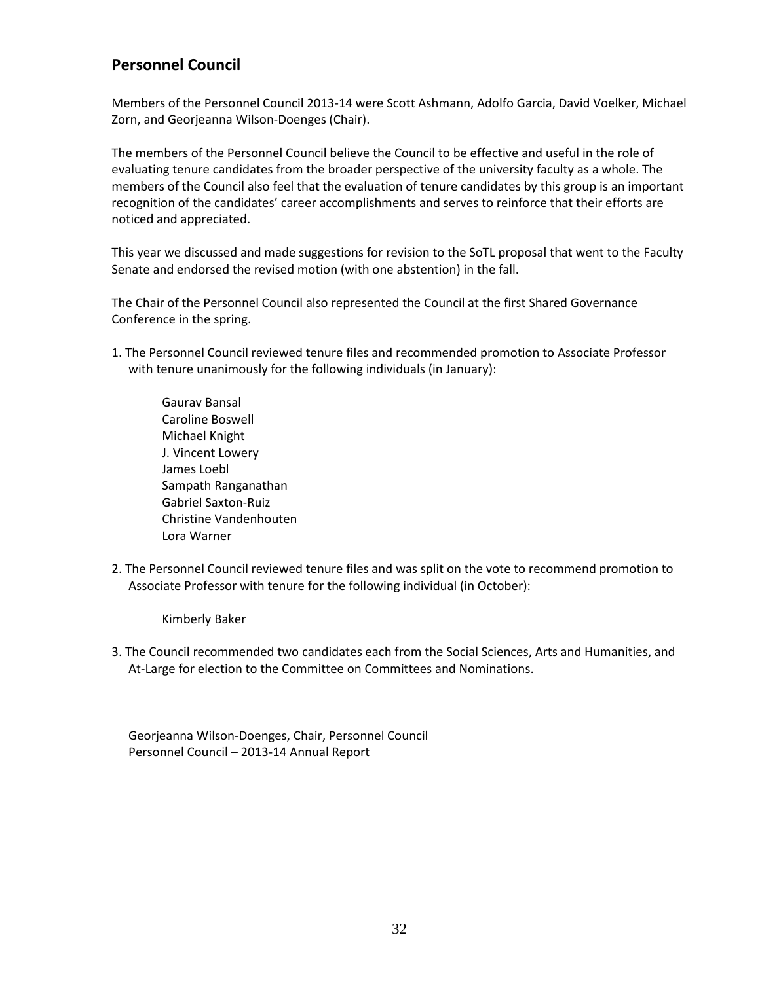## <span id="page-31-0"></span>**Personnel Council**

Members of the Personnel Council 2013-14 were Scott Ashmann, Adolfo Garcia, David Voelker, Michael Zorn, and Georjeanna Wilson-Doenges (Chair).

The members of the Personnel Council believe the Council to be effective and useful in the role of evaluating tenure candidates from the broader perspective of the university faculty as a whole. The members of the Council also feel that the evaluation of tenure candidates by this group is an important recognition of the candidates' career accomplishments and serves to reinforce that their efforts are noticed and appreciated.

This year we discussed and made suggestions for revision to the SoTL proposal that went to the Faculty Senate and endorsed the revised motion (with one abstention) in the fall.

The Chair of the Personnel Council also represented the Council at the first Shared Governance Conference in the spring.

- 1. The Personnel Council reviewed tenure files and recommended promotion to Associate Professor with tenure unanimously for the following individuals (in January):
	- Gaurav Bansal Caroline Boswell Michael Knight J. Vincent Lowery James Loebl Sampath Ranganathan Gabriel Saxton-Ruiz Christine Vandenhouten Lora Warner
- 2. The Personnel Council reviewed tenure files and was split on the vote to recommend promotion to Associate Professor with tenure for the following individual (in October):

Kimberly Baker

3. The Council recommended two candidates each from the Social Sciences, Arts and Humanities, and At-Large for election to the Committee on Committees and Nominations.

Georjeanna Wilson-Doenges, Chair, Personnel Council Personnel Council – 2013-14 Annual Report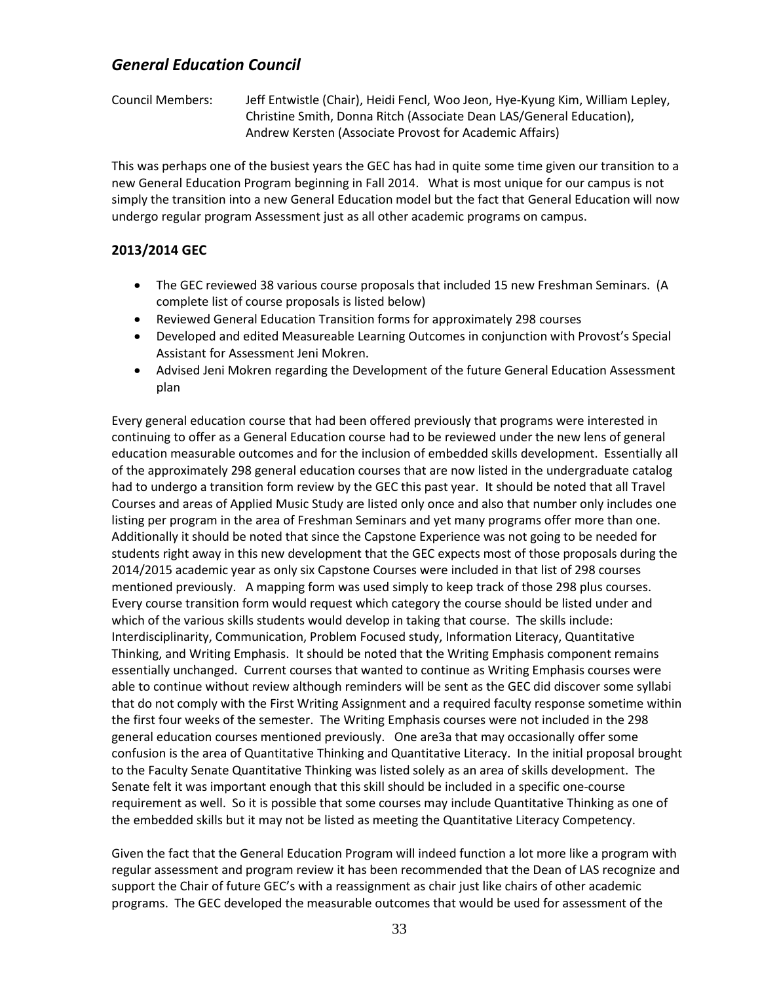## <span id="page-32-0"></span>*General Education Council*

Council Members: Jeff Entwistle (Chair), Heidi Fencl, Woo Jeon, Hye-Kyung Kim, William Lepley, Christine Smith, Donna Ritch (Associate Dean LAS/General Education), Andrew Kersten (Associate Provost for Academic Affairs)

This was perhaps one of the busiest years the GEC has had in quite some time given our transition to a new General Education Program beginning in Fall 2014. What is most unique for our campus is not simply the transition into a new General Education model but the fact that General Education will now undergo regular program Assessment just as all other academic programs on campus.

#### **2013/2014 GEC**

- The GEC reviewed 38 various course proposals that included 15 new Freshman Seminars. (A complete list of course proposals is listed below)
- Reviewed General Education Transition forms for approximately 298 courses
- Developed and edited Measureable Learning Outcomes in conjunction with Provost's Special Assistant for Assessment Jeni Mokren.
- Advised Jeni Mokren regarding the Development of the future General Education Assessment plan

Every general education course that had been offered previously that programs were interested in continuing to offer as a General Education course had to be reviewed under the new lens of general education measurable outcomes and for the inclusion of embedded skills development. Essentially all of the approximately 298 general education courses that are now listed in the undergraduate catalog had to undergo a transition form review by the GEC this past year. It should be noted that all Travel Courses and areas of Applied Music Study are listed only once and also that number only includes one listing per program in the area of Freshman Seminars and yet many programs offer more than one. Additionally it should be noted that since the Capstone Experience was not going to be needed for students right away in this new development that the GEC expects most of those proposals during the 2014/2015 academic year as only six Capstone Courses were included in that list of 298 courses mentioned previously. A mapping form was used simply to keep track of those 298 plus courses. Every course transition form would request which category the course should be listed under and which of the various skills students would develop in taking that course. The skills include: Interdisciplinarity, Communication, Problem Focused study, Information Literacy, Quantitative Thinking, and Writing Emphasis. It should be noted that the Writing Emphasis component remains essentially unchanged. Current courses that wanted to continue as Writing Emphasis courses were able to continue without review although reminders will be sent as the GEC did discover some syllabi that do not comply with the First Writing Assignment and a required faculty response sometime within the first four weeks of the semester. The Writing Emphasis courses were not included in the 298 general education courses mentioned previously. One are3a that may occasionally offer some confusion is the area of Quantitative Thinking and Quantitative Literacy. In the initial proposal brought to the Faculty Senate Quantitative Thinking was listed solely as an area of skills development. The Senate felt it was important enough that this skill should be included in a specific one-course requirement as well. So it is possible that some courses may include Quantitative Thinking as one of the embedded skills but it may not be listed as meeting the Quantitative Literacy Competency.

Given the fact that the General Education Program will indeed function a lot more like a program with regular assessment and program review it has been recommended that the Dean of LAS recognize and support the Chair of future GEC's with a reassignment as chair just like chairs of other academic programs. The GEC developed the measurable outcomes that would be used for assessment of the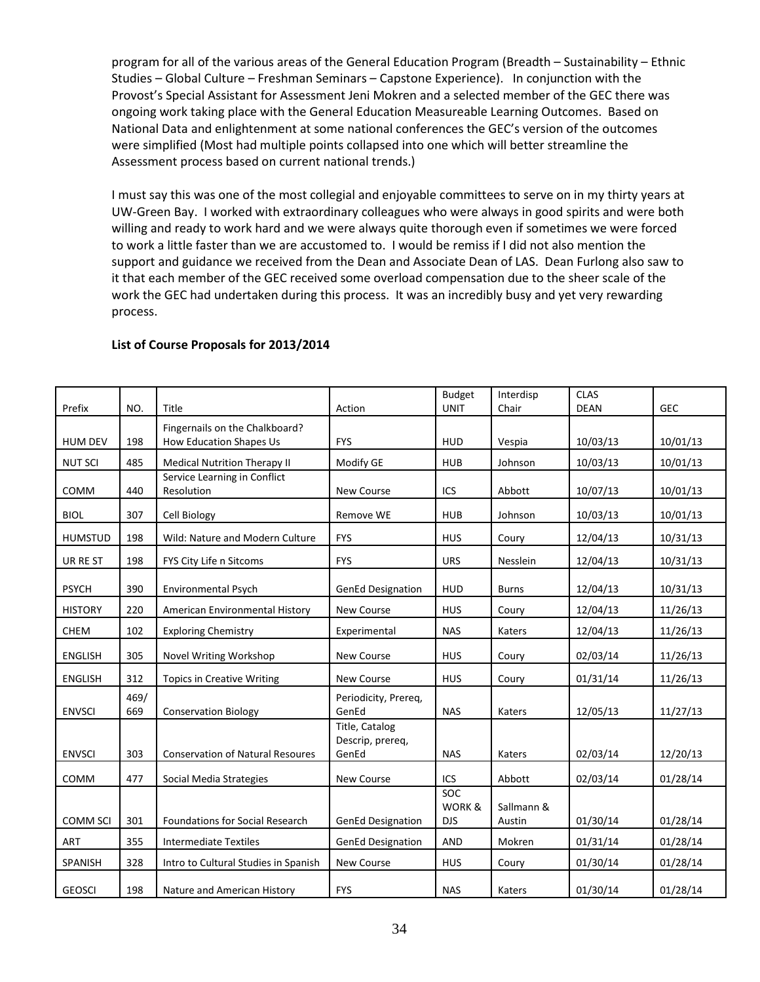program for all of the various areas of the General Education Program (Breadth – Sustainability – Ethnic Studies – Global Culture – Freshman Seminars – Capstone Experience). In conjunction with the Provost's Special Assistant for Assessment Jeni Mokren and a selected member of the GEC there was ongoing work taking place with the General Education Measureable Learning Outcomes. Based on National Data and enlightenment at some national conferences the GEC's version of the outcomes were simplified (Most had multiple points collapsed into one which will better streamline the Assessment process based on current national trends.)

I must say this was one of the most collegial and enjoyable committees to serve on in my thirty years at UW-Green Bay. I worked with extraordinary colleagues who were always in good spirits and were both willing and ready to work hard and we were always quite thorough even if sometimes we were forced to work a little faster than we are accustomed to. I would be remiss if I did not also mention the support and guidance we received from the Dean and Associate Dean of LAS. Dean Furlong also saw to it that each member of the GEC received some overload compensation due to the sheer scale of the work the GEC had undertaken during this process. It was an incredibly busy and yet very rewarding process.

|                 |             |                                            |                               | <b>Budget</b>        | Interdisp            | <b>CLAS</b> |            |
|-----------------|-------------|--------------------------------------------|-------------------------------|----------------------|----------------------|-------------|------------|
| Prefix          | NO.         | Title                                      | Action                        | <b>UNIT</b>          | Chair                | <b>DEAN</b> | <b>GEC</b> |
|                 |             | Fingernails on the Chalkboard?             |                               |                      |                      |             |            |
| <b>HUM DEV</b>  | 198         | <b>How Education Shapes Us</b>             | <b>FYS</b>                    | <b>HUD</b>           | Vespia               | 10/03/13    | 10/01/13   |
| <b>NUT SCI</b>  | 485         | <b>Medical Nutrition Therapy II</b>        | Modify GE                     | <b>HUB</b>           | Johnson              | 10/03/13    | 10/01/13   |
| COMM            | 440         | Service Learning in Conflict<br>Resolution | New Course                    | ICS                  | Abbott               | 10/07/13    | 10/01/13   |
| <b>BIOL</b>     | 307         | Cell Biology                               | Remove WE                     | <b>HUB</b>           | Johnson              | 10/03/13    | 10/01/13   |
| <b>HUMSTUD</b>  | 198         | Wild: Nature and Modern Culture            | <b>FYS</b>                    | <b>HUS</b>           | Coury                | 12/04/13    | 10/31/13   |
| UR RE ST        | 198         | FYS City Life n Sitcoms                    | <b>FYS</b>                    | <b>URS</b>           | Nesslein             | 12/04/13    | 10/31/13   |
| <b>PSYCH</b>    | 390         | Environmental Psych                        | <b>GenEd Designation</b>      | <b>HUD</b>           | <b>Burns</b>         | 12/04/13    | 10/31/13   |
| <b>HISTORY</b>  | 220         | American Environmental History             | <b>New Course</b>             | <b>HUS</b>           | Coury                | 12/04/13    | 11/26/13   |
| CHEM            | 102         | <b>Exploring Chemistry</b>                 | Experimental                  | <b>NAS</b>           | Katers               | 12/04/13    | 11/26/13   |
| <b>ENGLISH</b>  | 305         | Novel Writing Workshop                     | New Course                    | <b>HUS</b>           | Coury                | 02/03/14    | 11/26/13   |
| <b>ENGLISH</b>  | 312         | <b>Topics in Creative Writing</b>          | <b>New Course</b>             | <b>HUS</b>           | Coury                | 01/31/14    | 11/26/13   |
| <b>ENVSCI</b>   | 469/<br>669 | <b>Conservation Biology</b>                | Periodicity, Prereq,<br>GenEd | <b>NAS</b>           | Katers               | 12/05/13    | 11/27/13   |
|                 |             |                                            | Title, Catalog                |                      |                      |             |            |
|                 |             |                                            | Descrip, prereq,              |                      |                      |             |            |
| <b>ENVSCI</b>   | 303         | <b>Conservation of Natural Resoures</b>    | GenEd                         | <b>NAS</b>           | Katers               | 02/03/14    | 12/20/13   |
| COMM            | 477         | Social Media Strategies                    | <b>New Course</b>             | ICS                  | Abbott               | 02/03/14    | 01/28/14   |
|                 |             |                                            |                               | SOC                  |                      |             |            |
| <b>COMM SCI</b> | 301         | <b>Foundations for Social Research</b>     | <b>GenEd Designation</b>      | WORK &<br><b>DJS</b> | Sallmann &<br>Austin | 01/30/14    | 01/28/14   |
|                 |             |                                            |                               |                      |                      |             |            |
| <b>ART</b>      | 355         | <b>Intermediate Textiles</b>               | <b>GenEd Designation</b>      | <b>AND</b>           | Mokren               | 01/31/14    | 01/28/14   |
| SPANISH         | 328         | Intro to Cultural Studies in Spanish       | New Course                    | <b>HUS</b>           | Coury                | 01/30/14    | 01/28/14   |
| <b>GEOSCI</b>   | 198         | Nature and American History                | <b>FYS</b>                    | <b>NAS</b>           | Katers               | 01/30/14    | 01/28/14   |

#### **List of Course Proposals for 2013/2014**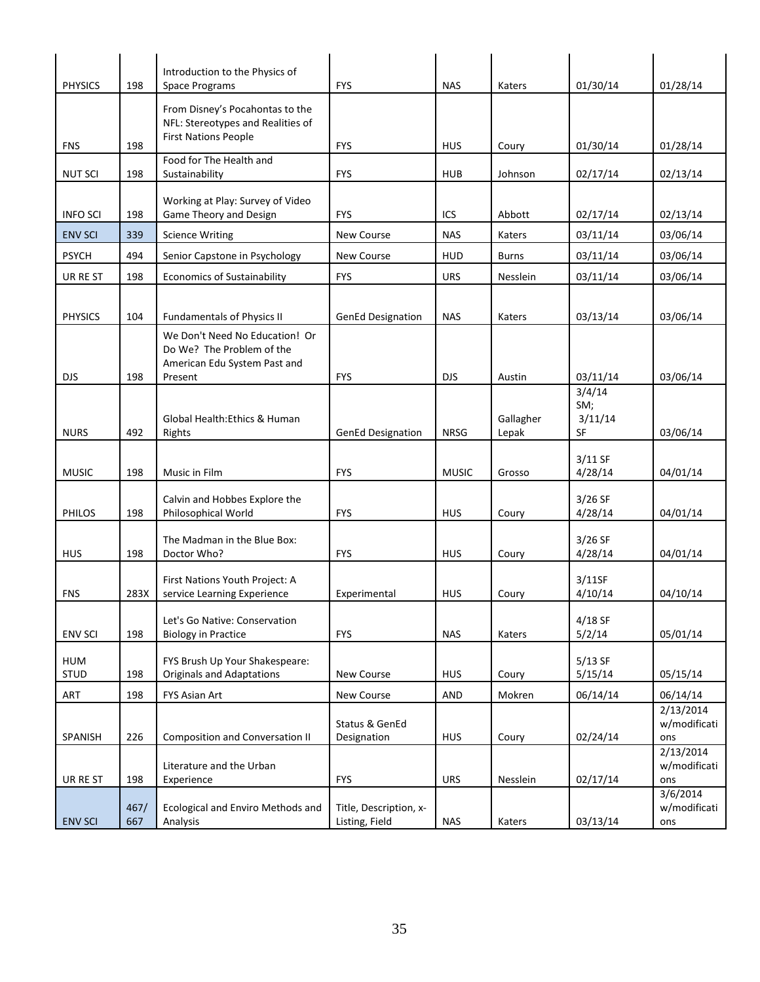| <b>PHYSICS</b>            | 198         | Introduction to the Physics of<br><b>Space Programs</b>                                                | <b>FYS</b>                               | <b>NAS</b>               | Katers             | 01/30/14                       | 01/28/14                                |
|---------------------------|-------------|--------------------------------------------------------------------------------------------------------|------------------------------------------|--------------------------|--------------------|--------------------------------|-----------------------------------------|
|                           |             | From Disney's Pocahontas to the<br>NFL: Stereotypes and Realities of                                   |                                          |                          |                    |                                |                                         |
| <b>FNS</b>                | 198         | <b>First Nations People</b>                                                                            | <b>FYS</b>                               | <b>HUS</b>               | Coury              | 01/30/14                       | 01/28/14                                |
| <b>NUT SCI</b>            | 198         | Food for The Health and<br>Sustainability                                                              | <b>FYS</b>                               | <b>HUB</b>               | Johnson            | 02/17/14                       | 02/13/14                                |
| <b>INFO SCI</b>           | 198         | Working at Play: Survey of Video<br>Game Theory and Design                                             | <b>FYS</b>                               | ICS                      | Abbott             | 02/17/14                       | 02/13/14                                |
| <b>ENV SCI</b>            | 339         | <b>Science Writing</b>                                                                                 | New Course                               | <b>NAS</b>               | Katers             | 03/11/14                       | 03/06/14                                |
| <b>PSYCH</b>              | 494         | Senior Capstone in Psychology                                                                          | <b>New Course</b>                        | <b>HUD</b>               | <b>Burns</b>       | 03/11/14                       | 03/06/14                                |
| UR RE ST                  | 198         | <b>Economics of Sustainability</b>                                                                     | <b>FYS</b>                               | <b>URS</b>               | Nesslein           | 03/11/14                       | 03/06/14                                |
| <b>PHYSICS</b>            | 104         | <b>Fundamentals of Physics II</b>                                                                      | <b>GenEd Designation</b>                 | <b>NAS</b>               | Katers             | 03/13/14                       | 03/06/14                                |
| <b>DJS</b>                | 198         | We Don't Need No Education! Or<br>Do We? The Problem of the<br>American Edu System Past and<br>Present | <b>FYS</b>                               | <b>DJS</b>               | Austin             | 03/11/14                       | 03/06/14                                |
| <b>NURS</b>               | 492         | Global Health: Ethics & Human<br>Rights                                                                | <b>GenEd Designation</b>                 | <b>NRSG</b>              | Gallagher<br>Lepak | 3/4/14<br>SM;<br>3/11/14<br>SF | 03/06/14                                |
| <b>MUSIC</b>              | 198         | Music in Film                                                                                          | <b>FYS</b>                               | <b>MUSIC</b>             | Grosso             | 3/11 SF<br>4/28/14             | 04/01/14                                |
| PHILOS                    | 198         | Calvin and Hobbes Explore the<br>Philosophical World                                                   | <b>FYS</b>                               | <b>HUS</b>               | Coury              | $3/26$ SF<br>4/28/14           | 04/01/14                                |
| <b>HUS</b>                | 198         | The Madman in the Blue Box:<br>Doctor Who?                                                             | <b>FYS</b>                               | <b>HUS</b>               | Coury              | $3/26$ SF<br>4/28/14           | 04/01/14                                |
| <b>FNS</b>                | 283X        | First Nations Youth Project: A<br>service Learning Experience                                          | Experimental                             | <b>HUS</b>               | Coury              | 3/11SF<br>4/10/14              | 04/10/14                                |
| <b>ENV SCI</b>            | 198         | Let's Go Native: Conservation<br><b>Biology in Practice</b>                                            | <b>FYS</b>                               | <b>NAS</b>               | Katers             | 4/18 SF<br>5/2/14              | 05/01/14                                |
| <b>HUM</b><br><b>STUD</b> | 198         | FYS Brush Up Your Shakespeare:<br><b>Originals and Adaptations</b>                                     | New Course                               | <b>HUS</b>               | Coury              | $5/13$ SF<br>5/15/14           | 05/15/14                                |
| ART                       | 198         | FYS Asian Art                                                                                          | New Course                               | AND                      | Mokren             | 06/14/14                       | 06/14/14                                |
| SPANISH                   |             | <b>Composition and Conversation II</b>                                                                 | Status & GenEd                           |                          |                    |                                | 2/13/2014<br>w/modificati               |
| UR RE ST                  | 226<br>198  | Literature and the Urban<br>Experience                                                                 | Designation<br><b>FYS</b>                | <b>HUS</b><br><b>URS</b> | Coury<br>Nesslein  | 02/24/14<br>02/17/14           | ons<br>2/13/2014<br>w/modificati<br>ons |
| <b>ENV SCI</b>            | 467/<br>667 | Ecological and Enviro Methods and<br>Analysis                                                          | Title, Description, x-<br>Listing, Field | <b>NAS</b>               | Katers             | 03/13/14                       | 3/6/2014<br>w/modificati<br>ons         |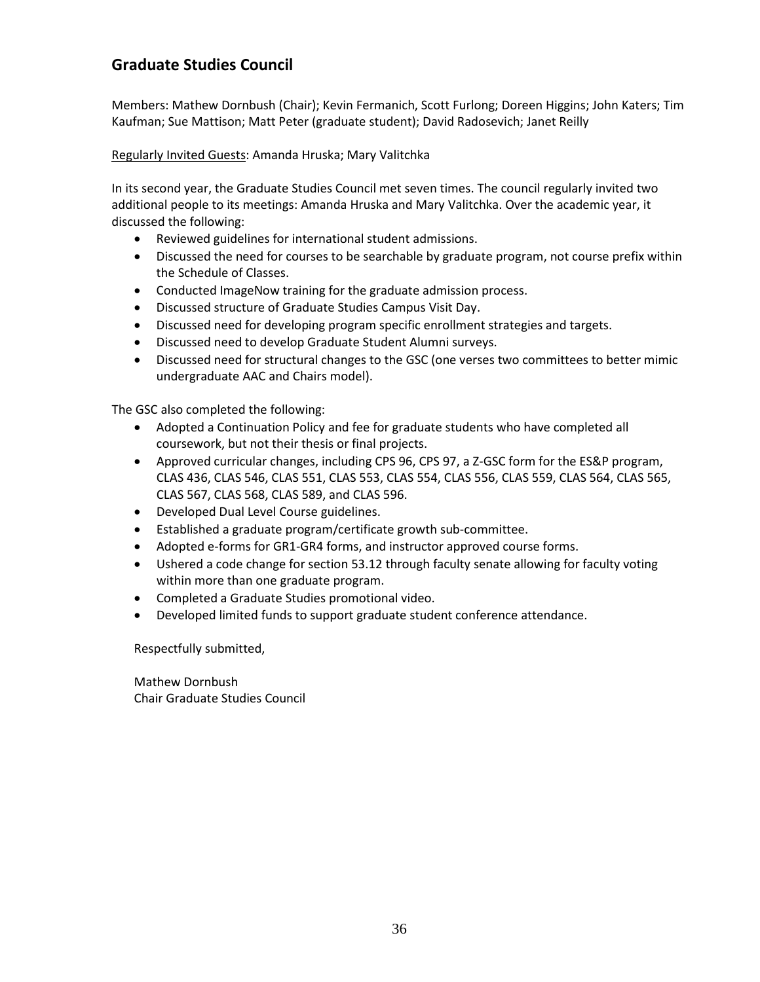## <span id="page-35-0"></span>**Graduate Studies Council**

Members: Mathew Dornbush (Chair); Kevin Fermanich, Scott Furlong; Doreen Higgins; John Katers; Tim Kaufman; Sue Mattison; Matt Peter (graduate student); David Radosevich; Janet Reilly

#### Regularly Invited Guests: Amanda Hruska; Mary Valitchka

In its second year, the Graduate Studies Council met seven times. The council regularly invited two additional people to its meetings: Amanda Hruska and Mary Valitchka. Over the academic year, it discussed the following:

- Reviewed guidelines for international student admissions.
- Discussed the need for courses to be searchable by graduate program, not course prefix within the Schedule of Classes.
- Conducted ImageNow training for the graduate admission process.
- Discussed structure of Graduate Studies Campus Visit Day.
- Discussed need for developing program specific enrollment strategies and targets.
- Discussed need to develop Graduate Student Alumni surveys.
- Discussed need for structural changes to the GSC (one verses two committees to better mimic undergraduate AAC and Chairs model).

The GSC also completed the following:

- Adopted a Continuation Policy and fee for graduate students who have completed all coursework, but not their thesis or final projects.
- Approved curricular changes, including CPS 96, CPS 97, a Z-GSC form for the ES&P program, CLAS 436, CLAS 546, CLAS 551, CLAS 553, CLAS 554, CLAS 556, CLAS 559, CLAS 564, CLAS 565, CLAS 567, CLAS 568, CLAS 589, and CLAS 596.
- Developed Dual Level Course guidelines.
- Established a graduate program/certificate growth sub-committee.
- Adopted e-forms for GR1-GR4 forms, and instructor approved course forms.
- Ushered a code change for section 53.12 through faculty senate allowing for faculty voting within more than one graduate program.
- Completed a Graduate Studies promotional video.
- Developed limited funds to support graduate student conference attendance.

Respectfully submitted,

Mathew Dornbush Chair Graduate Studies Council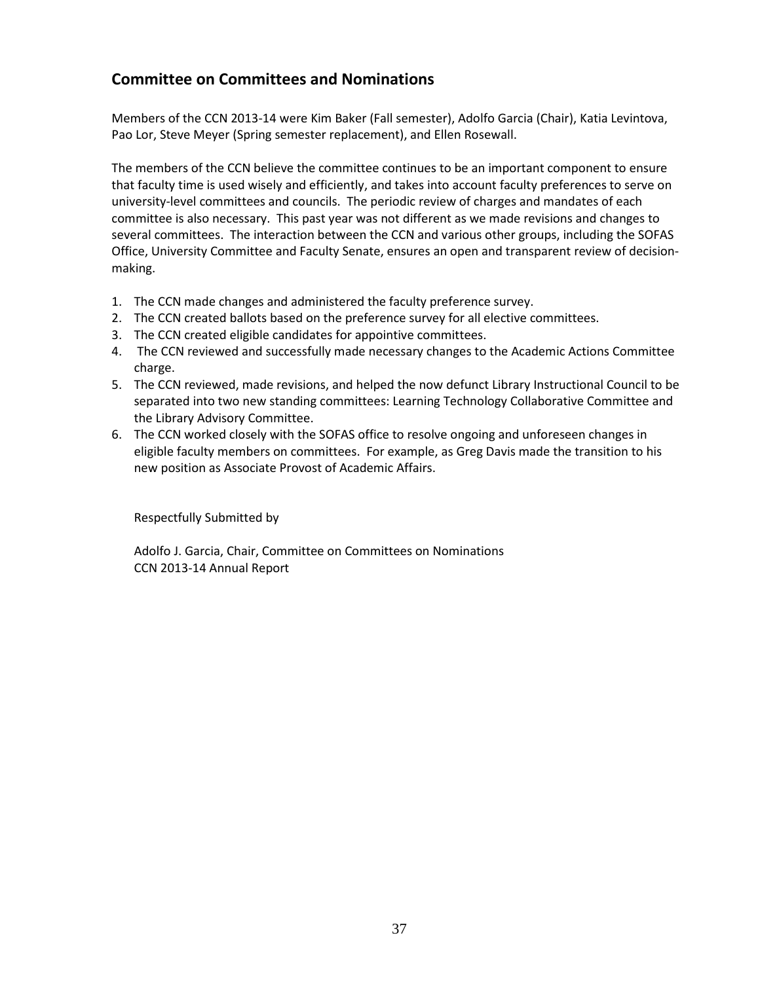# **Committee on Committees and Nominations**

Members of the CCN 2013-14 were Kim Baker (Fall semester), Adolfo Garcia (Chair), Katia Levintova, Pao Lor, Steve Meyer (Spring semester replacement), and Ellen Rosewall.

The members of the CCN believe the committee continues to be an important component to ensure that faculty time is used wisely and efficiently, and takes into account faculty preferences to serve on university-level committees and councils. The periodic review of charges and mandates of each committee is also necessary. This past year was not different as we made revisions and changes to several committees. The interaction between the CCN and various other groups, including the SOFAS Office, University Committee and Faculty Senate, ensures an open and transparent review of decisionmaking.

- 1. The CCN made changes and administered the faculty preference survey.
- 2. The CCN created ballots based on the preference survey for all elective committees.
- 3. The CCN created eligible candidates for appointive committees.
- 4. The CCN reviewed and successfully made necessary changes to the Academic Actions Committee charge.
- 5. The CCN reviewed, made revisions, and helped the now defunct Library Instructional Council to be separated into two new standing committees: Learning Technology Collaborative Committee and the Library Advisory Committee.
- 6. The CCN worked closely with the SOFAS office to resolve ongoing and unforeseen changes in eligible faculty members on committees. For example, as Greg Davis made the transition to his new position as Associate Provost of Academic Affairs.

Respectfully Submitted by

Adolfo J. Garcia, Chair, Committee on Committees on Nominations CCN 2013-14 Annual Report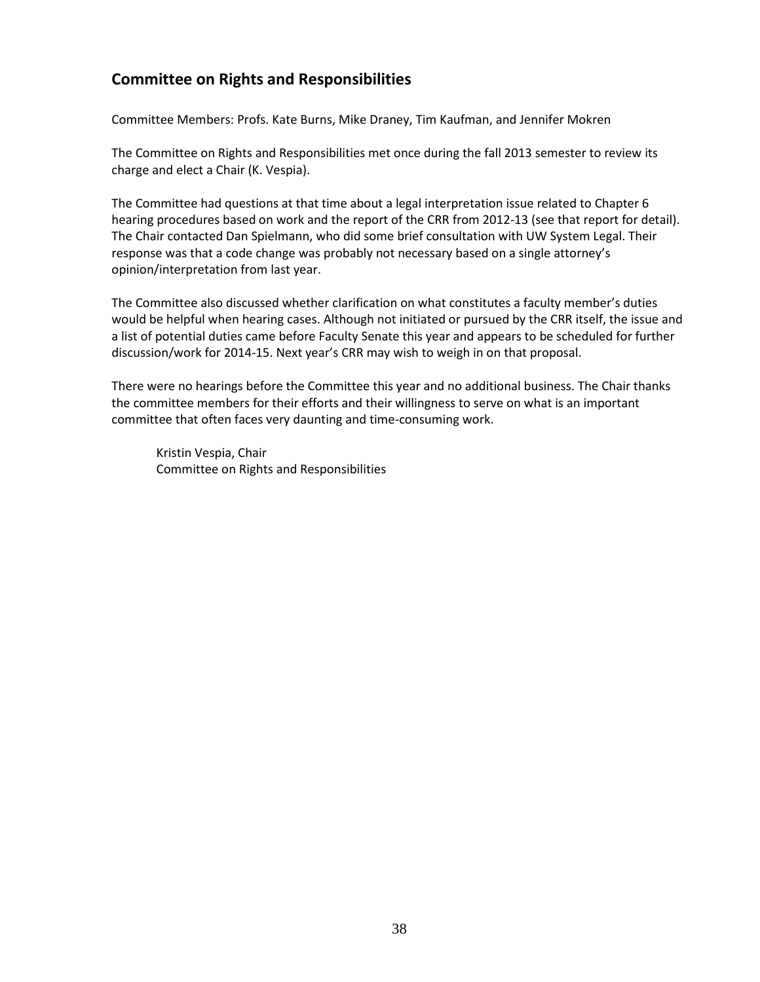# **Committee on Rights and Responsibilities**

Committee Members: Profs. Kate Burns, Mike Draney, Tim Kaufman, and Jennifer Mokren

The Committee on Rights and Responsibilities met once during the fall 2013 semester to review its charge and elect a Chair (K. Vespia).

The Committee had questions at that time about a legal interpretation issue related to Chapter 6 hearing procedures based on work and the report of the CRR from 2012-13 (see that report for detail). The Chair contacted Dan Spielmann, who did some brief consultation with UW System Legal. Their response was that a code change was probably not necessary based on a single attorney's opinion/interpretation from last year.

The Committee also discussed whether clarification on what constitutes a faculty member's duties would be helpful when hearing cases. Although not initiated or pursued by the CRR itself, the issue and a list of potential duties came before Faculty Senate this year and appears to be scheduled for further discussion/work for 2014-15. Next year's CRR may wish to weigh in on that proposal.

There were no hearings before the Committee this year and no additional business. The Chair thanks the committee members for their efforts and their willingness to serve on what is an important committee that often faces very daunting and time-consuming work.

Kristin Vespia, Chair Committee on Rights and Responsibilities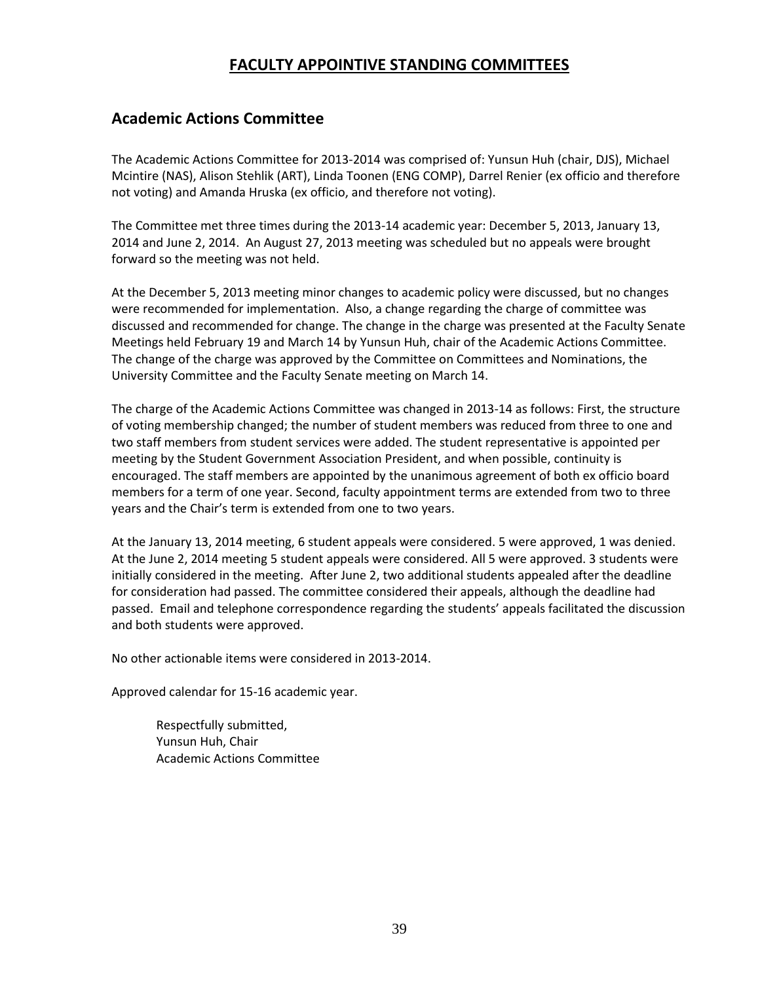# **FACULTY APPOINTIVE STANDING COMMITTEES**

## **Academic Actions Committee**

The Academic Actions Committee for 2013-2014 was comprised of: Yunsun Huh (chair, DJS), Michael Mcintire (NAS), Alison Stehlik (ART), Linda Toonen (ENG COMP), Darrel Renier (ex officio and therefore not voting) and Amanda Hruska (ex officio, and therefore not voting).

The Committee met three times during the 2013-14 academic year: December 5, 2013, January 13, 2014 and June 2, 2014. An August 27, 2013 meeting was scheduled but no appeals were brought forward so the meeting was not held.

At the December 5, 2013 meeting minor changes to academic policy were discussed, but no changes were recommended for implementation. Also, a change regarding the charge of committee was discussed and recommended for change. The change in the charge was presented at the Faculty Senate Meetings held February 19 and March 14 by Yunsun Huh, chair of the Academic Actions Committee. The change of the charge was approved by the Committee on Committees and Nominations, the University Committee and the Faculty Senate meeting on March 14.

The charge of the Academic Actions Committee was changed in 2013-14 as follows: First, the structure of voting membership changed; the number of student members was reduced from three to one and two staff members from student services were added. The student representative is appointed per meeting by the Student Government Association President, and when possible, continuity is encouraged. The staff members are appointed by the unanimous agreement of both ex officio board members for a term of one year. Second, faculty appointment terms are extended from two to three years and the Chair's term is extended from one to two years.

At the January 13, 2014 meeting, 6 student appeals were considered. 5 were approved, 1 was denied. At the June 2, 2014 meeting 5 student appeals were considered. All 5 were approved. 3 students were initially considered in the meeting. After June 2, two additional students appealed after the deadline for consideration had passed. The committee considered their appeals, although the deadline had passed. Email and telephone correspondence regarding the students' appeals facilitated the discussion and both students were approved.

No other actionable items were considered in 2013-2014.

Approved calendar for 15-16 academic year.

Respectfully submitted, Yunsun Huh, Chair Academic Actions Committee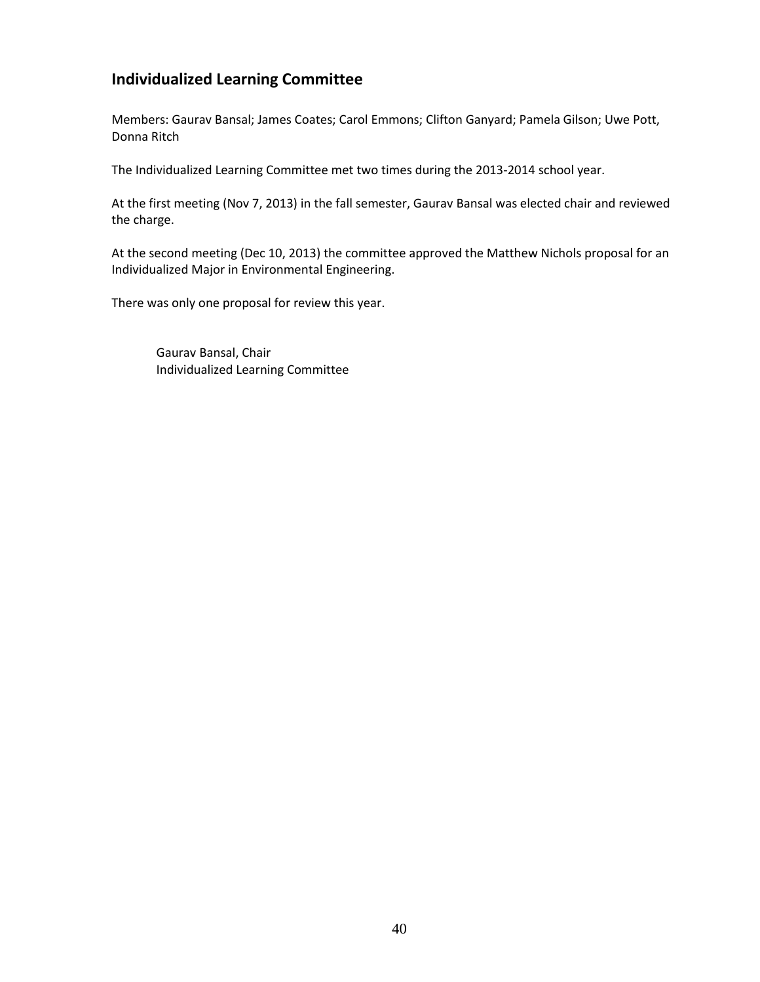# **Individualized Learning Committee**

Members: Gaurav Bansal; James Coates; Carol Emmons; Clifton Ganyard; Pamela Gilson; Uwe Pott, Donna Ritch

The Individualized Learning Committee met two times during the 2013-2014 school year.

At the first meeting (Nov 7, 2013) in the fall semester, Gaurav Bansal was elected chair and reviewed the charge.

At the second meeting (Dec 10, 2013) the committee approved the Matthew Nichols proposal for an Individualized Major in Environmental Engineering.

There was only one proposal for review this year.

Gaurav Bansal, Chair Individualized Learning Committee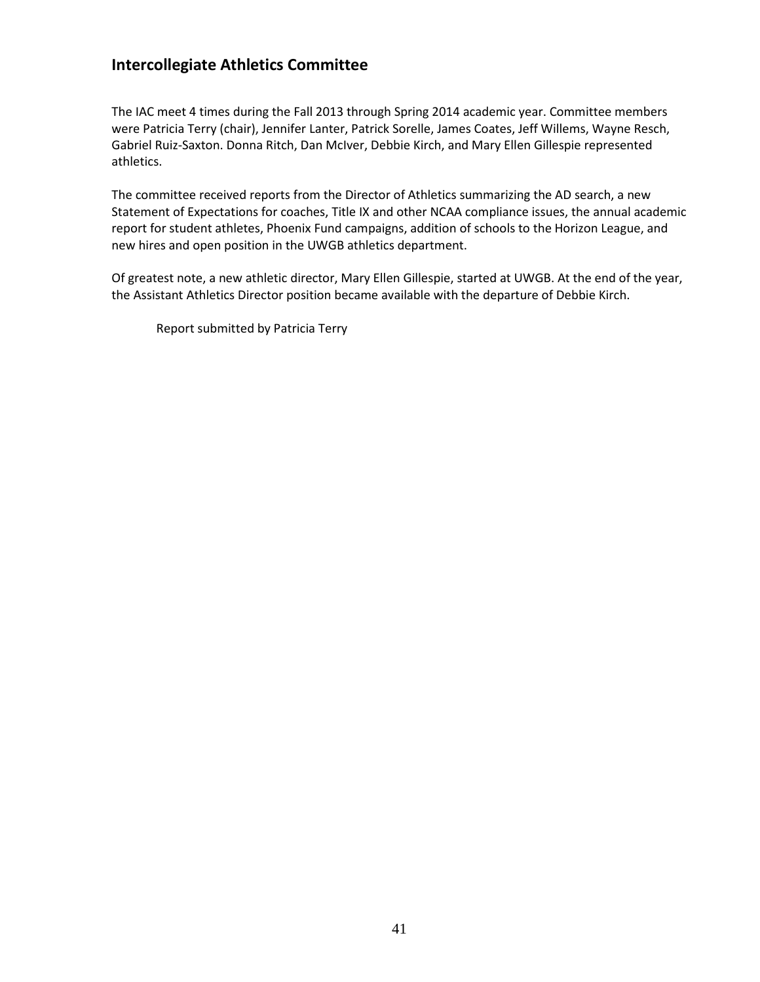# **Intercollegiate Athletics Committee**

The IAC meet 4 times during the Fall 2013 through Spring 2014 academic year. Committee members were Patricia Terry (chair), Jennifer Lanter, Patrick Sorelle, James Coates, Jeff Willems, Wayne Resch, Gabriel Ruiz-Saxton. Donna Ritch, Dan McIver, Debbie Kirch, and Mary Ellen Gillespie represented athletics.

The committee received reports from the Director of Athletics summarizing the AD search, a new Statement of Expectations for coaches, Title IX and other NCAA compliance issues, the annual academic report for student athletes, Phoenix Fund campaigns, addition of schools to the Horizon League, and new hires and open position in the UWGB athletics department.

Of greatest note, a new athletic director, Mary Ellen Gillespie, started at UWGB. At the end of the year, the Assistant Athletics Director position became available with the departure of Debbie Kirch.

Report submitted by Patricia Terry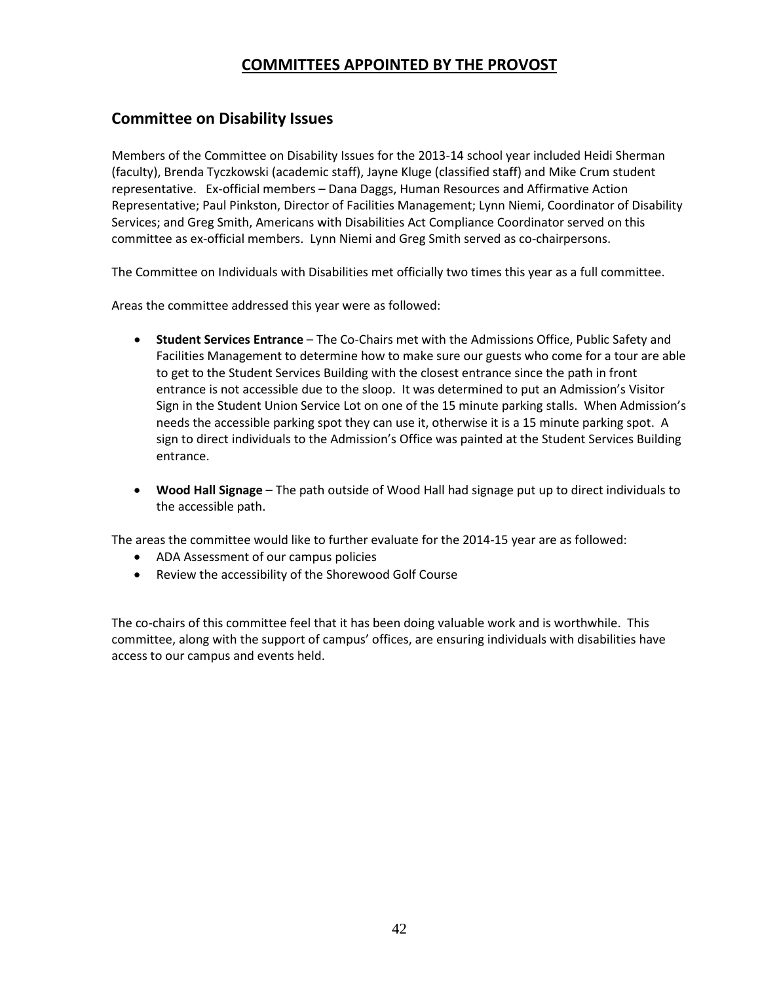# **COMMITTEES APPOINTED BY THE PROVOST**

## **Committee on Disability Issues**

Members of the Committee on Disability Issues for the 2013-14 school year included Heidi Sherman (faculty), Brenda Tyczkowski (academic staff), Jayne Kluge (classified staff) and Mike Crum student representative. Ex-official members – Dana Daggs, Human Resources and Affirmative Action Representative; Paul Pinkston, Director of Facilities Management; Lynn Niemi, Coordinator of Disability Services; and Greg Smith, Americans with Disabilities Act Compliance Coordinator served on this committee as ex-official members. Lynn Niemi and Greg Smith served as co-chairpersons.

The Committee on Individuals with Disabilities met officially two times this year as a full committee.

Areas the committee addressed this year were as followed:

- **Student Services Entrance** The Co-Chairs met with the Admissions Office, Public Safety and Facilities Management to determine how to make sure our guests who come for a tour are able to get to the Student Services Building with the closest entrance since the path in front entrance is not accessible due to the sloop. It was determined to put an Admission's Visitor Sign in the Student Union Service Lot on one of the 15 minute parking stalls. When Admission's needs the accessible parking spot they can use it, otherwise it is a 15 minute parking spot. A sign to direct individuals to the Admission's Office was painted at the Student Services Building entrance.
- **Wood Hall Signage** The path outside of Wood Hall had signage put up to direct individuals to the accessible path.

The areas the committee would like to further evaluate for the 2014-15 year are as followed:

- ADA Assessment of our campus policies
- Review the accessibility of the Shorewood Golf Course

The co-chairs of this committee feel that it has been doing valuable work and is worthwhile. This committee, along with the support of campus' offices, are ensuring individuals with disabilities have access to our campus and events held.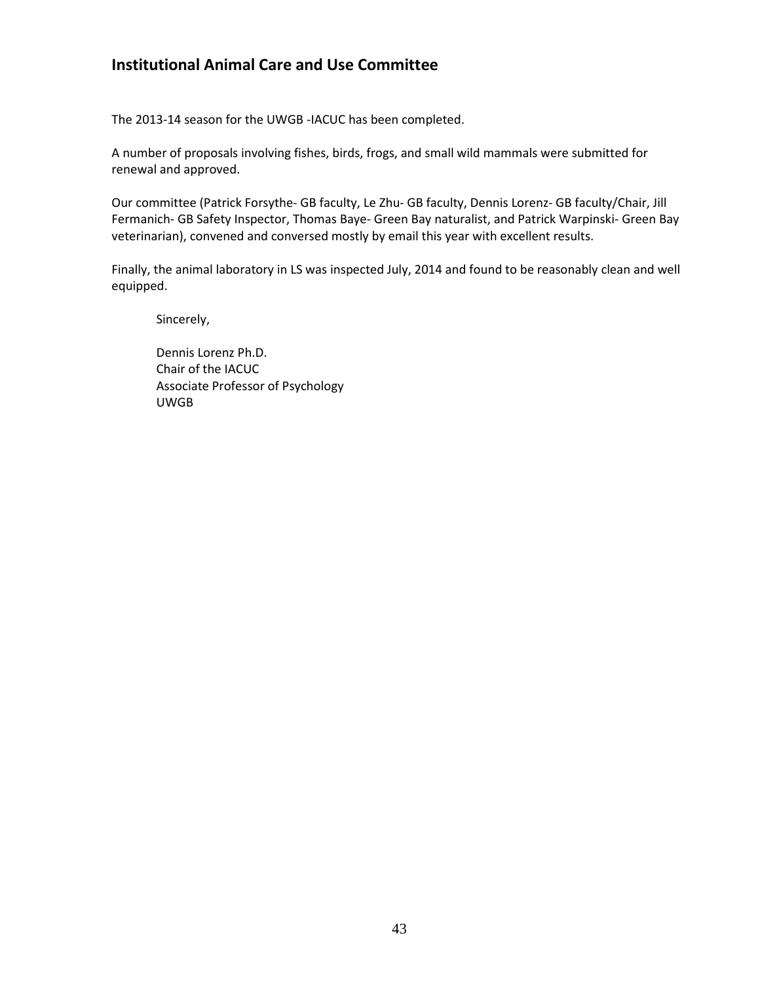# **Institutional Animal Care and Use Committee**

The 2013-14 season for the UWGB -IACUC has been completed.

A number of proposals involving fishes, birds, frogs, and small wild mammals were submitted for renewal and approved.

Our committee (Patrick Forsythe- GB faculty, Le Zhu- GB faculty, Dennis Lorenz- GB faculty/Chair, Jill Fermanich- GB Safety Inspector, Thomas Baye- Green Bay naturalist, and Patrick Warpinski- Green Bay veterinarian), convened and conversed mostly by email this year with excellent results.

Finally, the animal laboratory in LS was inspected July, 2014 and found to be reasonably clean and well equipped.

Sincerely,

Dennis Lorenz Ph.D. Chair of the IACUC Associate Professor of Psychology UWGB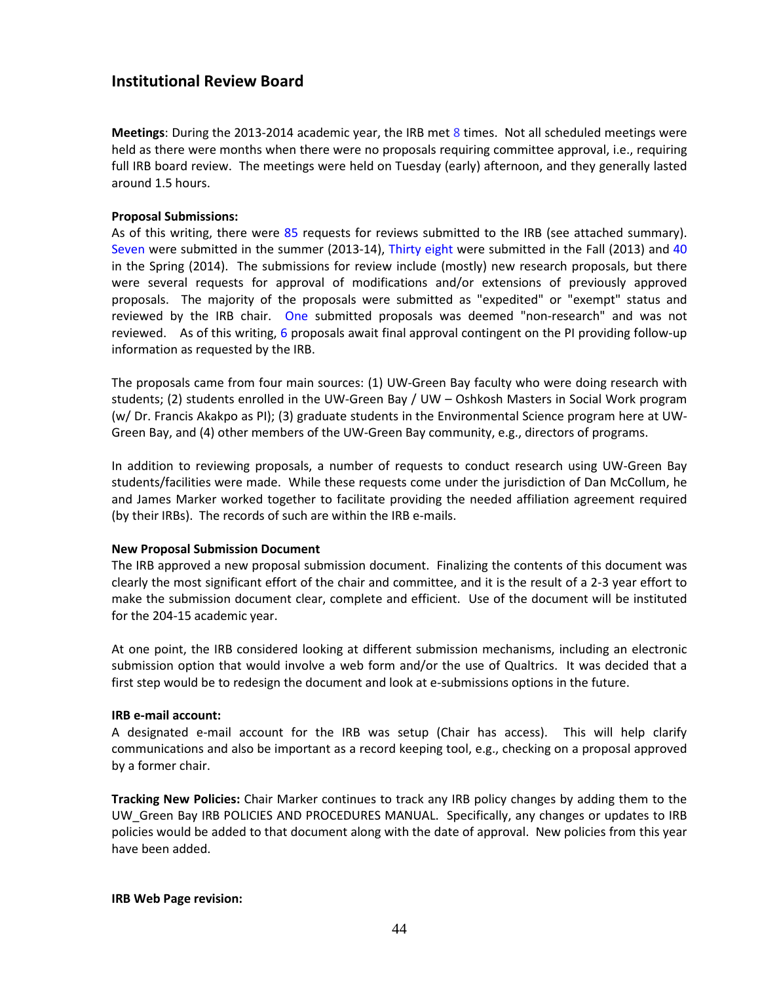## **Institutional Review Board**

**Meetings**: During the 2013-2014 academic year, the IRB met 8 times. Not all scheduled meetings were held as there were months when there were no proposals requiring committee approval, i.e., requiring full IRB board review. The meetings were held on Tuesday (early) afternoon, and they generally lasted around 1.5 hours.

#### **Proposal Submissions:**

As of this writing, there were 85 requests for reviews submitted to the IRB (see attached summary). Seven were submitted in the summer (2013-14), Thirty eight were submitted in the Fall (2013) and 40 in the Spring (2014). The submissions for review include (mostly) new research proposals, but there were several requests for approval of modifications and/or extensions of previously approved proposals. The majority of the proposals were submitted as "expedited" or "exempt" status and reviewed by the IRB chair. One submitted proposals was deemed "non-research" and was not reviewed. As of this writing, 6 proposals await final approval contingent on the PI providing follow-up information as requested by the IRB.

The proposals came from four main sources: (1) UW-Green Bay faculty who were doing research with students; (2) students enrolled in the UW-Green Bay / UW – Oshkosh Masters in Social Work program (w/ Dr. Francis Akakpo as PI); (3) graduate students in the Environmental Science program here at UW-Green Bay, and (4) other members of the UW-Green Bay community, e.g., directors of programs.

In addition to reviewing proposals, a number of requests to conduct research using UW-Green Bay students/facilities were made. While these requests come under the jurisdiction of Dan McCollum, he and James Marker worked together to facilitate providing the needed affiliation agreement required (by their IRBs). The records of such are within the IRB e-mails.

## **New Proposal Submission Document**

The IRB approved a new proposal submission document. Finalizing the contents of this document was clearly the most significant effort of the chair and committee, and it is the result of a 2-3 year effort to make the submission document clear, complete and efficient. Use of the document will be instituted for the 204-15 academic year.

At one point, the IRB considered looking at different submission mechanisms, including an electronic submission option that would involve a web form and/or the use of Qualtrics. It was decided that a first step would be to redesign the document and look at e-submissions options in the future.

## **IRB e-mail account:**

A designated e-mail account for the IRB was setup (Chair has access). This will help clarify communications and also be important as a record keeping tool, e.g., checking on a proposal approved by a former chair.

**Tracking New Policies:** Chair Marker continues to track any IRB policy changes by adding them to the UW\_Green Bay IRB POLICIES AND PROCEDURES MANUAL. Specifically, any changes or updates to IRB policies would be added to that document along with the date of approval. New policies from this year have been added.

#### **IRB Web Page revision:**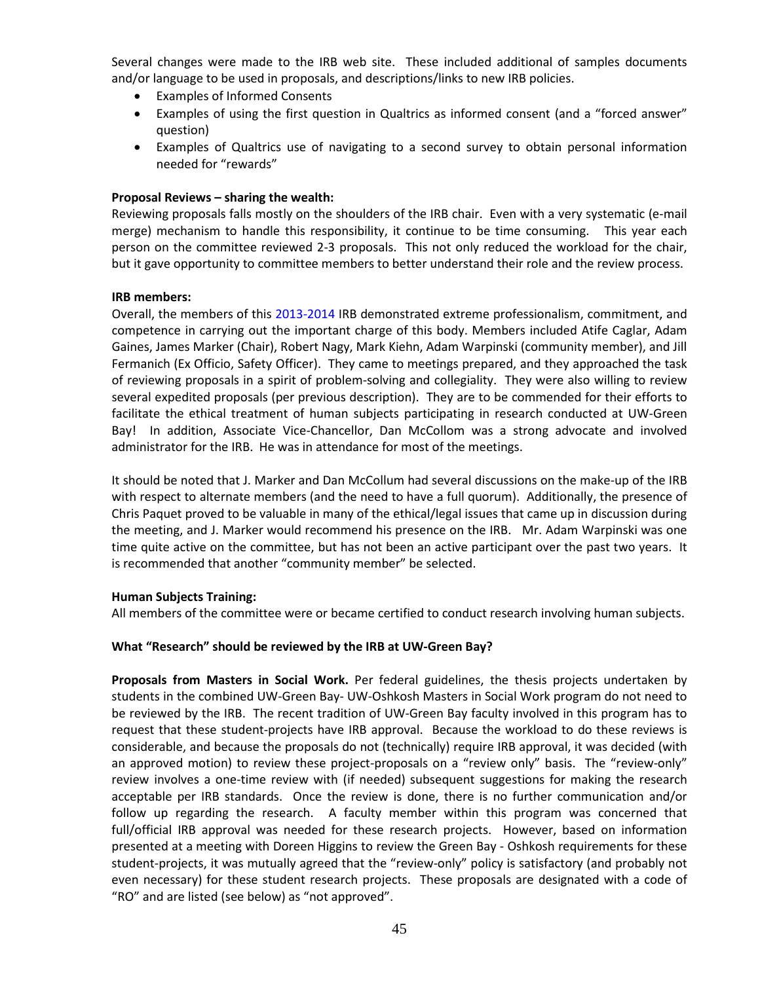Several changes were made to the IRB web site. These included additional of samples documents and/or language to be used in proposals, and descriptions/links to new IRB policies.

- Examples of Informed Consents
- Examples of using the first question in Qualtrics as informed consent (and a "forced answer" question)
- Examples of Qualtrics use of navigating to a second survey to obtain personal information needed for "rewards"

## **Proposal Reviews – sharing the wealth:**

Reviewing proposals falls mostly on the shoulders of the IRB chair. Even with a very systematic (e-mail merge) mechanism to handle this responsibility, it continue to be time consuming. This year each person on the committee reviewed 2-3 proposals. This not only reduced the workload for the chair, but it gave opportunity to committee members to better understand their role and the review process.

## **IRB members:**

Overall, the members of this 2013-2014 IRB demonstrated extreme professionalism, commitment, and competence in carrying out the important charge of this body. Members included Atife Caglar, Adam Gaines, James Marker (Chair), Robert Nagy, Mark Kiehn, Adam Warpinski (community member), and Jill Fermanich (Ex Officio, Safety Officer). They came to meetings prepared, and they approached the task of reviewing proposals in a spirit of problem-solving and collegiality. They were also willing to review several expedited proposals (per previous description). They are to be commended for their efforts to facilitate the ethical treatment of human subjects participating in research conducted at UW-Green Bay! In addition, Associate Vice-Chancellor, Dan McCollom was a strong advocate and involved administrator for the IRB. He was in attendance for most of the meetings.

It should be noted that J. Marker and Dan McCollum had several discussions on the make-up of the IRB with respect to alternate members (and the need to have a full quorum). Additionally, the presence of Chris Paquet proved to be valuable in many of the ethical/legal issues that came up in discussion during the meeting, and J. Marker would recommend his presence on the IRB. Mr. Adam Warpinski was one time quite active on the committee, but has not been an active participant over the past two years. It is recommended that another "community member" be selected.

## **Human Subjects Training:**

All members of the committee were or became certified to conduct research involving human subjects.

## **What "Research" should be reviewed by the IRB at UW-Green Bay?**

**Proposals from Masters in Social Work.** Per federal guidelines, the thesis projects undertaken by students in the combined UW-Green Bay- UW-Oshkosh Masters in Social Work program do not need to be reviewed by the IRB. The recent tradition of UW-Green Bay faculty involved in this program has to request that these student-projects have IRB approval. Because the workload to do these reviews is considerable, and because the proposals do not (technically) require IRB approval, it was decided (with an approved motion) to review these project-proposals on a "review only" basis. The "review-only" review involves a one-time review with (if needed) subsequent suggestions for making the research acceptable per IRB standards. Once the review is done, there is no further communication and/or follow up regarding the research. A faculty member within this program was concerned that full/official IRB approval was needed for these research projects. However, based on information presented at a meeting with Doreen Higgins to review the Green Bay - Oshkosh requirements for these student-projects, it was mutually agreed that the "review-only" policy is satisfactory (and probably not even necessary) for these student research projects. These proposals are designated with a code of "RO" and are listed (see below) as "not approved".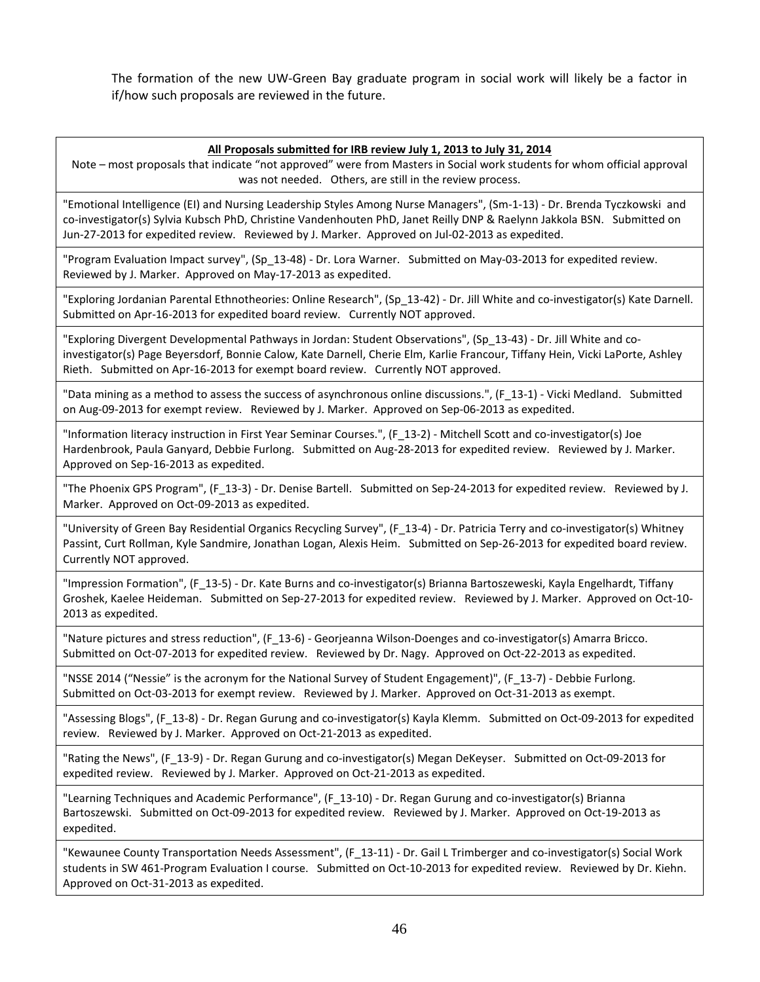The formation of the new UW-Green Bay graduate program in social work will likely be a factor in if/how such proposals are reviewed in the future.

#### **All Proposals submitted for IRB review July 1, 2013 to July 31, 2014**

Note – most proposals that indicate "not approved" were from Masters in Social work students for whom official approval was not needed. Others, are still in the review process.

"Emotional Intelligence (EI) and Nursing Leadership Styles Among Nurse Managers", (Sm-1-13) - Dr. Brenda Tyczkowski and co-investigator(s) Sylvia Kubsch PhD, Christine Vandenhouten PhD, Janet Reilly DNP & Raelynn Jakkola BSN. Submitted on Jun-27-2013 for expedited review. Reviewed by J. Marker. Approved on Jul-02-2013 as expedited.

"Program Evaluation Impact survey", (Sp\_13-48) - Dr. Lora Warner. Submitted on May-03-2013 for expedited review. Reviewed by J. Marker. Approved on May-17-2013 as expedited.

"Exploring Jordanian Parental Ethnotheories: Online Research", (Sp\_13-42) - Dr. Jill White and co-investigator(s) Kate Darnell. Submitted on Apr-16-2013 for expedited board review. Currently NOT approved.

"Exploring Divergent Developmental Pathways in Jordan: Student Observations", (Sp\_13-43) - Dr. Jill White and coinvestigator(s) Page Beyersdorf, Bonnie Calow, Kate Darnell, Cherie Elm, Karlie Francour, Tiffany Hein, Vicki LaPorte, Ashley Rieth. Submitted on Apr-16-2013 for exempt board review. Currently NOT approved.

"Data mining as a method to assess the success of asynchronous online discussions.", (F\_13-1) - Vicki Medland. Submitted on Aug-09-2013 for exempt review. Reviewed by J. Marker. Approved on Sep-06-2013 as expedited.

"Information literacy instruction in First Year Seminar Courses.", (F\_13-2) - Mitchell Scott and co-investigator(s) Joe Hardenbrook, Paula Ganyard, Debbie Furlong. Submitted on Aug-28-2013 for expedited review. Reviewed by J. Marker. Approved on Sep-16-2013 as expedited.

"The Phoenix GPS Program", (F\_13-3) - Dr. Denise Bartell. Submitted on Sep-24-2013 for expedited review. Reviewed by J. Marker. Approved on Oct-09-2013 as expedited.

"University of Green Bay Residential Organics Recycling Survey", (F\_13-4) - Dr. Patricia Terry and co-investigator(s) Whitney Passint, Curt Rollman, Kyle Sandmire, Jonathan Logan, Alexis Heim. Submitted on Sep-26-2013 for expedited board review. Currently NOT approved.

"Impression Formation", (F\_13-5) - Dr. Kate Burns and co-investigator(s) Brianna Bartoszeweski, Kayla Engelhardt, Tiffany Groshek, Kaelee Heideman. Submitted on Sep-27-2013 for expedited review. Reviewed by J. Marker. Approved on Oct-10- 2013 as expedited.

"Nature pictures and stress reduction", (F\_13-6) - Georjeanna Wilson-Doenges and co-investigator(s) Amarra Bricco. Submitted on Oct-07-2013 for expedited review. Reviewed by Dr. Nagy. Approved on Oct-22-2013 as expedited.

"NSSE 2014 ("Nessie" is the acronym for the National Survey of Student Engagement)", (F\_13-7) - Debbie Furlong. Submitted on Oct-03-2013 for exempt review. Reviewed by J. Marker. Approved on Oct-31-2013 as exempt.

"Assessing Blogs", (F\_13-8) - Dr. Regan Gurung and co-investigator(s) Kayla Klemm. Submitted on Oct-09-2013 for expedited review. Reviewed by J. Marker. Approved on Oct-21-2013 as expedited.

"Rating the News", (F\_13-9) - Dr. Regan Gurung and co-investigator(s) Megan DeKeyser. Submitted on Oct-09-2013 for expedited review. Reviewed by J. Marker. Approved on Oct-21-2013 as expedited.

"Learning Techniques and Academic Performance", (F\_13-10) - Dr. Regan Gurung and co-investigator(s) Brianna Bartoszewski. Submitted on Oct-09-2013 for expedited review. Reviewed by J. Marker. Approved on Oct-19-2013 as expedited.

"Kewaunee County Transportation Needs Assessment", (F 13-11) - Dr. Gail L Trimberger and co-investigator(s) Social Work students in SW 461-Program Evaluation I course. Submitted on Oct-10-2013 for expedited review. Reviewed by Dr. Kiehn. Approved on Oct-31-2013 as expedited.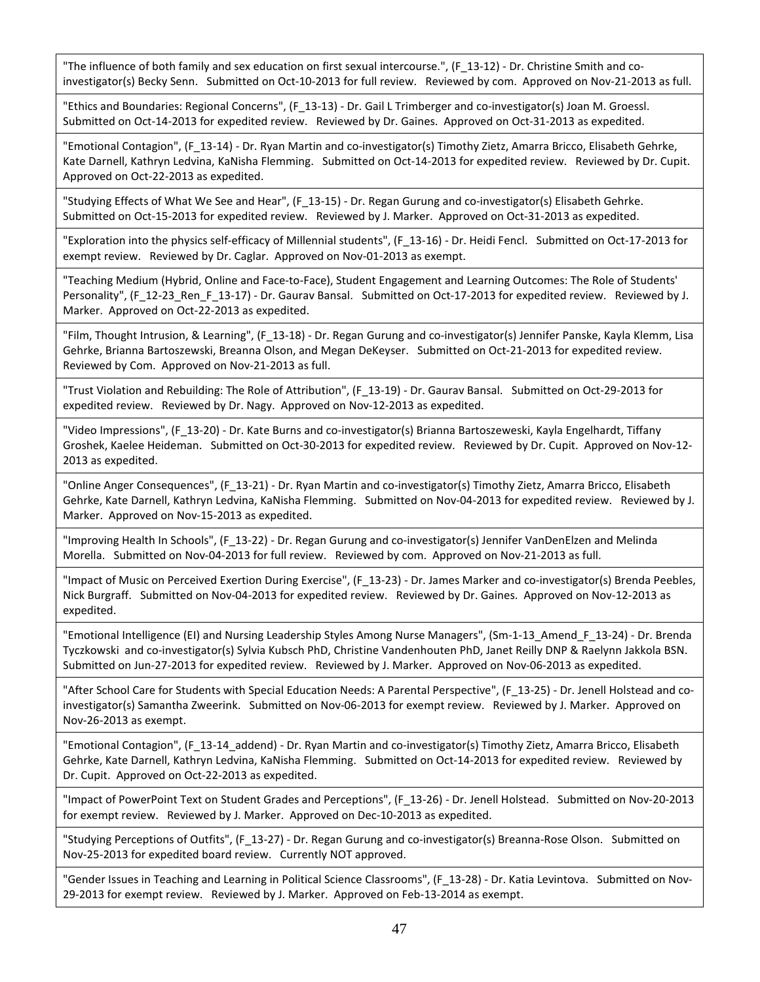"The influence of both family and sex education on first sexual intercourse.", (F\_13-12) - Dr. Christine Smith and coinvestigator(s) Becky Senn. Submitted on Oct-10-2013 for full review. Reviewed by com. Approved on Nov-21-2013 as full.

"Ethics and Boundaries: Regional Concerns", (F\_13-13) - Dr. Gail L Trimberger and co-investigator(s) Joan M. Groessl. Submitted on Oct-14-2013 for expedited review. Reviewed by Dr. Gaines. Approved on Oct-31-2013 as expedited.

"Emotional Contagion", (F\_13-14) - Dr. Ryan Martin and co-investigator(s) Timothy Zietz, Amarra Bricco, Elisabeth Gehrke, Kate Darnell, Kathryn Ledvina, KaNisha Flemming. Submitted on Oct-14-2013 for expedited review. Reviewed by Dr. Cupit. Approved on Oct-22-2013 as expedited.

"Studying Effects of What We See and Hear", (F\_13-15) - Dr. Regan Gurung and co-investigator(s) Elisabeth Gehrke. Submitted on Oct-15-2013 for expedited review. Reviewed by J. Marker. Approved on Oct-31-2013 as expedited.

"Exploration into the physics self-efficacy of Millennial students", (F\_13-16) - Dr. Heidi Fencl. Submitted on Oct-17-2013 for exempt review. Reviewed by Dr. Caglar. Approved on Nov-01-2013 as exempt.

"Teaching Medium (Hybrid, Online and Face-to-Face), Student Engagement and Learning Outcomes: The Role of Students' Personality", (F\_12-23\_Ren\_F\_13-17) - Dr. Gaurav Bansal. Submitted on Oct-17-2013 for expedited review. Reviewed by J. Marker. Approved on Oct-22-2013 as expedited.

"Film, Thought Intrusion, & Learning", (F\_13-18) - Dr. Regan Gurung and co-investigator(s) Jennifer Panske, Kayla Klemm, Lisa Gehrke, Brianna Bartoszewski, Breanna Olson, and Megan DeKeyser. Submitted on Oct-21-2013 for expedited review. Reviewed by Com. Approved on Nov-21-2013 as full.

"Trust Violation and Rebuilding: The Role of Attribution", (F\_13-19) - Dr. Gaurav Bansal. Submitted on Oct-29-2013 for expedited review. Reviewed by Dr. Nagy. Approved on Nov-12-2013 as expedited.

"Video Impressions", (F\_13-20) - Dr. Kate Burns and co-investigator(s) Brianna Bartoszeweski, Kayla Engelhardt, Tiffany Groshek, Kaelee Heideman. Submitted on Oct-30-2013 for expedited review. Reviewed by Dr. Cupit. Approved on Nov-12- 2013 as expedited.

"Online Anger Consequences", (F\_13-21) - Dr. Ryan Martin and co-investigator(s) Timothy Zietz, Amarra Bricco, Elisabeth Gehrke, Kate Darnell, Kathryn Ledvina, KaNisha Flemming. Submitted on Nov-04-2013 for expedited review. Reviewed by J. Marker. Approved on Nov-15-2013 as expedited.

"Improving Health In Schools", (F\_13-22) - Dr. Regan Gurung and co-investigator(s) Jennifer VanDenElzen and Melinda Morella. Submitted on Nov-04-2013 for full review. Reviewed by com. Approved on Nov-21-2013 as full.

"Impact of Music on Perceived Exertion During Exercise", (F\_13-23) - Dr. James Marker and co-investigator(s) Brenda Peebles, Nick Burgraff. Submitted on Nov-04-2013 for expedited review. Reviewed by Dr. Gaines. Approved on Nov-12-2013 as expedited.

"Emotional Intelligence (EI) and Nursing Leadership Styles Among Nurse Managers", (Sm-1-13\_Amend\_F\_13-24) - Dr. Brenda Tyczkowski and co-investigator(s) Sylvia Kubsch PhD, Christine Vandenhouten PhD, Janet Reilly DNP & Raelynn Jakkola BSN. Submitted on Jun-27-2013 for expedited review. Reviewed by J. Marker. Approved on Nov-06-2013 as expedited.

"After School Care for Students with Special Education Needs: A Parental Perspective", (F\_13-25) - Dr. Jenell Holstead and coinvestigator(s) Samantha Zweerink. Submitted on Nov-06-2013 for exempt review. Reviewed by J. Marker. Approved on Nov-26-2013 as exempt.

"Emotional Contagion", (F\_13-14\_addend) - Dr. Ryan Martin and co-investigator(s) Timothy Zietz, Amarra Bricco, Elisabeth Gehrke, Kate Darnell, Kathryn Ledvina, KaNisha Flemming. Submitted on Oct-14-2013 for expedited review. Reviewed by Dr. Cupit. Approved on Oct-22-2013 as expedited.

"Impact of PowerPoint Text on Student Grades and Perceptions", (F\_13-26) - Dr. Jenell Holstead. Submitted on Nov-20-2013 for exempt review. Reviewed by J. Marker. Approved on Dec-10-2013 as expedited.

"Studying Perceptions of Outfits", (F\_13-27) - Dr. Regan Gurung and co-investigator(s) Breanna-Rose Olson. Submitted on Nov-25-2013 for expedited board review. Currently NOT approved.

"Gender Issues in Teaching and Learning in Political Science Classrooms", (F\_13-28) - Dr. Katia Levintova. Submitted on Nov-29-2013 for exempt review. Reviewed by J. Marker. Approved on Feb-13-2014 as exempt.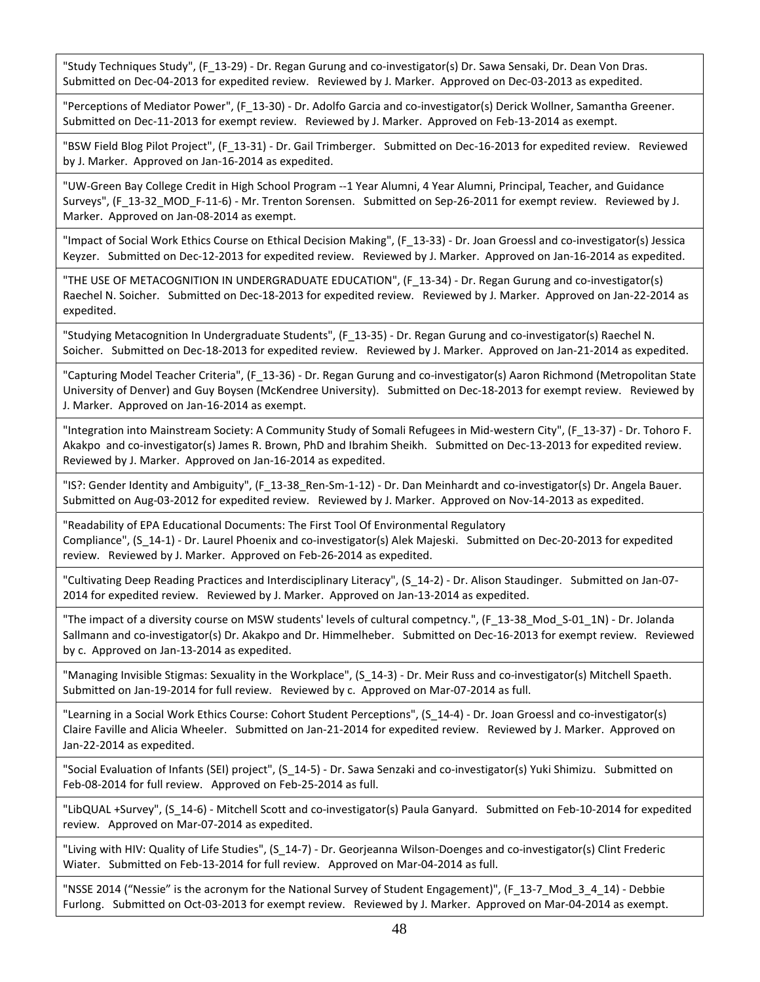"Study Techniques Study", (F\_13-29) - Dr. Regan Gurung and co-investigator(s) Dr. Sawa Sensaki, Dr. Dean Von Dras. Submitted on Dec-04-2013 for expedited review. Reviewed by J. Marker. Approved on Dec-03-2013 as expedited.

"Perceptions of Mediator Power", (F\_13-30) - Dr. Adolfo Garcia and co-investigator(s) Derick Wollner, Samantha Greener. Submitted on Dec-11-2013 for exempt review. Reviewed by J. Marker. Approved on Feb-13-2014 as exempt.

"BSW Field Blog Pilot Project", (F\_13-31) - Dr. Gail Trimberger. Submitted on Dec-16-2013 for expedited review. Reviewed by J. Marker. Approved on Jan-16-2014 as expedited.

"UW-Green Bay College Credit in High School Program --1 Year Alumni, 4 Year Alumni, Principal, Teacher, and Guidance Surveys", (F\_13-32\_MOD\_F-11-6) - Mr. Trenton Sorensen. Submitted on Sep-26-2011 for exempt review. Reviewed by J. Marker. Approved on Jan-08-2014 as exempt.

"Impact of Social Work Ethics Course on Ethical Decision Making", (F\_13-33) - Dr. Joan Groessl and co-investigator(s) Jessica Keyzer. Submitted on Dec-12-2013 for expedited review. Reviewed by J. Marker. Approved on Jan-16-2014 as expedited.

"THE USE OF METACOGNITION IN UNDERGRADUATE EDUCATION", (F\_13-34) - Dr. Regan Gurung and co-investigator(s) Raechel N. Soicher. Submitted on Dec-18-2013 for expedited review. Reviewed by J. Marker. Approved on Jan-22-2014 as expedited.

"Studying Metacognition In Undergraduate Students", (F\_13-35) - Dr. Regan Gurung and co-investigator(s) Raechel N. Soicher. Submitted on Dec-18-2013 for expedited review. Reviewed by J. Marker. Approved on Jan-21-2014 as expedited.

"Capturing Model Teacher Criteria", (F\_13-36) - Dr. Regan Gurung and co-investigator(s) Aaron Richmond (Metropolitan State University of Denver) and Guy Boysen (McKendree University). Submitted on Dec-18-2013 for exempt review. Reviewed by J. Marker. Approved on Jan-16-2014 as exempt.

"Integration into Mainstream Society: A Community Study of Somali Refugees in Mid-western City", (F\_13-37) - Dr. Tohoro F. Akakpo and co-investigator(s) James R. Brown, PhD and Ibrahim Sheikh. Submitted on Dec-13-2013 for expedited review. Reviewed by J. Marker. Approved on Jan-16-2014 as expedited.

"IS?: Gender Identity and Ambiguity", (F\_13-38\_Ren-Sm-1-12) - Dr. Dan Meinhardt and co-investigator(s) Dr. Angela Bauer. Submitted on Aug-03-2012 for expedited review. Reviewed by J. Marker. Approved on Nov-14-2013 as expedited.

"Readability of EPA Educational Documents: The First Tool Of Environmental Regulatory Compliance", (S\_14-1) - Dr. Laurel Phoenix and co-investigator(s) Alek Majeski. Submitted on Dec-20-2013 for expedited review. Reviewed by J. Marker. Approved on Feb-26-2014 as expedited.

"Cultivating Deep Reading Practices and Interdisciplinary Literacy", (S\_14-2) - Dr. Alison Staudinger. Submitted on Jan-07- 2014 for expedited review. Reviewed by J. Marker. Approved on Jan-13-2014 as expedited.

"The impact of a diversity course on MSW students' levels of cultural competncy.", (F\_13-38\_Mod\_S-01\_1N) - Dr. Jolanda Sallmann and co-investigator(s) Dr. Akakpo and Dr. Himmelheber. Submitted on Dec-16-2013 for exempt review. Reviewed by c. Approved on Jan-13-2014 as expedited.

"Managing Invisible Stigmas: Sexuality in the Workplace", (S\_14-3) - Dr. Meir Russ and co-investigator(s) Mitchell Spaeth. Submitted on Jan-19-2014 for full review. Reviewed by c. Approved on Mar-07-2014 as full.

"Learning in a Social Work Ethics Course: Cohort Student Perceptions", (S\_14-4) - Dr. Joan Groessl and co-investigator(s) Claire Faville and Alicia Wheeler. Submitted on Jan-21-2014 for expedited review. Reviewed by J. Marker. Approved on Jan-22-2014 as expedited.

"Social Evaluation of Infants (SEI) project", (S\_14-5) - Dr. Sawa Senzaki and co-investigator(s) Yuki Shimizu. Submitted on Feb-08-2014 for full review. Approved on Feb-25-2014 as full.

"LibQUAL +Survey", (S\_14-6) - Mitchell Scott and co-investigator(s) Paula Ganyard. Submitted on Feb-10-2014 for expedited review. Approved on Mar-07-2014 as expedited.

"Living with HIV: Quality of Life Studies", (S\_14-7) - Dr. Georjeanna Wilson-Doenges and co-investigator(s) Clint Frederic Wiater. Submitted on Feb-13-2014 for full review. Approved on Mar-04-2014 as full.

"NSSE 2014 ("Nessie" is the acronym for the National Survey of Student Engagement)", (F\_13-7\_Mod\_3\_4\_14) - Debbie Furlong. Submitted on Oct-03-2013 for exempt review. Reviewed by J. Marker. Approved on Mar-04-2014 as exempt.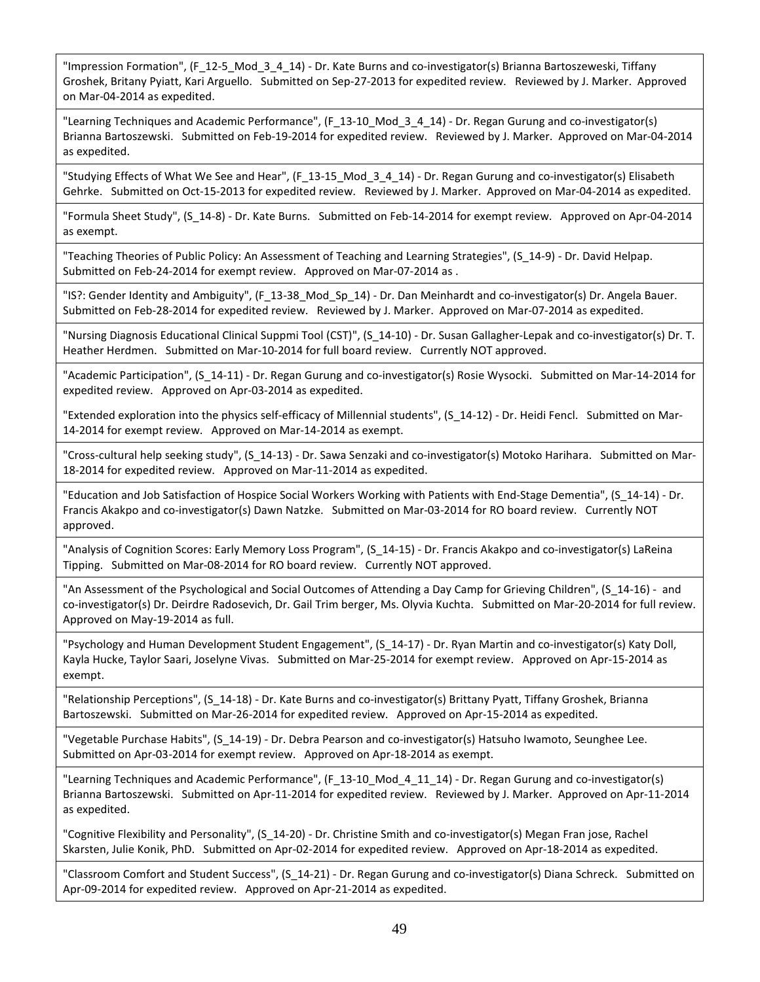"Impression Formation", (F\_12-5\_Mod\_3\_4\_14) - Dr. Kate Burns and co-investigator(s) Brianna Bartoszeweski, Tiffany Groshek, Britany Pyiatt, Kari Arguello. Submitted on Sep-27-2013 for expedited review. Reviewed by J. Marker. Approved on Mar-04-2014 as expedited.

"Learning Techniques and Academic Performance", (F\_13-10\_Mod\_3\_4\_14) - Dr. Regan Gurung and co-investigator(s) Brianna Bartoszewski. Submitted on Feb-19-2014 for expedited review. Reviewed by J. Marker. Approved on Mar-04-2014 as expedited.

"Studying Effects of What We See and Hear", (F\_13-15\_Mod\_3\_4\_14) - Dr. Regan Gurung and co-investigator(s) Elisabeth Gehrke. Submitted on Oct-15-2013 for expedited review. Reviewed by J. Marker. Approved on Mar-04-2014 as expedited.

"Formula Sheet Study", (S\_14-8) - Dr. Kate Burns. Submitted on Feb-14-2014 for exempt review. Approved on Apr-04-2014 as exempt.

"Teaching Theories of Public Policy: An Assessment of Teaching and Learning Strategies", (S\_14-9) - Dr. David Helpap. Submitted on Feb-24-2014 for exempt review. Approved on Mar-07-2014 as .

"IS?: Gender Identity and Ambiguity", (F\_13-38\_Mod\_Sp\_14) - Dr. Dan Meinhardt and co-investigator(s) Dr. Angela Bauer. Submitted on Feb-28-2014 for expedited review. Reviewed by J. Marker. Approved on Mar-07-2014 as expedited.

"Nursing Diagnosis Educational Clinical Suppmi Tool (CST)", (S\_14-10) - Dr. Susan Gallagher-Lepak and co-investigator(s) Dr. T. Heather Herdmen. Submitted on Mar-10-2014 for full board review. Currently NOT approved.

"Academic Participation", (S\_14-11) - Dr. Regan Gurung and co-investigator(s) Rosie Wysocki. Submitted on Mar-14-2014 for expedited review. Approved on Apr-03-2014 as expedited.

"Extended exploration into the physics self-efficacy of Millennial students", (S 14-12) - Dr. Heidi Fencl. Submitted on Mar-14-2014 for exempt review. Approved on Mar-14-2014 as exempt.

"Cross-cultural help seeking study", (S\_14-13) - Dr. Sawa Senzaki and co-investigator(s) Motoko Harihara. Submitted on Mar-18-2014 for expedited review. Approved on Mar-11-2014 as expedited.

"Education and Job Satisfaction of Hospice Social Workers Working with Patients with End-Stage Dementia", (S\_14-14) - Dr. Francis Akakpo and co-investigator(s) Dawn Natzke. Submitted on Mar-03-2014 for RO board review. Currently NOT approved.

"Analysis of Cognition Scores: Early Memory Loss Program", (S\_14-15) - Dr. Francis Akakpo and co-investigator(s) LaReina Tipping. Submitted on Mar-08-2014 for RO board review. Currently NOT approved.

"An Assessment of the Psychological and Social Outcomes of Attending a Day Camp for Grieving Children", (S\_14-16) - and co-investigator(s) Dr. Deirdre Radosevich, Dr. Gail Trim berger, Ms. Olyvia Kuchta. Submitted on Mar-20-2014 for full review. Approved on May-19-2014 as full.

"Psychology and Human Development Student Engagement", (S\_14-17) - Dr. Ryan Martin and co-investigator(s) Katy Doll, Kayla Hucke, Taylor Saari, Joselyne Vivas. Submitted on Mar-25-2014 for exempt review. Approved on Apr-15-2014 as exempt.

"Relationship Perceptions", (S\_14-18) - Dr. Kate Burns and co-investigator(s) Brittany Pyatt, Tiffany Groshek, Brianna Bartoszewski. Submitted on Mar-26-2014 for expedited review. Approved on Apr-15-2014 as expedited.

"Vegetable Purchase Habits", (S\_14-19) - Dr. Debra Pearson and co-investigator(s) Hatsuho Iwamoto, Seunghee Lee. Submitted on Apr-03-2014 for exempt review. Approved on Apr-18-2014 as exempt.

"Learning Techniques and Academic Performance", (F 13-10 Mod 4 11 14) - Dr. Regan Gurung and co-investigator(s) Brianna Bartoszewski. Submitted on Apr-11-2014 for expedited review. Reviewed by J. Marker. Approved on Apr-11-2014 as expedited.

"Cognitive Flexibility and Personality", (S\_14-20) - Dr. Christine Smith and co-investigator(s) Megan Fran jose, Rachel Skarsten, Julie Konik, PhD. Submitted on Apr-02-2014 for expedited review. Approved on Apr-18-2014 as expedited.

"Classroom Comfort and Student Success", (S\_14-21) - Dr. Regan Gurung and co-investigator(s) Diana Schreck. Submitted on Apr-09-2014 for expedited review. Approved on Apr-21-2014 as expedited.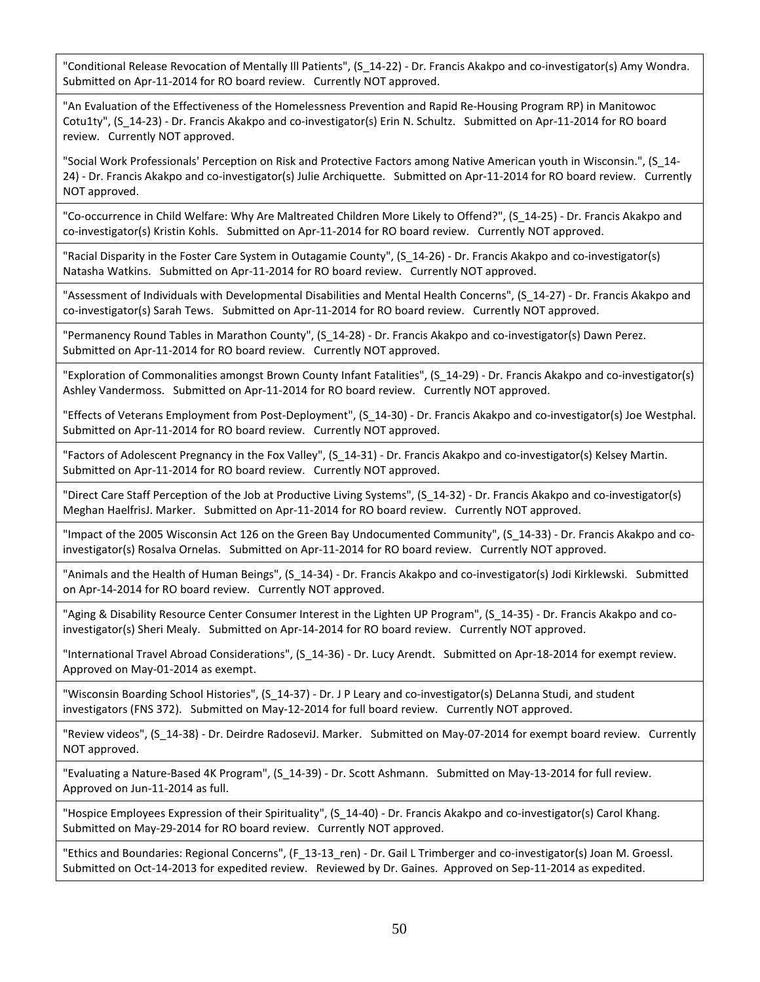"Conditional Release Revocation of Mentally Ill Patients", (S\_14-22) - Dr. Francis Akakpo and co-investigator(s) Amy Wondra. Submitted on Apr-11-2014 for RO board review. Currently NOT approved.

"An Evaluation of the Effectiveness of the Homelessness Prevention and Rapid Re-Housing Program RP) in Manitowoc Cotu1ty", (S\_14-23) - Dr. Francis Akakpo and co-investigator(s) Erin N. Schultz. Submitted on Apr-11-2014 for RO board review. Currently NOT approved.

"Social Work Professionals' Perception on Risk and Protective Factors among Native American youth in Wisconsin.", (S\_14- 24) - Dr. Francis Akakpo and co-investigator(s) Julie Archiquette. Submitted on Apr-11-2014 for RO board review. Currently NOT approved.

"Co-occurrence in Child Welfare: Why Are Maltreated Children More Likely to Offend?", (S\_14-25) - Dr. Francis Akakpo and co-investigator(s) Kristin Kohls. Submitted on Apr-11-2014 for RO board review. Currently NOT approved.

"Racial Disparity in the Foster Care System in Outagamie County", (S\_14-26) - Dr. Francis Akakpo and co-investigator(s) Natasha Watkins. Submitted on Apr-11-2014 for RO board review. Currently NOT approved.

"Assessment of Individuals with Developmental Disabilities and Mental Health Concerns", (S\_14-27) - Dr. Francis Akakpo and co-investigator(s) Sarah Tews. Submitted on Apr-11-2014 for RO board review. Currently NOT approved.

"Permanency Round Tables in Marathon County", (S\_14-28) - Dr. Francis Akakpo and co-investigator(s) Dawn Perez. Submitted on Apr-11-2014 for RO board review. Currently NOT approved.

"Exploration of Commonalities amongst Brown County Infant Fatalities", (S\_14-29) - Dr. Francis Akakpo and co-investigator(s) Ashley Vandermoss. Submitted on Apr-11-2014 for RO board review. Currently NOT approved.

"Effects of Veterans Employment from Post-Deployment", (S\_14-30) - Dr. Francis Akakpo and co-investigator(s) Joe Westphal. Submitted on Apr-11-2014 for RO board review. Currently NOT approved.

"Factors of Adolescent Pregnancy in the Fox Valley", (S\_14-31) - Dr. Francis Akakpo and co-investigator(s) Kelsey Martin. Submitted on Apr-11-2014 for RO board review. Currently NOT approved.

"Direct Care Staff Perception of the Job at Productive Living Systems", (S\_14-32) - Dr. Francis Akakpo and co-investigator(s) Meghan HaelfrisJ. Marker. Submitted on Apr-11-2014 for RO board review. Currently NOT approved.

"Impact of the 2005 Wisconsin Act 126 on the Green Bay Undocumented Community", (S\_14-33) - Dr. Francis Akakpo and coinvestigator(s) Rosalva Ornelas. Submitted on Apr-11-2014 for RO board review. Currently NOT approved.

"Animals and the Health of Human Beings", (S\_14-34) - Dr. Francis Akakpo and co-investigator(s) Jodi Kirklewski. Submitted on Apr-14-2014 for RO board review. Currently NOT approved.

"Aging & Disability Resource Center Consumer Interest in the Lighten UP Program", (S\_14-35) - Dr. Francis Akakpo and coinvestigator(s) Sheri Mealy. Submitted on Apr-14-2014 for RO board review. Currently NOT approved.

"International Travel Abroad Considerations", (S\_14-36) - Dr. Lucy Arendt. Submitted on Apr-18-2014 for exempt review. Approved on May-01-2014 as exempt.

"Wisconsin Boarding School Histories", (S\_14-37) - Dr. J P Leary and co-investigator(s) DeLanna Studi, and student investigators (FNS 372). Submitted on May-12-2014 for full board review. Currently NOT approved.

"Review videos", (S\_14-38) - Dr. Deirdre RadoseviJ. Marker. Submitted on May-07-2014 for exempt board review. Currently NOT approved.

"Evaluating a Nature-Based 4K Program", (S\_14-39) - Dr. Scott Ashmann. Submitted on May-13-2014 for full review. Approved on Jun-11-2014 as full.

"Hospice Employees Expression of their Spirituality", (S\_14-40) - Dr. Francis Akakpo and co-investigator(s) Carol Khang. Submitted on May-29-2014 for RO board review. Currently NOT approved.

"Ethics and Boundaries: Regional Concerns", (F\_13-13\_ren) - Dr. Gail L Trimberger and co-investigator(s) Joan M. Groessl. Submitted on Oct-14-2013 for expedited review. Reviewed by Dr. Gaines. Approved on Sep-11-2014 as expedited.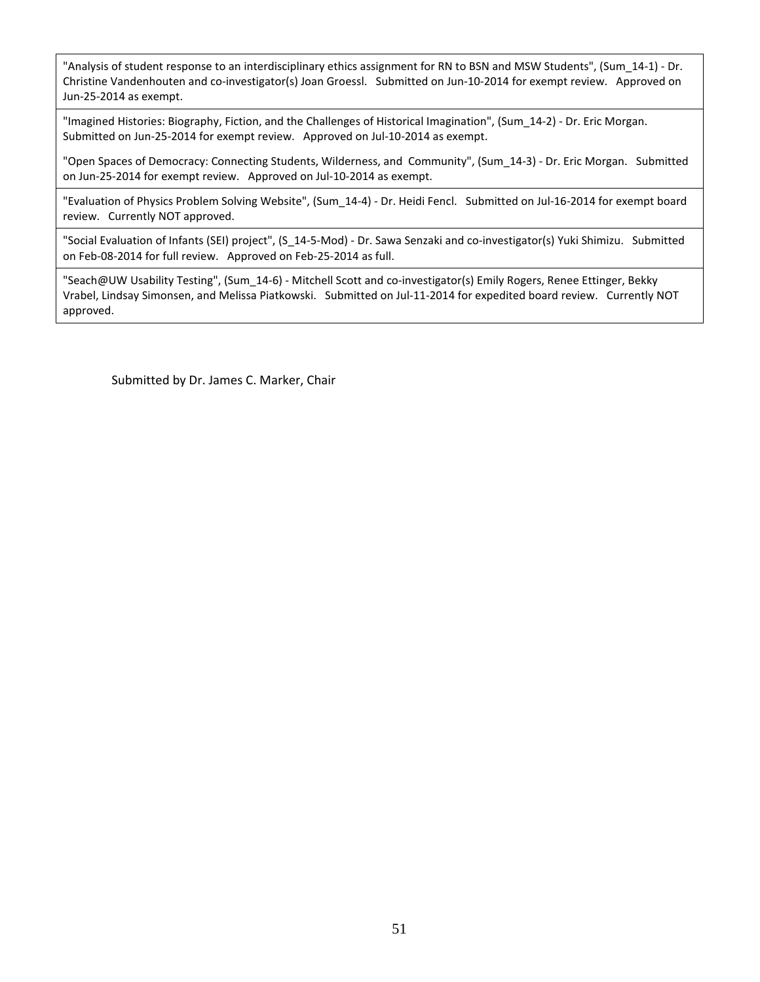"Analysis of student response to an interdisciplinary ethics assignment for RN to BSN and MSW Students", (Sum\_14-1) - Dr. Christine Vandenhouten and co-investigator(s) Joan Groessl. Submitted on Jun-10-2014 for exempt review. Approved on Jun-25-2014 as exempt.

"Imagined Histories: Biography, Fiction, and the Challenges of Historical Imagination", (Sum\_14-2) - Dr. Eric Morgan. Submitted on Jun-25-2014 for exempt review. Approved on Jul-10-2014 as exempt.

"Open Spaces of Democracy: Connecting Students, Wilderness, and Community", (Sum\_14-3) - Dr. Eric Morgan. Submitted on Jun-25-2014 for exempt review. Approved on Jul-10-2014 as exempt.

"Evaluation of Physics Problem Solving Website", (Sum\_14-4) - Dr. Heidi Fencl. Submitted on Jul-16-2014 for exempt board review. Currently NOT approved.

"Social Evaluation of Infants (SEI) project", (S\_14-5-Mod) - Dr. Sawa Senzaki and co-investigator(s) Yuki Shimizu. Submitted on Feb-08-2014 for full review. Approved on Feb-25-2014 as full.

"Seach@UW Usability Testing", (Sum\_14-6) - Mitchell Scott and co-investigator(s) Emily Rogers, Renee Ettinger, Bekky Vrabel, Lindsay Simonsen, and Melissa Piatkowski. Submitted on Jul-11-2014 for expedited board review. Currently NOT approved.

Submitted by Dr. James C. Marker, Chair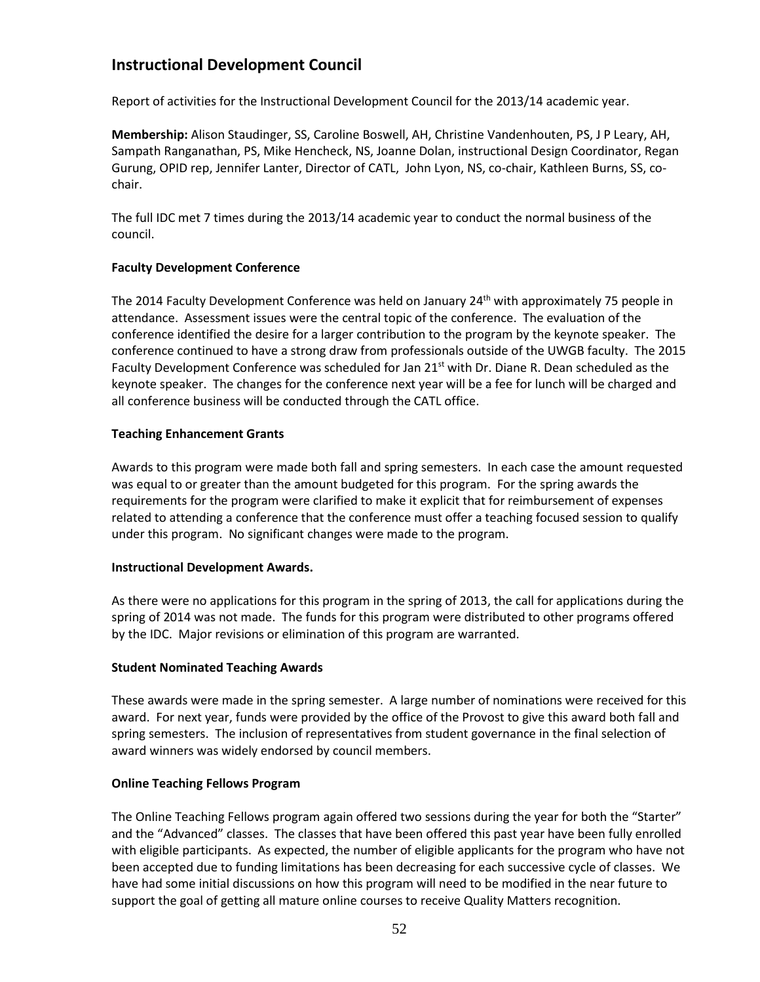# **Instructional Development Council**

Report of activities for the Instructional Development Council for the 2013/14 academic year.

**Membership:** Alison Staudinger, SS, Caroline Boswell, AH, Christine Vandenhouten, PS, J P Leary, AH, Sampath Ranganathan, PS, Mike Hencheck, NS, Joanne Dolan, instructional Design Coordinator, Regan Gurung, OPID rep, Jennifer Lanter, Director of CATL, John Lyon, NS, co-chair, Kathleen Burns, SS, cochair.

The full IDC met 7 times during the 2013/14 academic year to conduct the normal business of the council.

## **Faculty Development Conference**

The 2014 Faculty Development Conference was held on January 24<sup>th</sup> with approximately 75 people in attendance. Assessment issues were the central topic of the conference. The evaluation of the conference identified the desire for a larger contribution to the program by the keynote speaker. The conference continued to have a strong draw from professionals outside of the UWGB faculty. The 2015 Faculty Development Conference was scheduled for Jan 21<sup>st</sup> with Dr. Diane R. Dean scheduled as the keynote speaker. The changes for the conference next year will be a fee for lunch will be charged and all conference business will be conducted through the CATL office.

## **Teaching Enhancement Grants**

Awards to this program were made both fall and spring semesters. In each case the amount requested was equal to or greater than the amount budgeted for this program. For the spring awards the requirements for the program were clarified to make it explicit that for reimbursement of expenses related to attending a conference that the conference must offer a teaching focused session to qualify under this program. No significant changes were made to the program.

## **Instructional Development Awards.**

As there were no applications for this program in the spring of 2013, the call for applications during the spring of 2014 was not made. The funds for this program were distributed to other programs offered by the IDC. Major revisions or elimination of this program are warranted.

## **Student Nominated Teaching Awards**

These awards were made in the spring semester. A large number of nominations were received for this award. For next year, funds were provided by the office of the Provost to give this award both fall and spring semesters. The inclusion of representatives from student governance in the final selection of award winners was widely endorsed by council members.

## **Online Teaching Fellows Program**

The Online Teaching Fellows program again offered two sessions during the year for both the "Starter" and the "Advanced" classes. The classes that have been offered this past year have been fully enrolled with eligible participants. As expected, the number of eligible applicants for the program who have not been accepted due to funding limitations has been decreasing for each successive cycle of classes. We have had some initial discussions on how this program will need to be modified in the near future to support the goal of getting all mature online courses to receive Quality Matters recognition.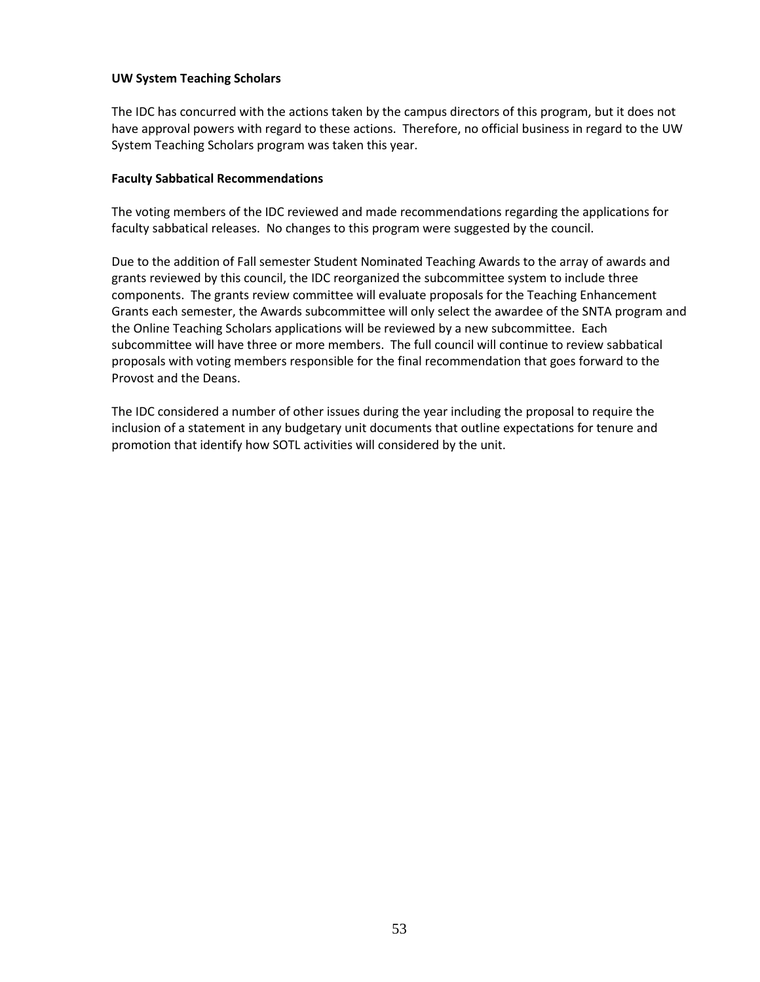## **UW System Teaching Scholars**

The IDC has concurred with the actions taken by the campus directors of this program, but it does not have approval powers with regard to these actions. Therefore, no official business in regard to the UW System Teaching Scholars program was taken this year.

#### **Faculty Sabbatical Recommendations**

The voting members of the IDC reviewed and made recommendations regarding the applications for faculty sabbatical releases. No changes to this program were suggested by the council.

Due to the addition of Fall semester Student Nominated Teaching Awards to the array of awards and grants reviewed by this council, the IDC reorganized the subcommittee system to include three components. The grants review committee will evaluate proposals for the Teaching Enhancement Grants each semester, the Awards subcommittee will only select the awardee of the SNTA program and the Online Teaching Scholars applications will be reviewed by a new subcommittee. Each subcommittee will have three or more members. The full council will continue to review sabbatical proposals with voting members responsible for the final recommendation that goes forward to the Provost and the Deans.

The IDC considered a number of other issues during the year including the proposal to require the inclusion of a statement in any budgetary unit documents that outline expectations for tenure and promotion that identify how SOTL activities will considered by the unit.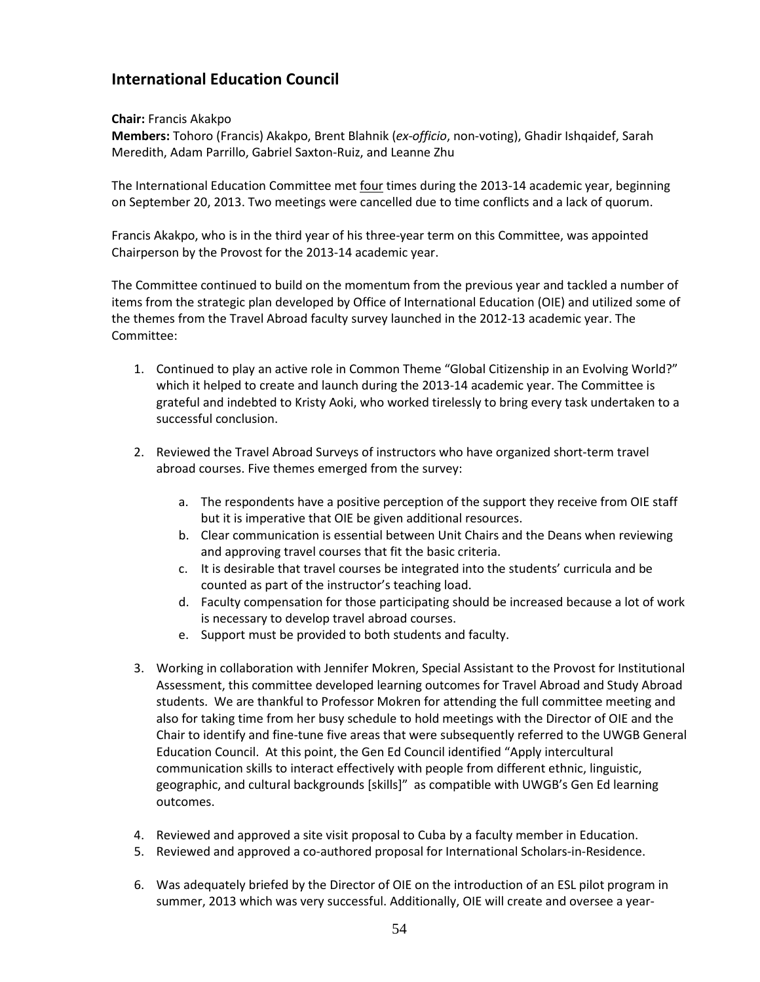# **International Education Council**

## **Chair:** Francis Akakpo

**Members:** Tohoro (Francis) Akakpo, Brent Blahnik (*ex-officio*, non-voting), Ghadir Ishqaidef, Sarah Meredith, Adam Parrillo, Gabriel Saxton-Ruiz, and Leanne Zhu

The International Education Committee met four times during the 2013-14 academic year, beginning on September 20, 2013. Two meetings were cancelled due to time conflicts and a lack of quorum.

Francis Akakpo, who is in the third year of his three-year term on this Committee, was appointed Chairperson by the Provost for the 2013-14 academic year.

The Committee continued to build on the momentum from the previous year and tackled a number of items from the strategic plan developed by Office of International Education (OIE) and utilized some of the themes from the Travel Abroad faculty survey launched in the 2012-13 academic year. The Committee:

- 1. Continued to play an active role in Common Theme "Global Citizenship in an Evolving World?" which it helped to create and launch during the 2013-14 academic year. The Committee is grateful and indebted to Kristy Aoki, who worked tirelessly to bring every task undertaken to a successful conclusion.
- 2. Reviewed the Travel Abroad Surveys of instructors who have organized short-term travel abroad courses. Five themes emerged from the survey:
	- a. The respondents have a positive perception of the support they receive from OIE staff but it is imperative that OIE be given additional resources.
	- b. Clear communication is essential between Unit Chairs and the Deans when reviewing and approving travel courses that fit the basic criteria.
	- c. It is desirable that travel courses be integrated into the students' curricula and be counted as part of the instructor's teaching load.
	- d. Faculty compensation for those participating should be increased because a lot of work is necessary to develop travel abroad courses.
	- e. Support must be provided to both students and faculty.
- 3. Working in collaboration with Jennifer Mokren, Special Assistant to the Provost for Institutional Assessment, this committee developed learning outcomes for Travel Abroad and Study Abroad students. We are thankful to Professor Mokren for attending the full committee meeting and also for taking time from her busy schedule to hold meetings with the Director of OIE and the Chair to identify and fine-tune five areas that were subsequently referred to the UWGB General Education Council. At this point, the Gen Ed Council identified "Apply intercultural communication skills to interact effectively with people from different ethnic, linguistic, geographic, and cultural backgrounds [skills]" as compatible with UWGB's Gen Ed learning outcomes.
- 4. Reviewed and approved a site visit proposal to Cuba by a faculty member in Education.
- 5. Reviewed and approved a co-authored proposal for International Scholars-in-Residence.
- 6. Was adequately briefed by the Director of OIE on the introduction of an ESL pilot program in summer, 2013 which was very successful. Additionally, OIE will create and oversee a year-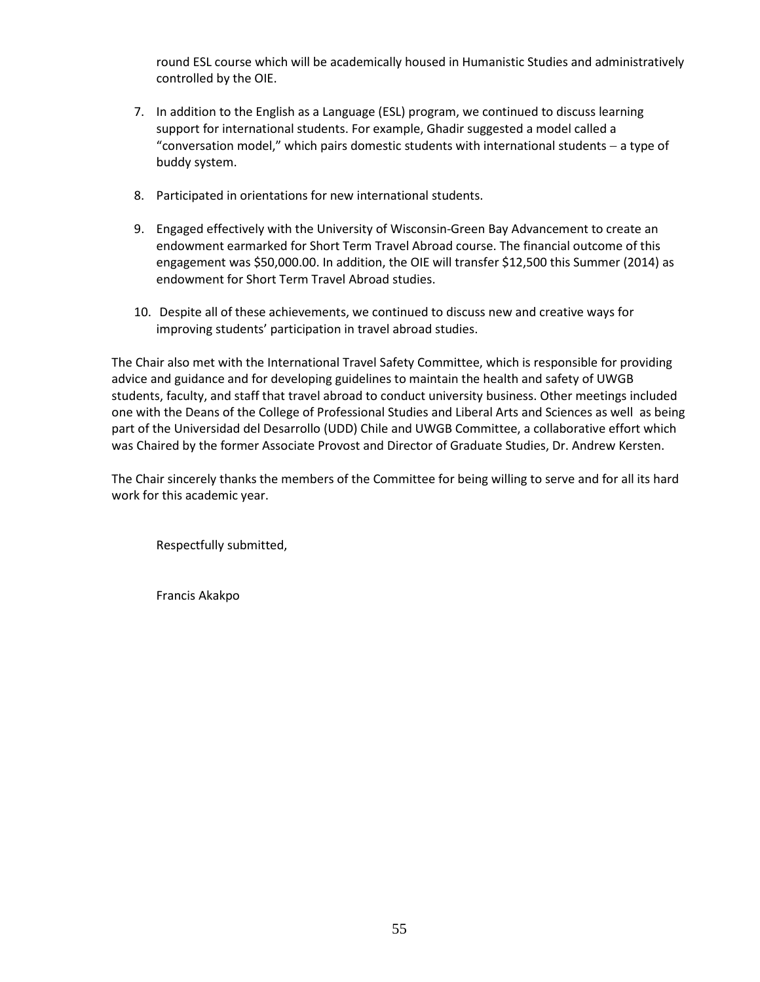round ESL course which will be academically housed in Humanistic Studies and administratively controlled by the OIE.

- 7. In addition to the English as a Language (ESL) program, we continued to discuss learning support for international students. For example, Ghadir suggested a model called a "conversation model," which pairs domestic students with international students − a type of buddy system.
- 8. Participated in orientations for new international students.
- 9. Engaged effectively with the University of Wisconsin-Green Bay Advancement to create an endowment earmarked for Short Term Travel Abroad course. The financial outcome of this engagement was \$50,000.00. In addition, the OIE will transfer \$12,500 this Summer (2014) as endowment for Short Term Travel Abroad studies.
- 10. Despite all of these achievements, we continued to discuss new and creative ways for improving students' participation in travel abroad studies.

The Chair also met with the International Travel Safety Committee, which is responsible for providing advice and guidance and for developing guidelines to maintain the health and safety of UWGB students, faculty, and staff that travel abroad to conduct university business. Other meetings included one with the Deans of the College of Professional Studies and Liberal Arts and Sciences as well as being part of the Universidad del Desarrollo (UDD) Chile and UWGB Committee, a collaborative effort which was Chaired by the former Associate Provost and Director of Graduate Studies, Dr. Andrew Kersten.

The Chair sincerely thanks the members of the Committee for being willing to serve and for all its hard work for this academic year.

Respectfully submitted,

Francis Akakpo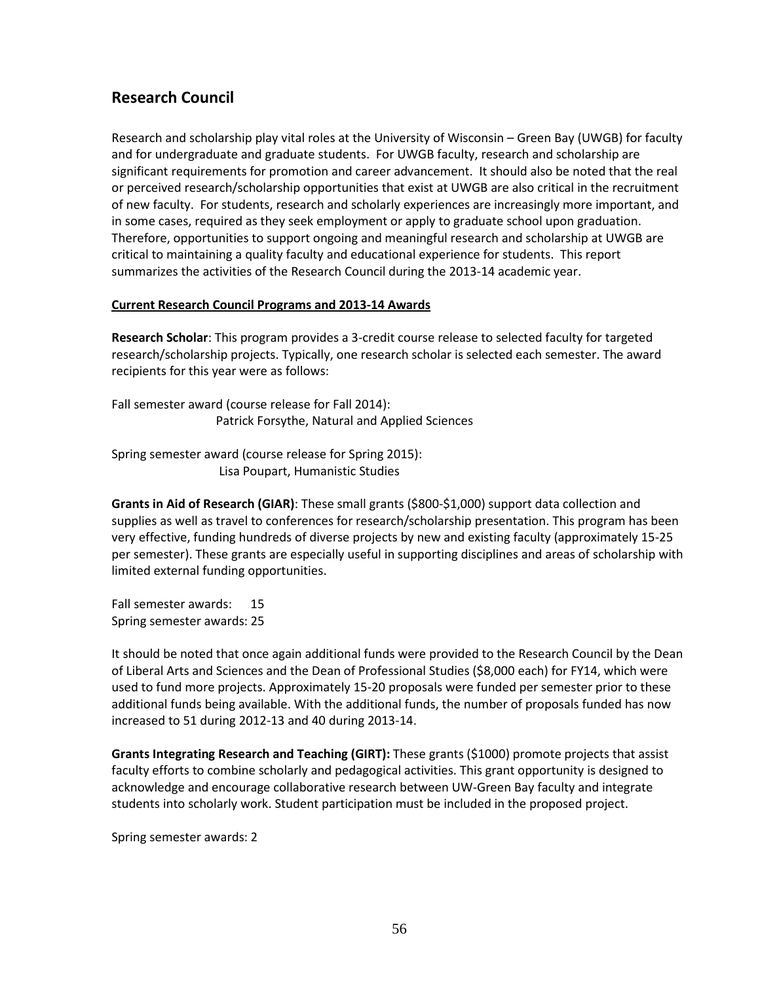# **Research Council**

Research and scholarship play vital roles at the University of Wisconsin – Green Bay (UWGB) for faculty and for undergraduate and graduate students. For UWGB faculty, research and scholarship are significant requirements for promotion and career advancement. It should also be noted that the real or perceived research/scholarship opportunities that exist at UWGB are also critical in the recruitment of new faculty. For students, research and scholarly experiences are increasingly more important, and in some cases, required as they seek employment or apply to graduate school upon graduation. Therefore, opportunities to support ongoing and meaningful research and scholarship at UWGB are critical to maintaining a quality faculty and educational experience for students. This report summarizes the activities of the Research Council during the 2013-14 academic year.

## **Current Research Council Programs and 2013-14 Awards**

**Research Scholar**: This program provides a 3-credit course release to selected faculty for targeted research/scholarship projects. Typically, one research scholar is selected each semester. The award recipients for this year were as follows:

Fall semester award (course release for Fall 2014): Patrick Forsythe, Natural and Applied Sciences

Spring semester award (course release for Spring 2015): Lisa Poupart, Humanistic Studies

**Grants in Aid of Research (GIAR)**: These small grants (\$800-\$1,000) support data collection and supplies as well as travel to conferences for research/scholarship presentation. This program has been very effective, funding hundreds of diverse projects by new and existing faculty (approximately 15-25 per semester). These grants are especially useful in supporting disciplines and areas of scholarship with limited external funding opportunities.

Fall semester awards: 15 Spring semester awards: 25

It should be noted that once again additional funds were provided to the Research Council by the Dean of Liberal Arts and Sciences and the Dean of Professional Studies (\$8,000 each) for FY14, which were used to fund more projects. Approximately 15-20 proposals were funded per semester prior to these additional funds being available. With the additional funds, the number of proposals funded has now increased to 51 during 2012-13 and 40 during 2013-14.

**Grants Integrating Research and Teaching (GIRT):** These grants (\$1000) promote projects that assist faculty efforts to combine scholarly and pedagogical activities. This grant opportunity is designed to acknowledge and encourage collaborative research between UW-Green Bay faculty and integrate students into scholarly work. Student participation must be included in the proposed project.

Spring semester awards: 2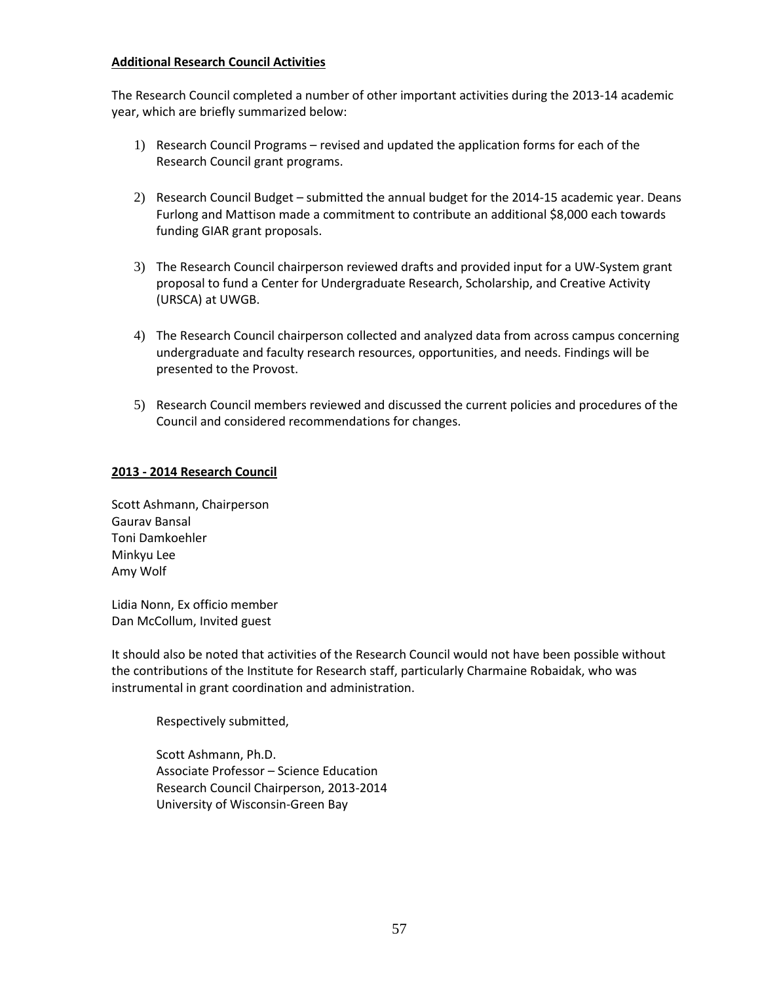## **Additional Research Council Activities**

The Research Council completed a number of other important activities during the 2013-14 academic year, which are briefly summarized below:

- 1) Research Council Programs revised and updated the application forms for each of the Research Council grant programs.
- 2) Research Council Budget submitted the annual budget for the 2014-15 academic year. Deans Furlong and Mattison made a commitment to contribute an additional \$8,000 each towards funding GIAR grant proposals.
- 3) The Research Council chairperson reviewed drafts and provided input for a UW-System grant proposal to fund a Center for Undergraduate Research, Scholarship, and Creative Activity (URSCA) at UWGB.
- 4) The Research Council chairperson collected and analyzed data from across campus concerning undergraduate and faculty research resources, opportunities, and needs. Findings will be presented to the Provost.
- 5) Research Council members reviewed and discussed the current policies and procedures of the Council and considered recommendations for changes.

## **2013 - 2014 Research Council**

Scott Ashmann, Chairperson Gaurav Bansal Toni Damkoehler Minkyu Lee Amy Wolf

Lidia Nonn, Ex officio member Dan McCollum, Invited guest

It should also be noted that activities of the Research Council would not have been possible without the contributions of the Institute for Research staff, particularly Charmaine Robaidak, who was instrumental in grant coordination and administration.

Respectively submitted,

Scott Ashmann, Ph.D. Associate Professor – Science Education Research Council Chairperson, 2013-2014 University of Wisconsin-Green Bay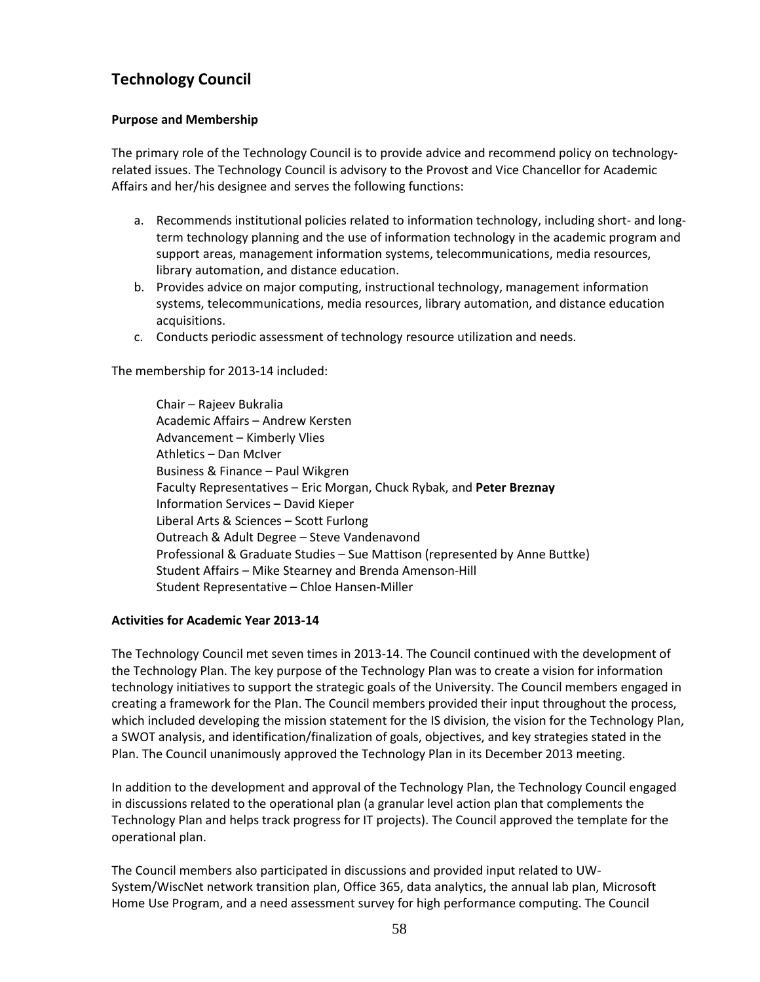# **Technology Council**

## **Purpose and Membership**

The primary role of the Technology Council is to provide advice and recommend policy on technologyrelated issues. The Technology Council is advisory to the Provost and Vice Chancellor for Academic Affairs and her/his designee and serves the following functions:

- a. Recommends institutional policies related to information technology, including short- and longterm technology planning and the use of information technology in the academic program and support areas, management information systems, telecommunications, media resources, library automation, and distance education.
- b. Provides advice on major computing, instructional technology, management information systems, telecommunications, media resources, library automation, and distance education acquisitions.
- c. Conducts periodic assessment of technology resource utilization and needs.

The membership for 2013-14 included:

Chair – Rajeev Bukralia Academic Affairs – Andrew Kersten Advancement – Kimberly Vlies Athletics – Dan McIver Business & Finance – Paul Wikgren Faculty Representatives – Eric Morgan, Chuck Rybak, and **Peter Breznay** Information Services – David Kieper Liberal Arts & Sciences – Scott Furlong Outreach & Adult Degree – Steve Vandenavond Professional & Graduate Studies – Sue Mattison (represented by Anne Buttke) Student Affairs – Mike Stearney and Brenda Amenson-Hill Student Representative – Chloe Hansen-Miller

## **Activities for Academic Year 2013-14**

The Technology Council met seven times in 2013-14. The Council continued with the development of the Technology Plan. The key purpose of the Technology Plan was to create a vision for information technology initiatives to support the strategic goals of the University. The Council members engaged in creating a framework for the Plan. The Council members provided their input throughout the process, which included developing the mission statement for the IS division, the vision for the Technology Plan, a SWOT analysis, and identification/finalization of goals, objectives, and key strategies stated in the Plan. The Council unanimously approved the Technology Plan in its December 2013 meeting.

In addition to the development and approval of the Technology Plan, the Technology Council engaged in discussions related to the operational plan (a granular level action plan that complements the Technology Plan and helps track progress for IT projects). The Council approved the template for the operational plan.

The Council members also participated in discussions and provided input related to UW-System/WiscNet network transition plan, Office 365, data analytics, the annual lab plan, Microsoft Home Use Program, and a need assessment survey for high performance computing. The Council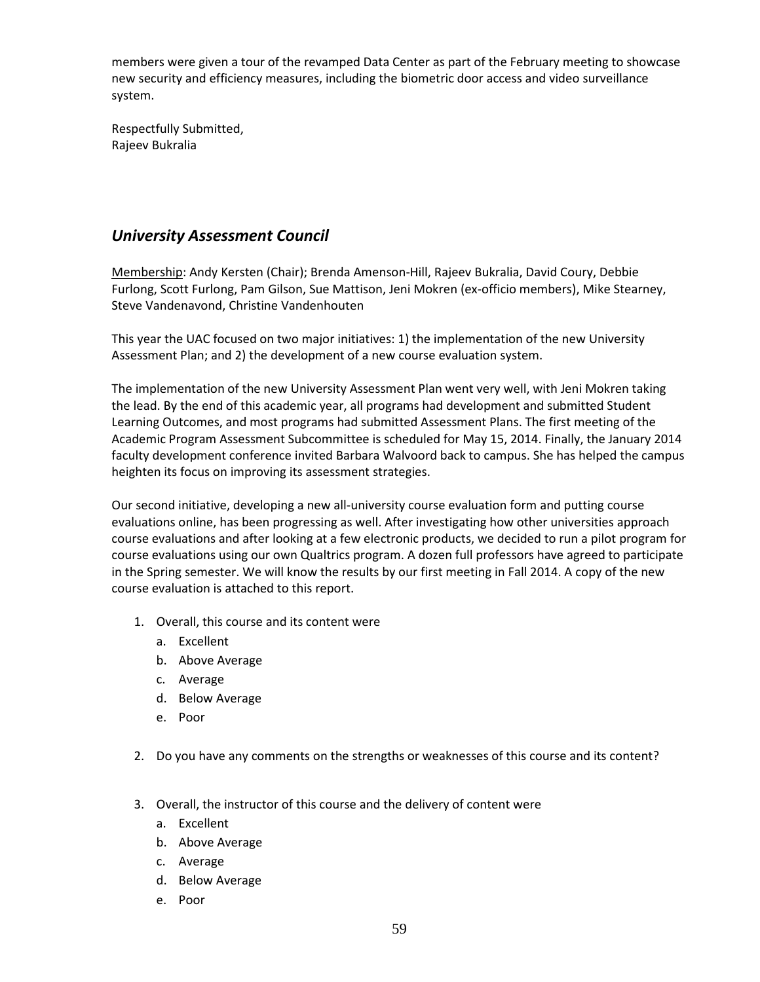members were given a tour of the revamped Data Center as part of the February meeting to showcase new security and efficiency measures, including the biometric door access and video surveillance system.

Respectfully Submitted, Rajeev Bukralia

## *University Assessment Council*

Membership: Andy Kersten (Chair); Brenda Amenson-Hill, Rajeev Bukralia, David Coury, Debbie Furlong, Scott Furlong, Pam Gilson, Sue Mattison, Jeni Mokren (ex-officio members), Mike Stearney, Steve Vandenavond, Christine Vandenhouten

This year the UAC focused on two major initiatives: 1) the implementation of the new University Assessment Plan; and 2) the development of a new course evaluation system.

The implementation of the new University Assessment Plan went very well, with Jeni Mokren taking the lead. By the end of this academic year, all programs had development and submitted Student Learning Outcomes, and most programs had submitted Assessment Plans. The first meeting of the Academic Program Assessment Subcommittee is scheduled for May 15, 2014. Finally, the January 2014 faculty development conference invited Barbara Walvoord back to campus. She has helped the campus heighten its focus on improving its assessment strategies.

Our second initiative, developing a new all-university course evaluation form and putting course evaluations online, has been progressing as well. After investigating how other universities approach course evaluations and after looking at a few electronic products, we decided to run a pilot program for course evaluations using our own Qualtrics program. A dozen full professors have agreed to participate in the Spring semester. We will know the results by our first meeting in Fall 2014. A copy of the new course evaluation is attached to this report.

- 1. Overall, this course and its content were
	- a. Excellent
	- b. Above Average
	- c. Average
	- d. Below Average
	- e. Poor
- 2. Do you have any comments on the strengths or weaknesses of this course and its content?
- 3. Overall, the instructor of this course and the delivery of content were
	- a. Excellent
	- b. Above Average
	- c. Average
	- d. Below Average
	- e. Poor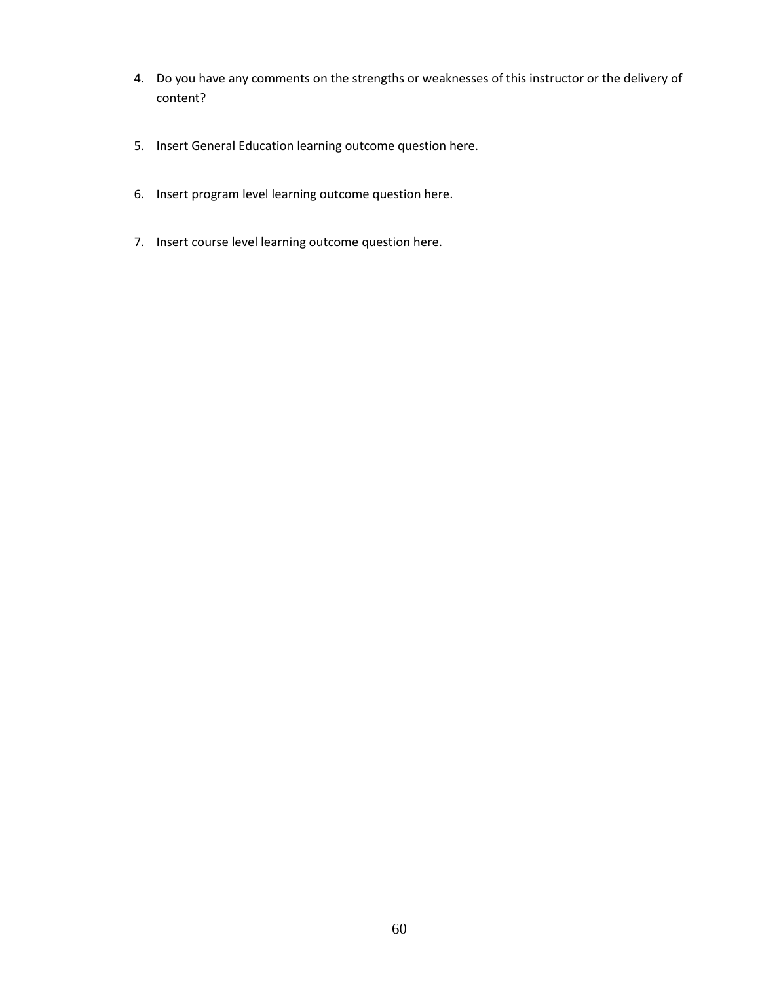- 4. Do you have any comments on the strengths or weaknesses of this instructor or the delivery of content?
- 5. Insert General Education learning outcome question here.
- 6. Insert program level learning outcome question here.
- 7. Insert course level learning outcome question here.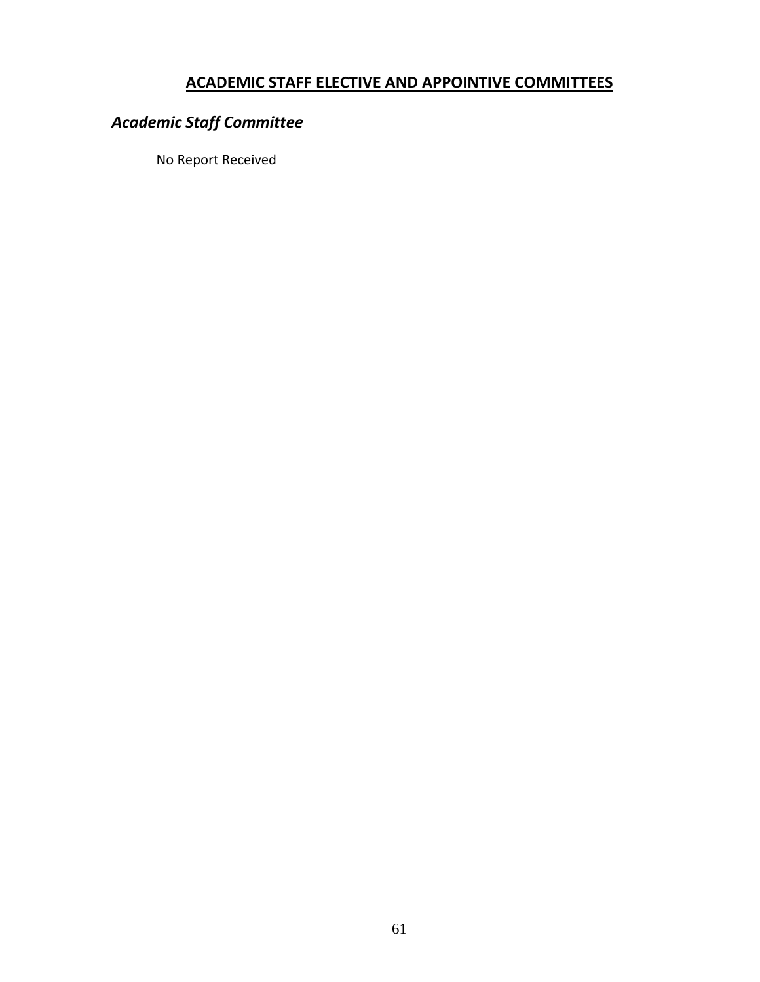# **ACADEMIC STAFF ELECTIVE AND APPOINTIVE COMMITTEES**

# *Academic Staff Committee*

No Report Received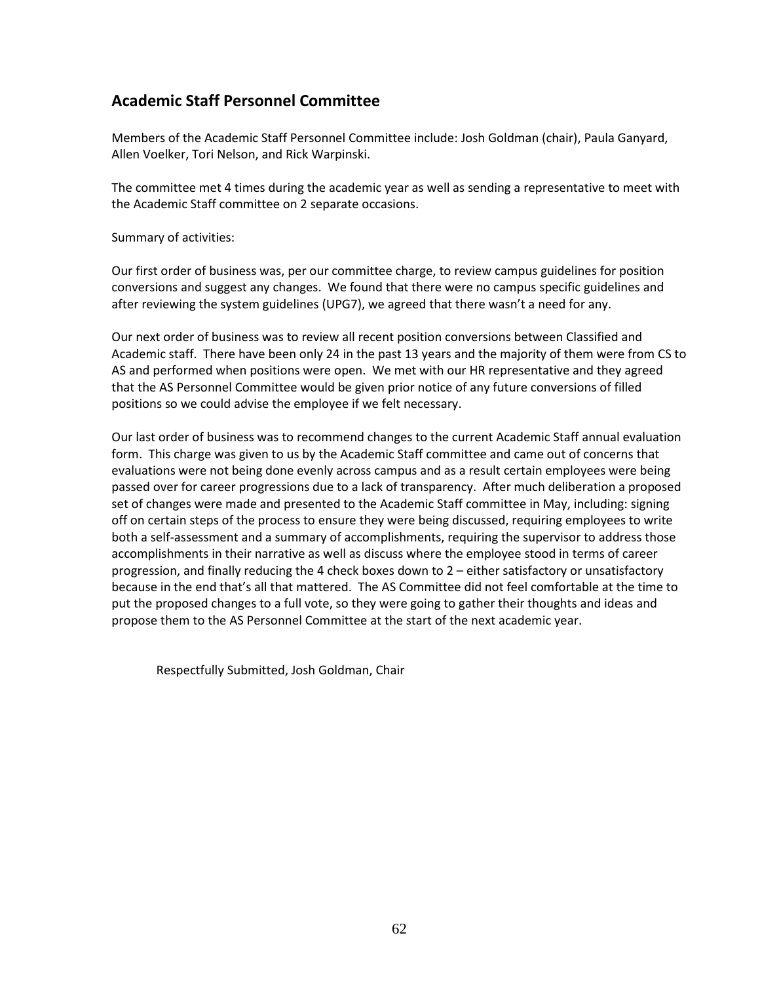# **Academic Staff Personnel Committee**

Members of the Academic Staff Personnel Committee include: Josh Goldman (chair), Paula Ganyard, Allen Voelker, Tori Nelson, and Rick Warpinski.

The committee met 4 times during the academic year as well as sending a representative to meet with the Academic Staff committee on 2 separate occasions.

Summary of activities:

Our first order of business was, per our committee charge, to review campus guidelines for position conversions and suggest any changes. We found that there were no campus specific guidelines and after reviewing the system guidelines (UPG7), we agreed that there wasn't a need for any.

Our next order of business was to review all recent position conversions between Classified and Academic staff. There have been only 24 in the past 13 years and the majority of them were from CS to AS and performed when positions were open. We met with our HR representative and they agreed that the AS Personnel Committee would be given prior notice of any future conversions of filled positions so we could advise the employee if we felt necessary.

Our last order of business was to recommend changes to the current Academic Staff annual evaluation form. This charge was given to us by the Academic Staff committee and came out of concerns that evaluations were not being done evenly across campus and as a result certain employees were being passed over for career progressions due to a lack of transparency. After much deliberation a proposed set of changes were made and presented to the Academic Staff committee in May, including: signing off on certain steps of the process to ensure they were being discussed, requiring employees to write both a self-assessment and a summary of accomplishments, requiring the supervisor to address those accomplishments in their narrative as well as discuss where the employee stood in terms of career progression, and finally reducing the 4 check boxes down to 2 – either satisfactory or unsatisfactory because in the end that's all that mattered. The AS Committee did not feel comfortable at the time to put the proposed changes to a full vote, so they were going to gather their thoughts and ideas and propose them to the AS Personnel Committee at the start of the next academic year.

Respectfully Submitted, Josh Goldman, Chair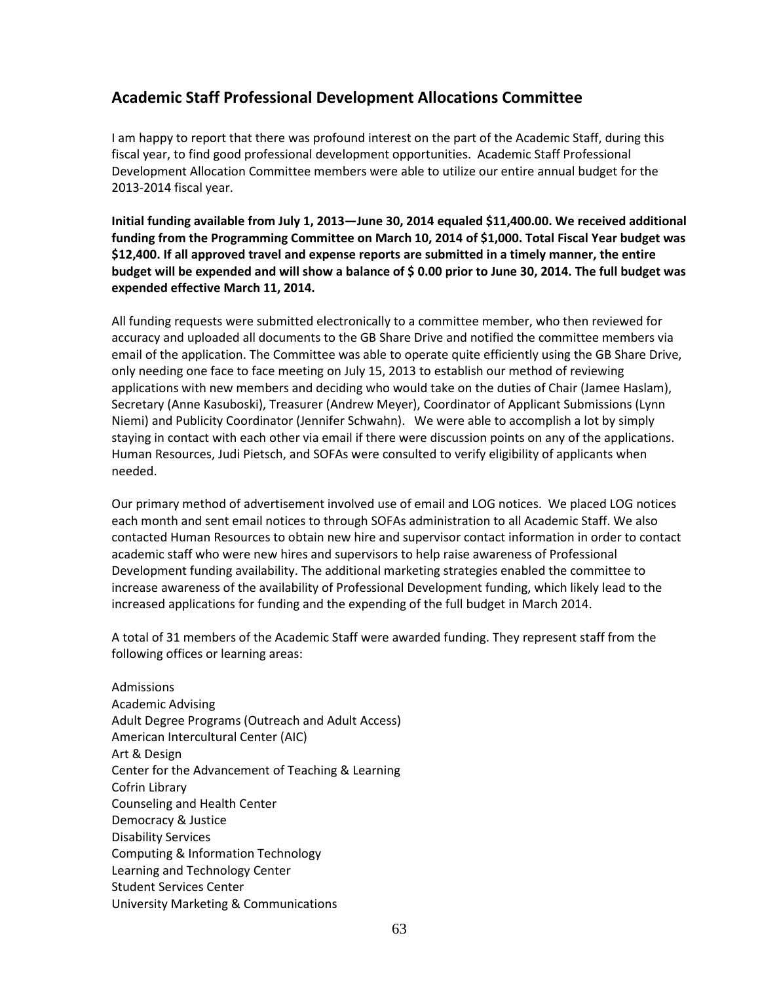# **Academic Staff Professional Development Allocations Committee**

I am happy to report that there was profound interest on the part of the Academic Staff, during this fiscal year, to find good professional development opportunities. Academic Staff Professional Development Allocation Committee members were able to utilize our entire annual budget for the 2013-2014 fiscal year.

**Initial funding available from July 1, 2013—June 30, 2014 equaled \$11,400.00. We received additional funding from the Programming Committee on March 10, 2014 of \$1,000. Total Fiscal Year budget was \$12,400. If all approved travel and expense reports are submitted in a timely manner, the entire budget will be expended and will show a balance of \$ 0.00 prior to June 30, 2014. The full budget was expended effective March 11, 2014.**

All funding requests were submitted electronically to a committee member, who then reviewed for accuracy and uploaded all documents to the GB Share Drive and notified the committee members via email of the application. The Committee was able to operate quite efficiently using the GB Share Drive, only needing one face to face meeting on July 15, 2013 to establish our method of reviewing applications with new members and deciding who would take on the duties of Chair (Jamee Haslam), Secretary (Anne Kasuboski), Treasurer (Andrew Meyer), Coordinator of Applicant Submissions (Lynn Niemi) and Publicity Coordinator (Jennifer Schwahn). We were able to accomplish a lot by simply staying in contact with each other via email if there were discussion points on any of the applications. Human Resources, Judi Pietsch, and SOFAs were consulted to verify eligibility of applicants when needed.

Our primary method of advertisement involved use of email and LOG notices. We placed LOG notices each month and sent email notices to through SOFAs administration to all Academic Staff. We also contacted Human Resources to obtain new hire and supervisor contact information in order to contact academic staff who were new hires and supervisors to help raise awareness of Professional Development funding availability. The additional marketing strategies enabled the committee to increase awareness of the availability of Professional Development funding, which likely lead to the increased applications for funding and the expending of the full budget in March 2014.

A total of 31 members of the Academic Staff were awarded funding. They represent staff from the following offices or learning areas:

Admissions Academic Advising Adult Degree Programs (Outreach and Adult Access) American Intercultural Center (AIC) Art & Design Center for the Advancement of Teaching & Learning Cofrin Library Counseling and Health Center Democracy & Justice Disability Services Computing & Information Technology Learning and Technology Center Student Services Center University Marketing & Communications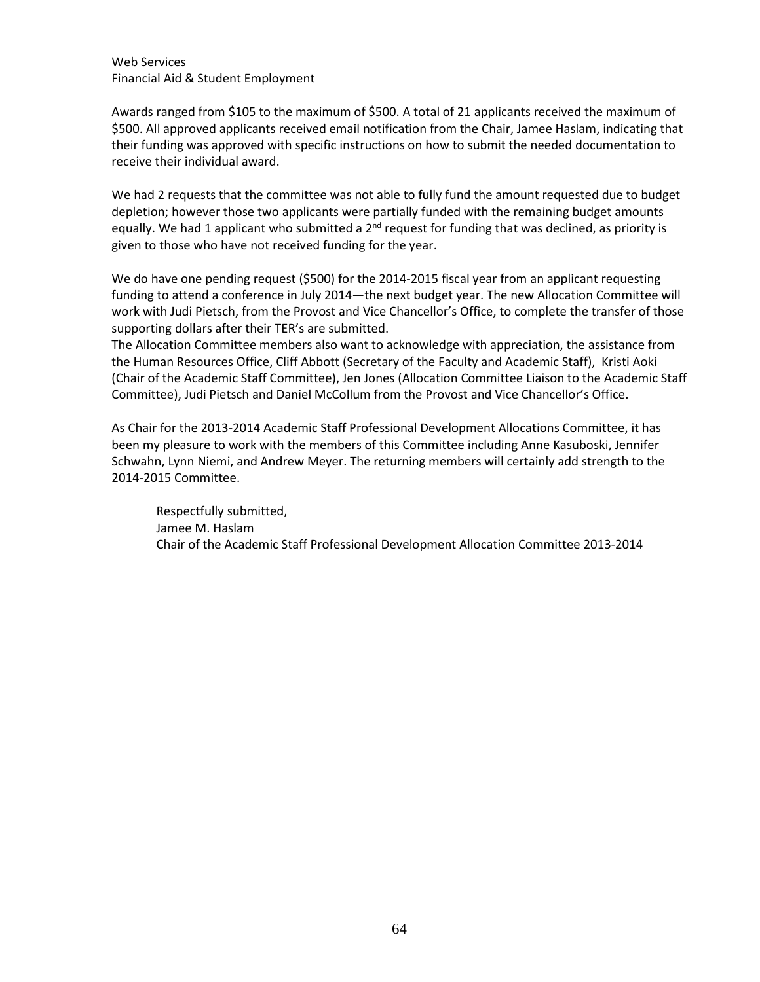Web Services Financial Aid & Student Employment

Awards ranged from \$105 to the maximum of \$500. A total of 21 applicants received the maximum of \$500. All approved applicants received email notification from the Chair, Jamee Haslam, indicating that their funding was approved with specific instructions on how to submit the needed documentation to receive their individual award.

We had 2 requests that the committee was not able to fully fund the amount requested due to budget depletion; however those two applicants were partially funded with the remaining budget amounts equally. We had 1 applicant who submitted a  $2<sup>nd</sup>$  request for funding that was declined, as priority is given to those who have not received funding for the year.

We do have one pending request (\$500) for the 2014-2015 fiscal year from an applicant requesting funding to attend a conference in July 2014—the next budget year. The new Allocation Committee will work with Judi Pietsch, from the Provost and Vice Chancellor's Office, to complete the transfer of those supporting dollars after their TER's are submitted.

The Allocation Committee members also want to acknowledge with appreciation, the assistance from the Human Resources Office, Cliff Abbott (Secretary of the Faculty and Academic Staff), Kristi Aoki (Chair of the Academic Staff Committee), Jen Jones (Allocation Committee Liaison to the Academic Staff Committee), Judi Pietsch and Daniel McCollum from the Provost and Vice Chancellor's Office.

As Chair for the 2013-2014 Academic Staff Professional Development Allocations Committee, it has been my pleasure to work with the members of this Committee including Anne Kasuboski, Jennifer Schwahn, Lynn Niemi, and Andrew Meyer. The returning members will certainly add strength to the 2014-2015 Committee.

Respectfully submitted, Jamee M. Haslam Chair of the Academic Staff Professional Development Allocation Committee 2013-2014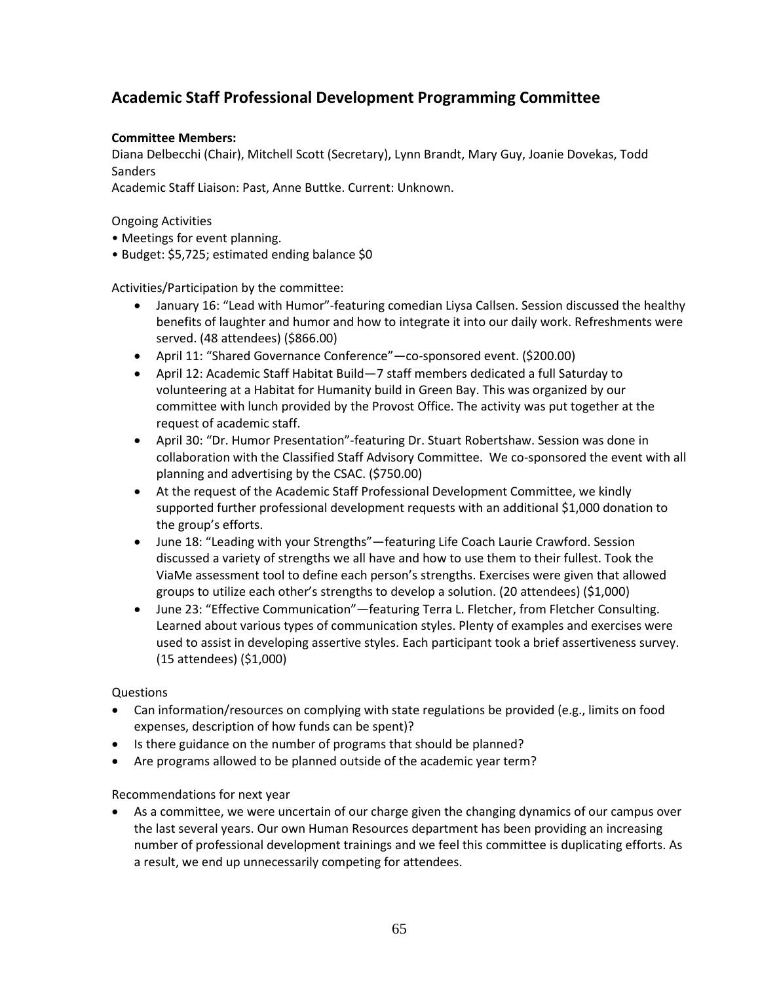# **Academic Staff Professional Development Programming Committee**

## **Committee Members:**

Diana Delbecchi (Chair), Mitchell Scott (Secretary), Lynn Brandt, Mary Guy, Joanie Dovekas, Todd Sanders

Academic Staff Liaison: Past, Anne Buttke. Current: Unknown.

Ongoing Activities

- Meetings for event planning.
- Budget: \$5,725; estimated ending balance \$0

Activities/Participation by the committee:

- January 16: "Lead with Humor"-featuring comedian Liysa Callsen. Session discussed the healthy benefits of laughter and humor and how to integrate it into our daily work. Refreshments were served. (48 attendees) (\$866.00)
- April 11: "Shared Governance Conference"—co-sponsored event. (\$200.00)
- April 12: Academic Staff Habitat Build—7 staff members dedicated a full Saturday to volunteering at a Habitat for Humanity build in Green Bay. This was organized by our committee with lunch provided by the Provost Office. The activity was put together at the request of academic staff.
- April 30: "Dr. Humor Presentation"-featuring Dr. Stuart Robertshaw. Session was done in collaboration with the Classified Staff Advisory Committee. We co-sponsored the event with all planning and advertising by the CSAC. (\$750.00)
- At the request of the Academic Staff Professional Development Committee, we kindly supported further professional development requests with an additional \$1,000 donation to the group's efforts.
- June 18: "Leading with your Strengths"—featuring Life Coach Laurie Crawford. Session discussed a variety of strengths we all have and how to use them to their fullest. Took the ViaMe assessment tool to define each person's strengths. Exercises were given that allowed groups to utilize each other's strengths to develop a solution. (20 attendees) (\$1,000)
- June 23: "Effective Communication"—featuring Terra L. Fletcher, from Fletcher Consulting. Learned about various types of communication styles. Plenty of examples and exercises were used to assist in developing assertive styles. Each participant took a brief assertiveness survey. (15 attendees) (\$1,000)

## **Questions**

- Can information/resources on complying with state regulations be provided (e.g., limits on food expenses, description of how funds can be spent)?
- Is there guidance on the number of programs that should be planned?
- Are programs allowed to be planned outside of the academic year term?

## Recommendations for next year

• As a committee, we were uncertain of our charge given the changing dynamics of our campus over the last several years. Our own Human Resources department has been providing an increasing number of professional development trainings and we feel this committee is duplicating efforts. As a result, we end up unnecessarily competing for attendees.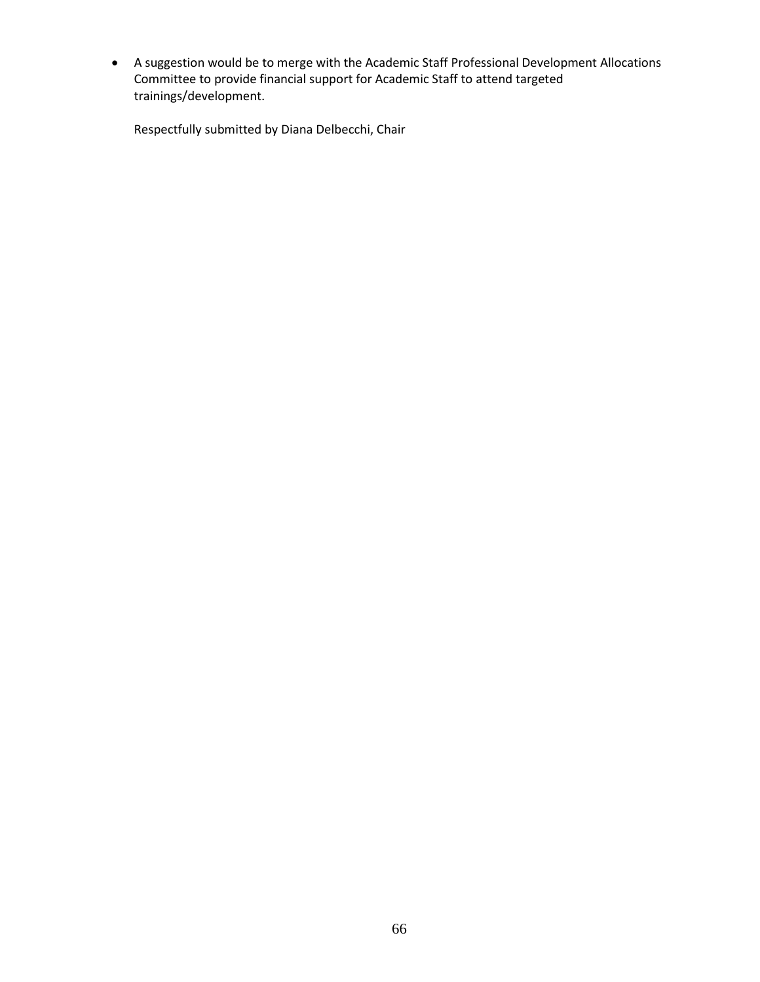• A suggestion would be to merge with the Academic Staff Professional Development Allocations Committee to provide financial support for Academic Staff to attend targeted trainings/development.

Respectfully submitted by Diana Delbecchi, Chair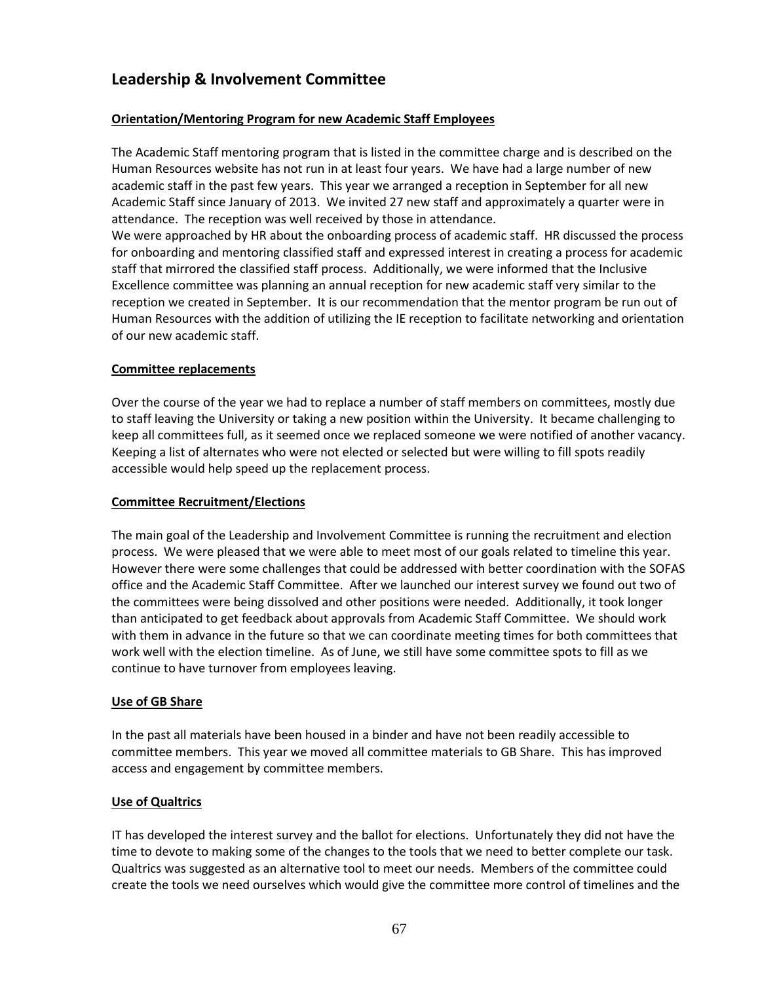# **Leadership & Involvement Committee**

## **Orientation/Mentoring Program for new Academic Staff Employees**

The Academic Staff mentoring program that is listed in the committee charge and is described on the Human Resources website has not run in at least four years. We have had a large number of new academic staff in the past few years. This year we arranged a reception in September for all new Academic Staff since January of 2013. We invited 27 new staff and approximately a quarter were in attendance. The reception was well received by those in attendance.

We were approached by HR about the onboarding process of academic staff. HR discussed the process for onboarding and mentoring classified staff and expressed interest in creating a process for academic staff that mirrored the classified staff process. Additionally, we were informed that the Inclusive Excellence committee was planning an annual reception for new academic staff very similar to the reception we created in September. It is our recommendation that the mentor program be run out of Human Resources with the addition of utilizing the IE reception to facilitate networking and orientation of our new academic staff.

## **Committee replacements**

Over the course of the year we had to replace a number of staff members on committees, mostly due to staff leaving the University or taking a new position within the University. It became challenging to keep all committees full, as it seemed once we replaced someone we were notified of another vacancy. Keeping a list of alternates who were not elected or selected but were willing to fill spots readily accessible would help speed up the replacement process.

## **Committee Recruitment/Elections**

The main goal of the Leadership and Involvement Committee is running the recruitment and election process. We were pleased that we were able to meet most of our goals related to timeline this year. However there were some challenges that could be addressed with better coordination with the SOFAS office and the Academic Staff Committee. After we launched our interest survey we found out two of the committees were being dissolved and other positions were needed. Additionally, it took longer than anticipated to get feedback about approvals from Academic Staff Committee. We should work with them in advance in the future so that we can coordinate meeting times for both committees that work well with the election timeline. As of June, we still have some committee spots to fill as we continue to have turnover from employees leaving.

## **Use of GB Share**

In the past all materials have been housed in a binder and have not been readily accessible to committee members. This year we moved all committee materials to GB Share. This has improved access and engagement by committee members.

## **Use of Qualtrics**

IT has developed the interest survey and the ballot for elections. Unfortunately they did not have the time to devote to making some of the changes to the tools that we need to better complete our task. Qualtrics was suggested as an alternative tool to meet our needs. Members of the committee could create the tools we need ourselves which would give the committee more control of timelines and the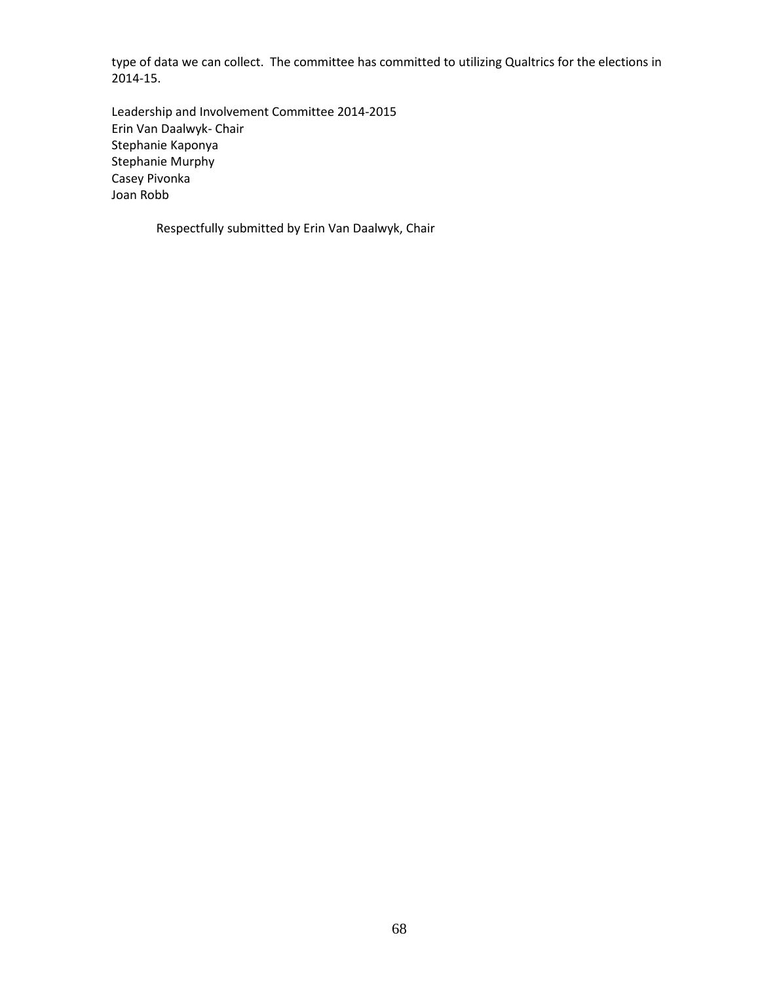type of data we can collect. The committee has committed to utilizing Qualtrics for the elections in 2014-15.

Leadership and Involvement Committee 2014-2015 Erin Van Daalwyk- Chair Stephanie Kaponya Stephanie Murphy Casey Pivonka Joan Robb

Respectfully submitted by Erin Van Daalwyk, Chair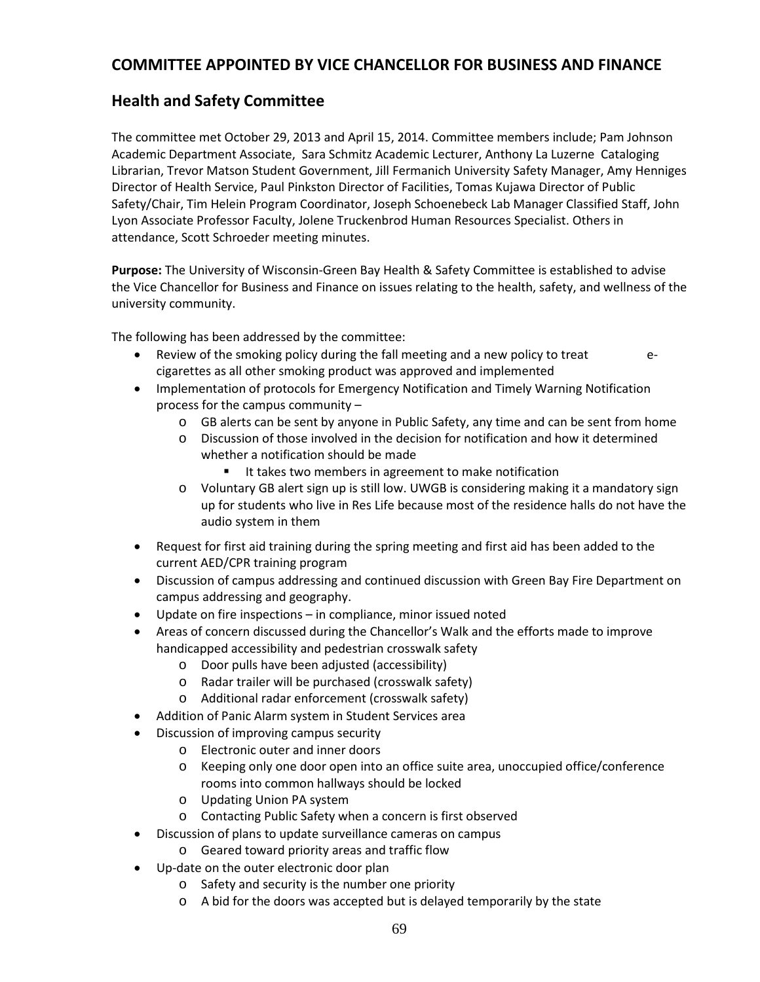# **COMMITTEE APPOINTED BY VICE CHANCELLOR FOR BUSINESS AND FINANCE**

# **Health and Safety Committee**

The committee met October 29, 2013 and April 15, 2014. Committee members include; Pam Johnson Academic Department Associate, Sara Schmitz Academic Lecturer, Anthony La Luzerne Cataloging Librarian, Trevor Matson Student Government, Jill Fermanich University Safety Manager, Amy Henniges Director of Health Service, Paul Pinkston Director of Facilities, Tomas Kujawa Director of Public Safety/Chair, Tim Helein Program Coordinator, Joseph Schoenebeck Lab Manager Classified Staff, John Lyon Associate Professor Faculty, Jolene Truckenbrod Human Resources Specialist. Others in attendance, Scott Schroeder meeting minutes.

**Purpose:** The University of Wisconsin-Green Bay Health & Safety Committee is established to advise the Vice Chancellor for Business and Finance on issues relating to the health, safety, and wellness of the university community.

The following has been addressed by the committee:

- Review of the smoking policy during the fall meeting and a new policy to treat ecigarettes as all other smoking product was approved and implemented
- Implementation of protocols for Emergency Notification and Timely Warning Notification process for the campus community –
	- o GB alerts can be sent by anyone in Public Safety, any time and can be sent from home
	- o Discussion of those involved in the decision for notification and how it determined whether a notification should be made
		- It takes two members in agreement to make notification
	- o Voluntary GB alert sign up is still low. UWGB is considering making it a mandatory sign up for students who live in Res Life because most of the residence halls do not have the audio system in them
- Request for first aid training during the spring meeting and first aid has been added to the current AED/CPR training program
- Discussion of campus addressing and continued discussion with Green Bay Fire Department on campus addressing and geography.
- Update on fire inspections in compliance, minor issued noted
- Areas of concern discussed during the Chancellor's Walk and the efforts made to improve handicapped accessibility and pedestrian crosswalk safety
	- o Door pulls have been adjusted (accessibility)
	- o Radar trailer will be purchased (crosswalk safety)
	- o Additional radar enforcement (crosswalk safety)
- Addition of Panic Alarm system in Student Services area
- Discussion of improving campus security
	- o Electronic outer and inner doors
	- o Keeping only one door open into an office suite area, unoccupied office/conference rooms into common hallways should be locked
	- o Updating Union PA system
	- o Contacting Public Safety when a concern is first observed
- Discussion of plans to update surveillance cameras on campus
	- o Geared toward priority areas and traffic flow
- Up-date on the outer electronic door plan
	- o Safety and security is the number one priority
	- o A bid for the doors was accepted but is delayed temporarily by the state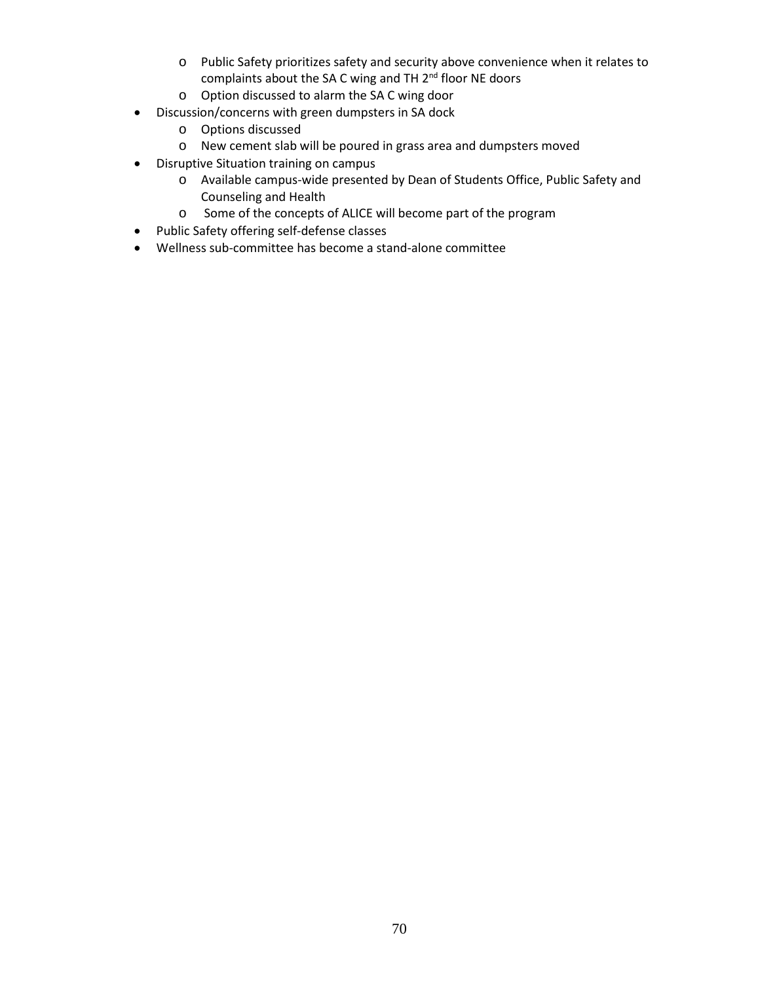- o Public Safety prioritizes safety and security above convenience when it relates to complaints about the SA C wing and TH  $2<sup>nd</sup>$  floor NE doors
- o Option discussed to alarm the SA C wing door
- Discussion/concerns with green dumpsters in SA dock
	- o Options discussed
	- o New cement slab will be poured in grass area and dumpsters moved
- Disruptive Situation training on campus
	- o Available campus-wide presented by Dean of Students Office, Public Safety and Counseling and Health
	- o Some of the concepts of ALICE will become part of the program
- Public Safety offering self-defense classes
- Wellness sub-committee has become a stand-alone committee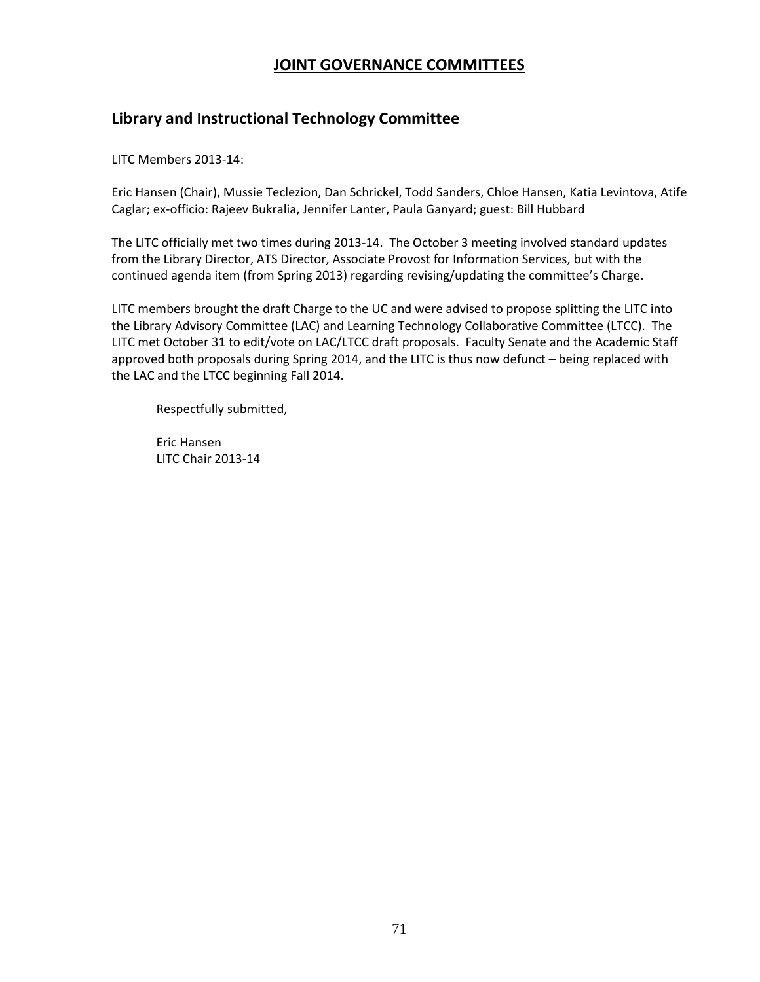# **JOINT GOVERNANCE COMMITTEES**

# **Library and Instructional Technology Committee**

LITC Members 2013-14:

Eric Hansen (Chair), Mussie Teclezion, Dan Schrickel, Todd Sanders, Chloe Hansen, Katia Levintova, Atife Caglar; ex-officio: Rajeev Bukralia, Jennifer Lanter, Paula Ganyard; guest: Bill Hubbard

The LITC officially met two times during 2013-14. The October 3 meeting involved standard updates from the Library Director, ATS Director, Associate Provost for Information Services, but with the continued agenda item (from Spring 2013) regarding revising/updating the committee's Charge.

LITC members brought the draft Charge to the UC and were advised to propose splitting the LITC into the Library Advisory Committee (LAC) and Learning Technology Collaborative Committee (LTCC). The LITC met October 31 to edit/vote on LAC/LTCC draft proposals. Faculty Senate and the Academic Staff approved both proposals during Spring 2014, and the LITC is thus now defunct – being replaced with the LAC and the LTCC beginning Fall 2014.

Respectfully submitted,

Eric Hansen LITC Chair 2013-14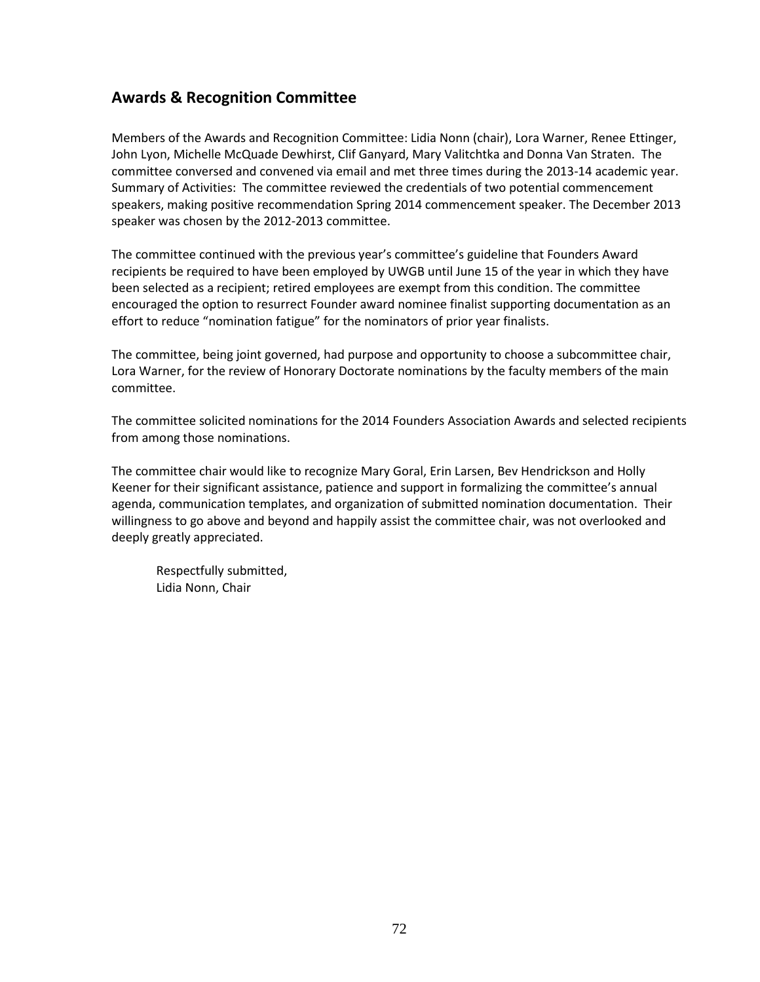# **Awards & Recognition Committee**

Members of the Awards and Recognition Committee: Lidia Nonn (chair), Lora Warner, Renee Ettinger, John Lyon, Michelle McQuade Dewhirst, Clif Ganyard, Mary Valitchtka and Donna Van Straten. The committee conversed and convened via email and met three times during the 2013-14 academic year. Summary of Activities: The committee reviewed the credentials of two potential commencement speakers, making positive recommendation Spring 2014 commencement speaker. The December 2013 speaker was chosen by the 2012-2013 committee.

The committee continued with the previous year's committee's guideline that Founders Award recipients be required to have been employed by UWGB until June 15 of the year in which they have been selected as a recipient; retired employees are exempt from this condition. The committee encouraged the option to resurrect Founder award nominee finalist supporting documentation as an effort to reduce "nomination fatigue" for the nominators of prior year finalists.

The committee, being joint governed, had purpose and opportunity to choose a subcommittee chair, Lora Warner, for the review of Honorary Doctorate nominations by the faculty members of the main committee.

The committee solicited nominations for the 2014 Founders Association Awards and selected recipients from among those nominations.

The committee chair would like to recognize Mary Goral, Erin Larsen, Bev Hendrickson and Holly Keener for their significant assistance, patience and support in formalizing the committee's annual agenda, communication templates, and organization of submitted nomination documentation. Their willingness to go above and beyond and happily assist the committee chair, was not overlooked and deeply greatly appreciated.

Respectfully submitted, Lidia Nonn, Chair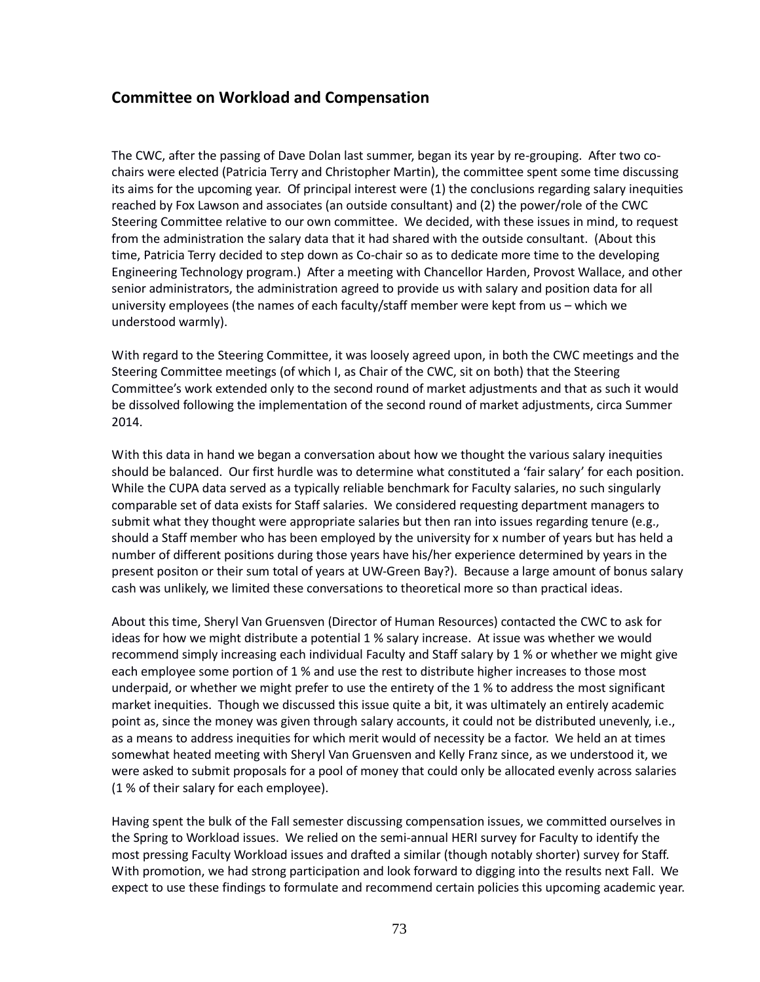## **Committee on Workload and Compensation**

The CWC, after the passing of Dave Dolan last summer, began its year by re-grouping. After two cochairs were elected (Patricia Terry and Christopher Martin), the committee spent some time discussing its aims for the upcoming year. Of principal interest were (1) the conclusions regarding salary inequities reached by Fox Lawson and associates (an outside consultant) and (2) the power/role of the CWC Steering Committee relative to our own committee. We decided, with these issues in mind, to request from the administration the salary data that it had shared with the outside consultant. (About this time, Patricia Terry decided to step down as Co-chair so as to dedicate more time to the developing Engineering Technology program.) After a meeting with Chancellor Harden, Provost Wallace, and other senior administrators, the administration agreed to provide us with salary and position data for all university employees (the names of each faculty/staff member were kept from us – which we understood warmly).

With regard to the Steering Committee, it was loosely agreed upon, in both the CWC meetings and the Steering Committee meetings (of which I, as Chair of the CWC, sit on both) that the Steering Committee's work extended only to the second round of market adjustments and that as such it would be dissolved following the implementation of the second round of market adjustments, circa Summer 2014.

With this data in hand we began a conversation about how we thought the various salary inequities should be balanced. Our first hurdle was to determine what constituted a 'fair salary' for each position. While the CUPA data served as a typically reliable benchmark for Faculty salaries, no such singularly comparable set of data exists for Staff salaries. We considered requesting department managers to submit what they thought were appropriate salaries but then ran into issues regarding tenure (e.g., should a Staff member who has been employed by the university for x number of years but has held a number of different positions during those years have his/her experience determined by years in the present positon or their sum total of years at UW-Green Bay?). Because a large amount of bonus salary cash was unlikely, we limited these conversations to theoretical more so than practical ideas.

About this time, Sheryl Van Gruensven (Director of Human Resources) contacted the CWC to ask for ideas for how we might distribute a potential 1 % salary increase. At issue was whether we would recommend simply increasing each individual Faculty and Staff salary by 1 % or whether we might give each employee some portion of 1 % and use the rest to distribute higher increases to those most underpaid, or whether we might prefer to use the entirety of the 1 % to address the most significant market inequities. Though we discussed this issue quite a bit, it was ultimately an entirely academic point as, since the money was given through salary accounts, it could not be distributed unevenly, i.e., as a means to address inequities for which merit would of necessity be a factor. We held an at times somewhat heated meeting with Sheryl Van Gruensven and Kelly Franz since, as we understood it, we were asked to submit proposals for a pool of money that could only be allocated evenly across salaries (1 % of their salary for each employee).

Having spent the bulk of the Fall semester discussing compensation issues, we committed ourselves in the Spring to Workload issues. We relied on the semi-annual HERI survey for Faculty to identify the most pressing Faculty Workload issues and drafted a similar (though notably shorter) survey for Staff. With promotion, we had strong participation and look forward to digging into the results next Fall. We expect to use these findings to formulate and recommend certain policies this upcoming academic year.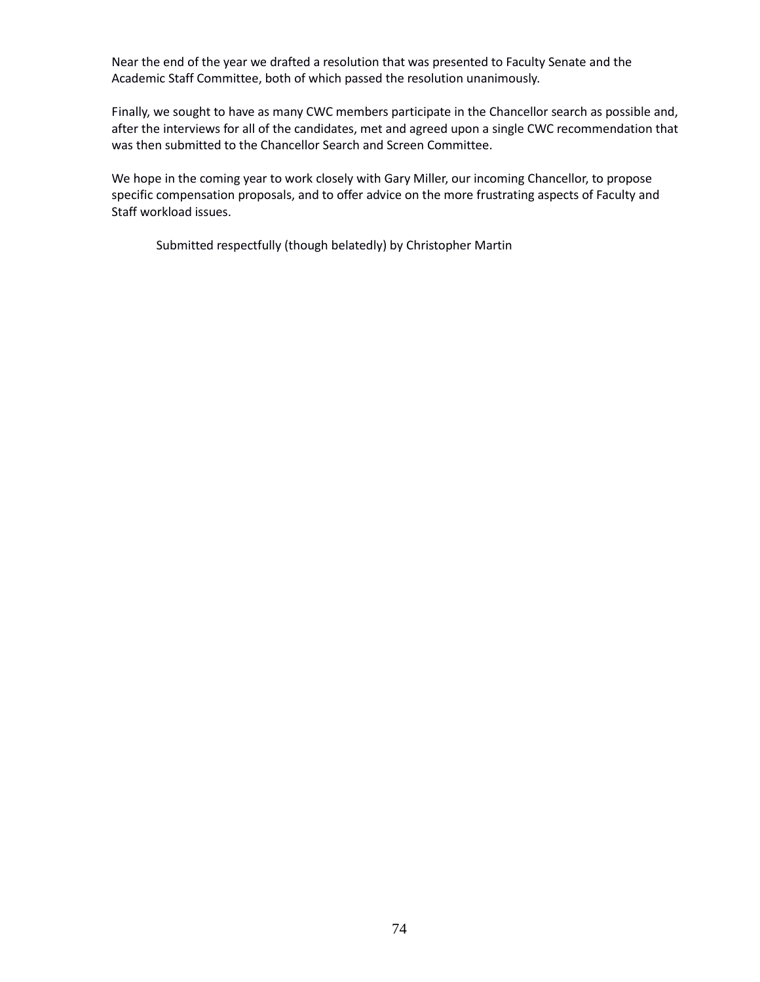Near the end of the year we drafted a resolution that was presented to Faculty Senate and the Academic Staff Committee, both of which passed the resolution unanimously.

Finally, we sought to have as many CWC members participate in the Chancellor search as possible and, after the interviews for all of the candidates, met and agreed upon a single CWC recommendation that was then submitted to the Chancellor Search and Screen Committee.

We hope in the coming year to work closely with Gary Miller, our incoming Chancellor, to propose specific compensation proposals, and to offer advice on the more frustrating aspects of Faculty and Staff workload issues.

Submitted respectfully (though belatedly) by Christopher Martin